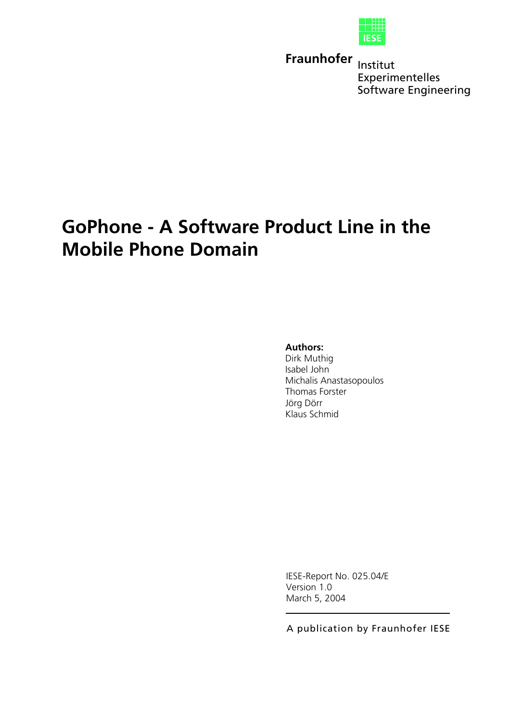

**Fraunhofer** Institut Experimentelles Software Engineering

# **GoPhone - A Software Product Line in the Mobile Phone Domain**

# **Authors:**

Dirk Muthig Isabel John Michalis Anastasopoulos Thomas Forster Jörg Dörr Klaus Schmid

IESE-Report No. 025.04/E Version 1.0 March 5, 2004

A publication by Fraunhofer IESE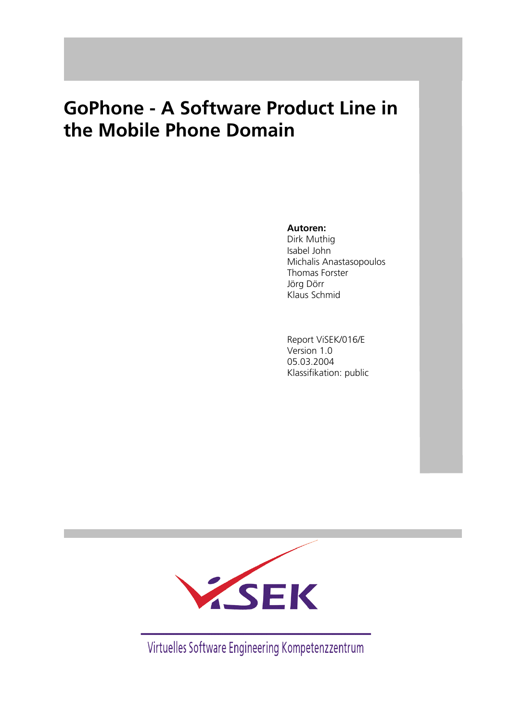# **GoPhone - A Software Product Line in the Mobile Phone Domain**

#### **Autoren:**

Dirk Muthig Isabel John Michalis Anastasopoulos Thomas Forster Jörg Dörr Klaus Schmid

Report ViSEK/016/E Version 1.0 05.03.2004 Klassifikation: public



Virtuelles Software Engineering Kompetenzzentrum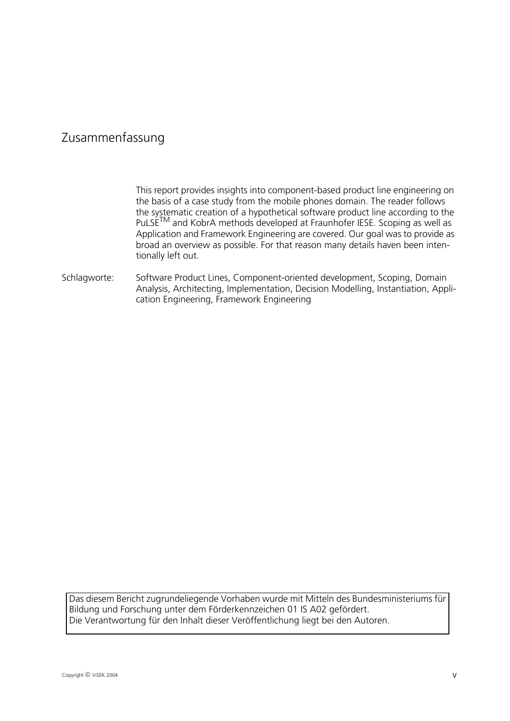# Zusammenfassung

This report provides insights into component-based product line engineering on the basis of a case study from the mobile phones domain. The reader follows the systematic creation of a hypothetical software product line according to the PuLSETM and KobrA methods developed at Fraunhofer IESE. Scoping as well as Application and Framework Engineering are covered. Our goal was to provide as broad an overview as possible. For that reason many details haven been intentionally left out.

Schlagworte: Software Product Lines, Component-oriented development, Scoping, Domain Analysis, Architecting, Implementation, Decision Modelling, Instantiation, Application Engineering, Framework Engineering

Das diesem Bericht zugrundeliegende Vorhaben wurde mit Mitteln des Bundesministeriums für Bildung und Forschung unter dem Förderkennzeichen 01 IS A02 gefördert. Die Verantwortung für den Inhalt dieser Veröffentlichung liegt bei den Autoren.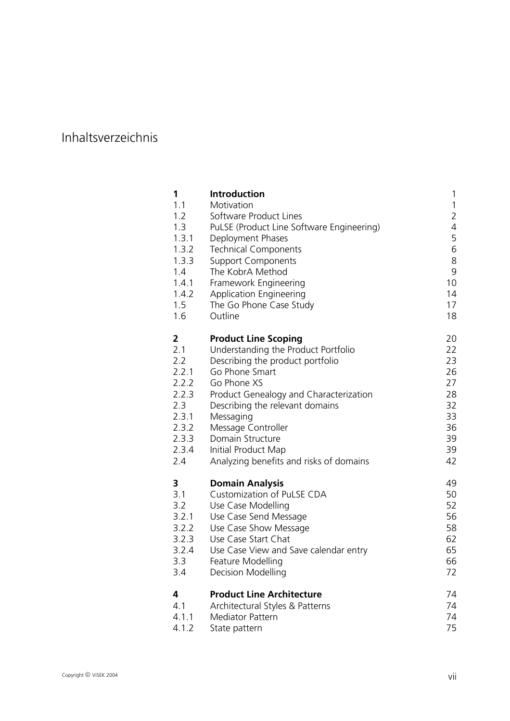# Inhaltsverzeichnis

| 1                       | <b>Introduction</b>                       | 1              |
|-------------------------|-------------------------------------------|----------------|
| 1.1                     | Motivation                                | $\mathbf{1}$   |
| 1.2                     | Software Product Lines                    | $\overline{2}$ |
| 1.3                     | PuLSE (Product Line Software Engineering) | $\overline{4}$ |
| 1.3.1                   | Deployment Phases                         | 5              |
| 1.3.2                   | <b>Technical Components</b>               | 6              |
| 1.3.3                   | <b>Support Components</b>                 | 8              |
| 1.4                     | The KobrA Method                          | 9              |
| 1.4.1                   | Framework Engineering                     | 10             |
| 1.4.2                   | <b>Application Engineering</b>            | 14             |
| 1.5                     | The Go Phone Case Study                   | 17             |
| 1.6                     | Outline                                   | 18             |
| $\overline{\mathbf{2}}$ | <b>Product Line Scoping</b>               | 20             |
| 2.1                     | Understanding the Product Portfolio       | 22             |
| 2.2                     | Describing the product portfolio          | 23             |
| 2.2.1                   | Go Phone Smart                            | 26             |
| 2.2.2                   | Go Phone XS                               | 27             |
| 2.2.3                   | Product Genealogy and Characterization    | 28             |
| 2.3                     | Describing the relevant domains           | 32             |
| 2.3.1                   | Messaging                                 | 33             |
| 2.3.2                   | Message Controller                        | 36             |
| 2.3.3                   | Domain Structure                          | 39             |
| 2.3.4                   | Initial Product Map                       | 39             |
| 2.4                     | Analyzing benefits and risks of domains   | 42             |
| 3                       | <b>Domain Analysis</b>                    | 49             |
| 3.1                     | Customization of PuLSE CDA                | 50             |
| 3.2                     | Use Case Modelling                        | 52             |
| 3.2.1                   | Use Case Send Message                     | 56             |
| 3.2.2                   | Use Case Show Message                     | 58             |
| 3.2.3                   | Use Case Start Chat                       | 62             |
| 3.2.4                   | Use Case View and Save calendar entry     | 65             |
| 3.3                     | Feature Modelling                         | 66             |
| 3.4                     | Decision Modelling                        | 72             |
| 4                       | <b>Product Line Architecture</b>          | 74             |
| 4.1                     | Architectural Styles & Patterns           | 74             |
| 4.1.1                   | Mediator Pattern                          | 74             |
| 4.1.2                   | State pattern                             | 75             |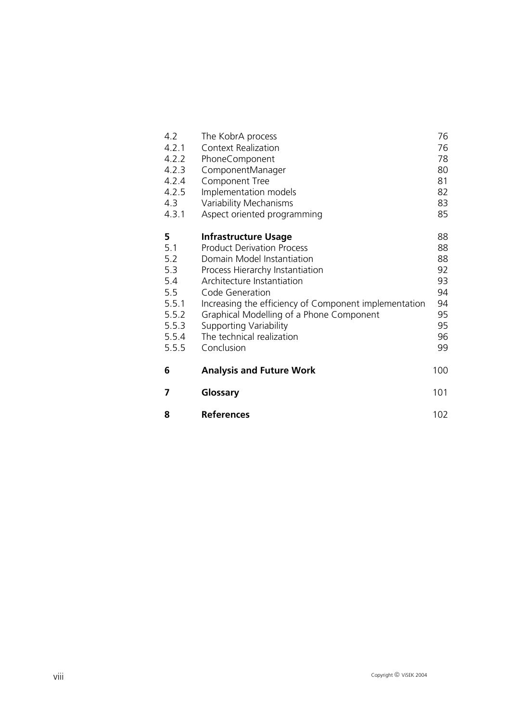| 4.2   | The KobrA process                                     | 76  |
|-------|-------------------------------------------------------|-----|
| 4.2.1 | <b>Context Realization</b>                            | 76  |
| 4.2.2 | PhoneComponent                                        | 78  |
| 4.2.3 | ComponentManager                                      | 80  |
| 4.2.4 | Component Tree                                        | 81  |
| 4.2.5 | Implementation models                                 | 82  |
| 4.3   | Variability Mechanisms                                | 83  |
| 4.3.1 | Aspect oriented programming                           | 85  |
| 5     | <b>Infrastructure Usage</b>                           | 88  |
| 5.1   | <b>Product Derivation Process</b>                     | 88  |
| 5.2   | Domain Model Instantiation                            | 88  |
| 5.3   | Process Hierarchy Instantiation                       | 92  |
| 5.4   | Architecture Instantiation                            | 93  |
| 5.5   | Code Generation                                       | 94  |
| 5.5.1 | Increasing the efficiency of Component implementation | 94  |
| 5.5.2 | Graphical Modelling of a Phone Component              | 95  |
| 5.5.3 | <b>Supporting Variability</b>                         | 95  |
| 5.5.4 | The technical realization                             | 96  |
| 5.5.5 | Conclusion                                            | 99  |
| 6     | <b>Analysis and Future Work</b>                       | 100 |
| 7     | Glossary                                              | 101 |
| 8     | <b>References</b>                                     | 102 |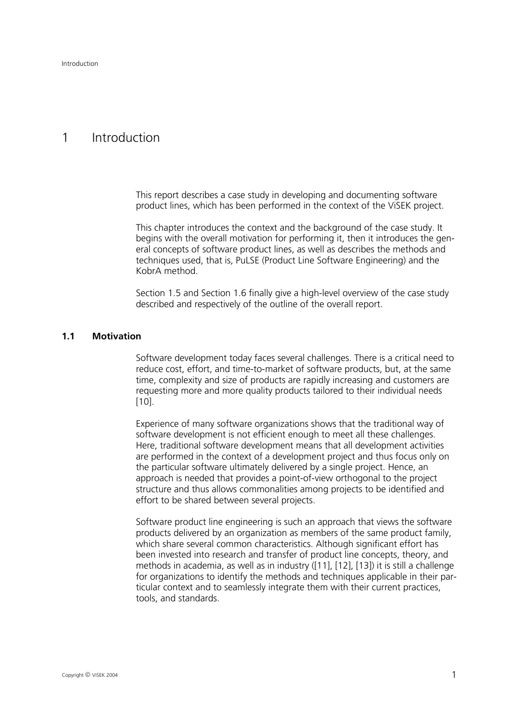# 1 Introduction

This report describes a case study in developing and documenting software product lines, which has been performed in the context of the ViSEK project.

This chapter introduces the context and the background of the case study. It begins with the overall motivation for performing it, then it introduces the general concepts of software product lines, as well as describes the methods and techniques used, that is, PuLSE (Product Line Software Engineering) and the KobrA method.

Section 1.5 and Section 1.6 finally give a high-level overview of the case study described and respectively of the outline of the overall report.

#### **1.1 Motivation**

Software development today faces several challenges. There is a critical need to reduce cost, effort, and time-to-market of software products, but, at the same time, complexity and size of products are rapidly increasing and customers are requesting more and more quality products tailored to their individual needs [10].

Experience of many software organizations shows that the traditional way of software development is not efficient enough to meet all these challenges. Here, traditional software development means that all development activities are performed in the context of a development project and thus focus only on the particular software ultimately delivered by a single project. Hence, an approach is needed that provides a point-of-view orthogonal to the project structure and thus allows commonalities among projects to be identified and effort to be shared between several projects.

Software product line engineering is such an approach that views the software products delivered by an organization as members of the same product family, which share several common characteristics. Although significant effort has been invested into research and transfer of product line concepts, theory, and methods in academia, as well as in industry ([11], [12], [13]) it is still a challenge for organizations to identify the methods and techniques applicable in their particular context and to seamlessly integrate them with their current practices, tools, and standards.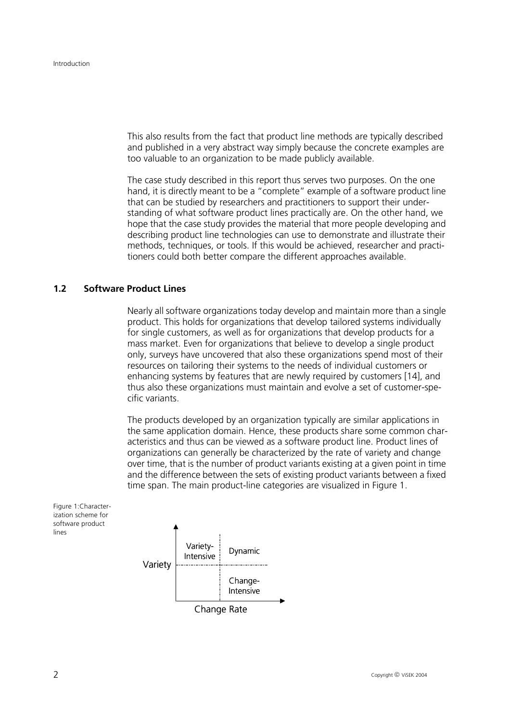This also results from the fact that product line methods are typically described and published in a very abstract way simply because the concrete examples are too valuable to an organization to be made publicly available.

The case study described in this report thus serves two purposes. On the one hand, it is directly meant to be a "complete" example of a software product line that can be studied by researchers and practitioners to support their understanding of what software product lines practically are. On the other hand, we hope that the case study provides the material that more people developing and describing product line technologies can use to demonstrate and illustrate their methods, techniques, or tools. If this would be achieved, researcher and practitioners could both better compare the different approaches available.

#### **1.2 Software Product Lines**

Nearly all software organizations today develop and maintain more than a single product. This holds for organizations that develop tailored systems individually for single customers, as well as for organizations that develop products for a mass market. Even for organizations that believe to develop a single product only, surveys have uncovered that also these organizations spend most of their resources on tailoring their systems to the needs of individual customers or enhancing systems by features that are newly required by customers [14], and thus also these organizations must maintain and evolve a set of customer-specific variants.

The products developed by an organization typically are similar applications in the same application domain. Hence, these products share some common characteristics and thus can be viewed as a software product line. Product lines of organizations can generally be characterized by the rate of variety and change over time, that is the number of product variants existing at a given point in time and the difference between the sets of existing product variants between a fixed time span. The main product-line categories are visualized in Figure 1.

Figure 1:Characterization scheme for software product lines

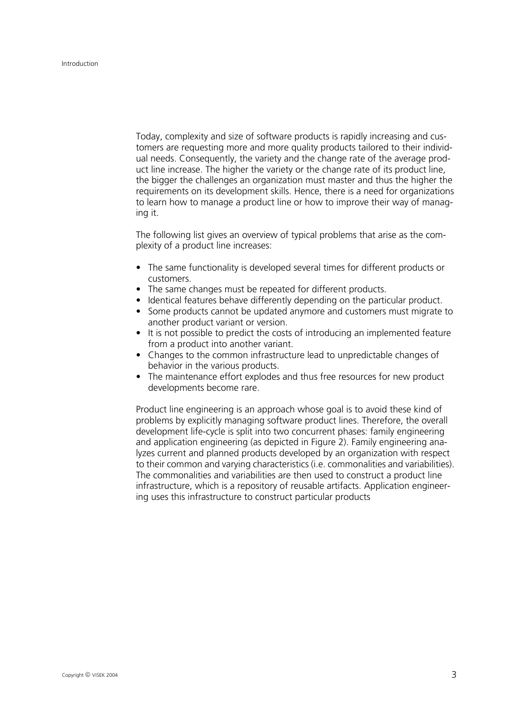Today, complexity and size of software products is rapidly increasing and customers are requesting more and more quality products tailored to their individual needs. Consequently, the variety and the change rate of the average product line increase. The higher the variety or the change rate of its product line, the bigger the challenges an organization must master and thus the higher the requirements on its development skills. Hence, there is a need for organizations to learn how to manage a product line or how to improve their way of managing it.

The following list gives an overview of typical problems that arise as the complexity of a product line increases:

- The same functionality is developed several times for different products or customers.
- The same changes must be repeated for different products.
- Identical features behave differently depending on the particular product.
- Some products cannot be updated anymore and customers must migrate to another product variant or version.
- It is not possible to predict the costs of introducing an implemented feature from a product into another variant.
- Changes to the common infrastructure lead to unpredictable changes of behavior in the various products.
- The maintenance effort explodes and thus free resources for new product developments become rare.

Product line engineering is an approach whose goal is to avoid these kind of problems by explicitly managing software product lines. Therefore, the overall development life-cycle is split into two concurrent phases: family engineering and application engineering (as depicted in Figure 2). Family engineering analyzes current and planned products developed by an organization with respect to their common and varying characteristics (i.e. commonalities and variabilities). The commonalities and variabilities are then used to construct a product line infrastructure, which is a repository of reusable artifacts. Application engineering uses this infrastructure to construct particular products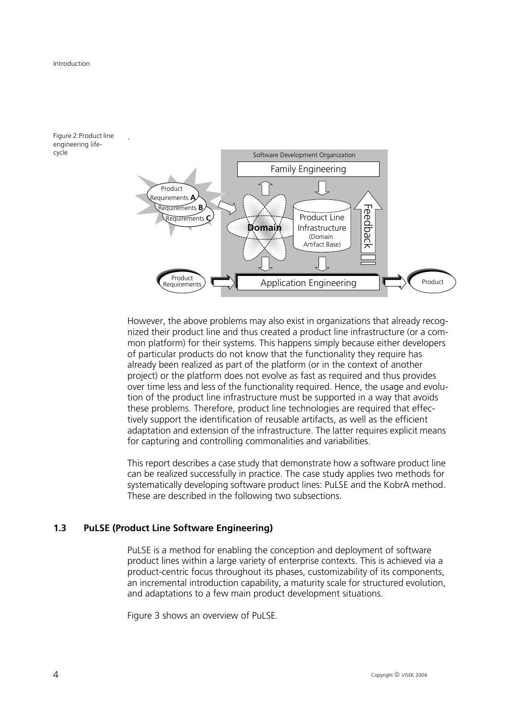Introduction

Figure 2:Product line engineering lifecycle



However, the above problems may also exist in organizations that already recognized their product line and thus created a product line infrastructure (or a common platform) for their systems. This happens simply because either developers of particular products do not know that the functionality they require has already been realized as part of the platform (or in the context of another project) or the platform does not evolve as fast as required and thus provides over time less and less of the functionality required. Hence, the usage and evolution of the product line infrastructure must be supported in a way that avoids these problems. Therefore, product line technologies are required that effectively support the identification of reusable artifacts, as well as the efficient adaptation and extension of the infrastructure. The latter requires explicit means for capturing and controlling commonalities and variabilities.

This report describes a case study that demonstrate how a software product line can be realized successfully in practice. The case study applies two methods for systematically developing software product lines: PuLSE and the KobrA method. These are described in the following two subsections.

# **1.3 PuLSE (Product Line Software Engineering)**

PuLSE is a method for enabling the conception and deployment of software product lines within a large variety of enterprise contexts. This is achieved via a product-centric focus throughout its phases, customizability of its components, an incremental introduction capability, a maturity scale for structured evolution, and adaptations to a few main product development situations.

Figure 3 shows an overview of PuLSE.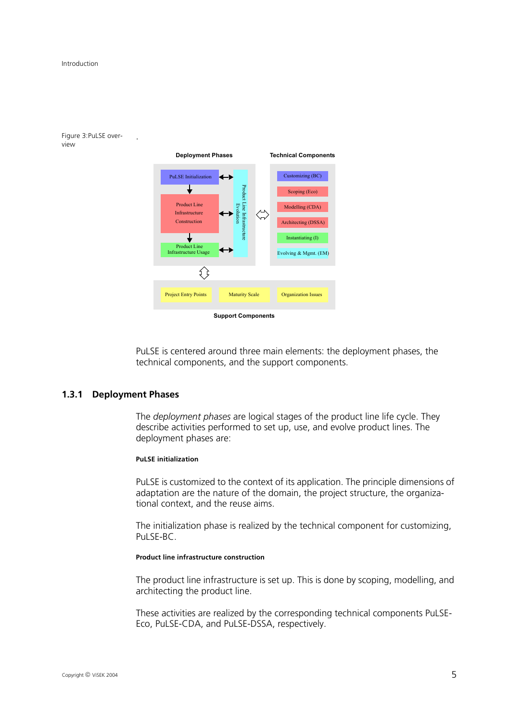

Figure 3:PuLSE overview

.

PuLSE is centered around three main elements: the deployment phases, the technical components, and the support components.

#### **1.3.1 Deployment Phases**

The *deployment phases* are logical stages of the product line life cycle. They describe activities performed to set up, use, and evolve product lines. The deployment phases are:

#### **PuLSE initialization**

PuLSE is customized to the context of its application. The principle dimensions of adaptation are the nature of the domain, the project structure, the organizational context, and the reuse aims.

The initialization phase is realized by the technical component for customizing, PuLSE-BC.

#### **Product line infrastructure construction**

The product line infrastructure is set up. This is done by scoping, modelling, and architecting the product line.

These activities are realized by the corresponding technical components PuLSE-Eco, PuLSE-CDA, and PuLSE-DSSA, respectively.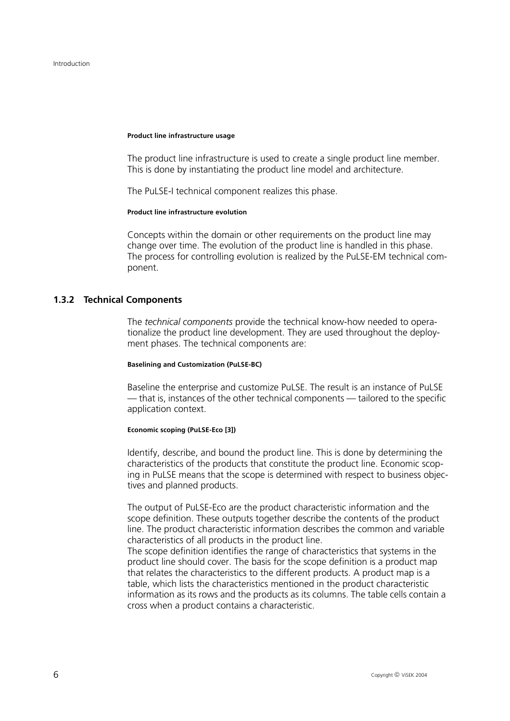Introduction

#### **Product line infrastructure usage**

The product line infrastructure is used to create a single product line member. This is done by instantiating the product line model and architecture.

The PuLSE-I technical component realizes this phase.

#### **Product line infrastructure evolution**

Concepts within the domain or other requirements on the product line may change over time. The evolution of the product line is handled in this phase. The process for controlling evolution is realized by the PuLSE-EM technical component.

# **1.3.2 Technical Components**

The *technical components* provide the technical know-how needed to operationalize the product line development. They are used throughout the deployment phases. The technical components are:

#### **Baselining and Customization (PuLSE-BC)**

Baseline the enterprise and customize PuLSE. The result is an instance of PuLSE — that is, instances of the other technical components — tailored to the specific application context.

#### **Economic scoping (PuLSE-Eco [3])**

Identify, describe, and bound the product line. This is done by determining the characteristics of the products that constitute the product line. Economic scoping in PuLSE means that the scope is determined with respect to business objectives and planned products.

The output of PuLSE-Eco are the product characteristic information and the scope definition. These outputs together describe the contents of the product line. The product characteristic information describes the common and variable characteristics of all products in the product line.

The scope definition identifies the range of characteristics that systems in the product line should cover. The basis for the scope definition is a product map that relates the characteristics to the different products. A product map is a table, which lists the characteristics mentioned in the product characteristic information as its rows and the products as its columns. The table cells contain a cross when a product contains a characteristic.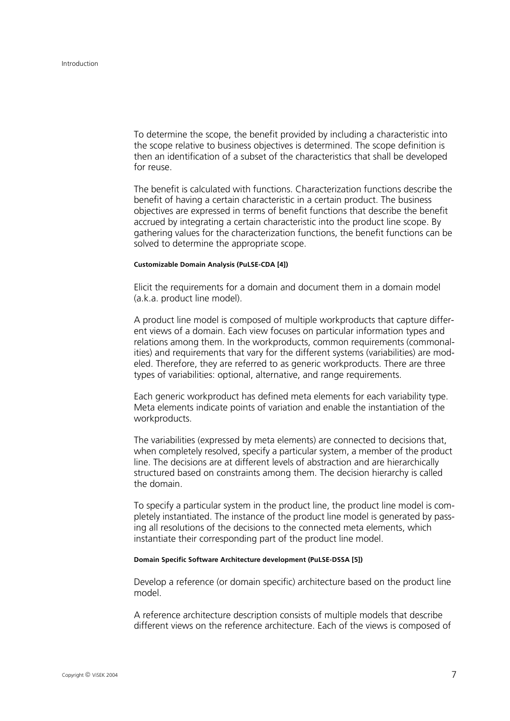To determine the scope, the benefit provided by including a characteristic into the scope relative to business objectives is determined. The scope definition is then an identification of a subset of the characteristics that shall be developed for reuse.

The benefit is calculated with functions. Characterization functions describe the benefit of having a certain characteristic in a certain product. The business objectives are expressed in terms of benefit functions that describe the benefit accrued by integrating a certain characteristic into the product line scope. By gathering values for the characterization functions, the benefit functions can be solved to determine the appropriate scope.

#### **Customizable Domain Analysis (PuLSE-CDA [4])**

Elicit the requirements for a domain and document them in a domain model (a.k.a. product line model).

A product line model is composed of multiple workproducts that capture different views of a domain. Each view focuses on particular information types and relations among them. In the workproducts, common requirements (commonalities) and requirements that vary for the different systems (variabilities) are modeled. Therefore, they are referred to as generic workproducts. There are three types of variabilities: optional, alternative, and range requirements.

Each generic workproduct has defined meta elements for each variability type. Meta elements indicate points of variation and enable the instantiation of the workproducts.

The variabilities (expressed by meta elements) are connected to decisions that, when completely resolved, specify a particular system, a member of the product line. The decisions are at different levels of abstraction and are hierarchically structured based on constraints among them. The decision hierarchy is called the domain.

To specify a particular system in the product line, the product line model is completely instantiated. The instance of the product line model is generated by passing all resolutions of the decisions to the connected meta elements, which instantiate their corresponding part of the product line model.

#### **Domain Specific Software Architecture development (PuLSE-DSSA [5])**

Develop a reference (or domain specific) architecture based on the product line model.

A reference architecture description consists of multiple models that describe different views on the reference architecture. Each of the views is composed of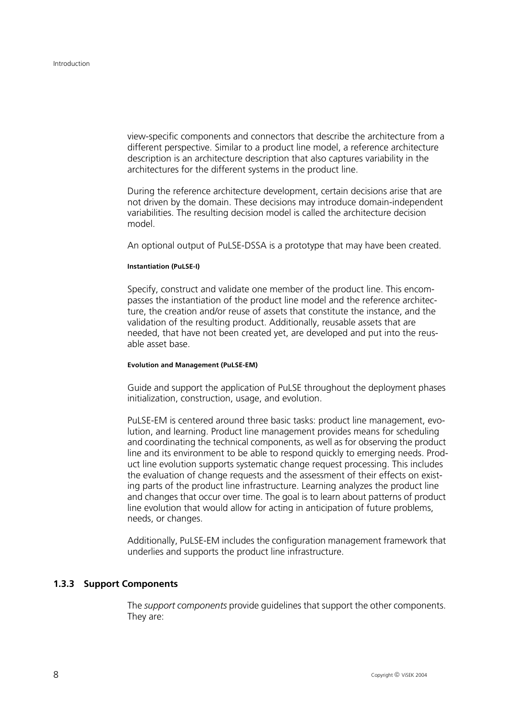view-specific components and connectors that describe the architecture from a different perspective. Similar to a product line model, a reference architecture description is an architecture description that also captures variability in the architectures for the different systems in the product line.

During the reference architecture development, certain decisions arise that are not driven by the domain. These decisions may introduce domain-independent variabilities. The resulting decision model is called the architecture decision model.

An optional output of PuLSE-DSSA is a prototype that may have been created.

#### **Instantiation (PuLSE-I)**

Specify, construct and validate one member of the product line. This encompasses the instantiation of the product line model and the reference architecture, the creation and/or reuse of assets that constitute the instance, and the validation of the resulting product. Additionally, reusable assets that are needed, that have not been created yet, are developed and put into the reusable asset base.

#### **Evolution and Management (PuLSE-EM)**

Guide and support the application of PuLSE throughout the deployment phases initialization, construction, usage, and evolution.

PuLSE-EM is centered around three basic tasks: product line management, evolution, and learning. Product line management provides means for scheduling and coordinating the technical components, as well as for observing the product line and its environment to be able to respond quickly to emerging needs. Product line evolution supports systematic change request processing. This includes the evaluation of change requests and the assessment of their effects on existing parts of the product line infrastructure. Learning analyzes the product line and changes that occur over time. The goal is to learn about patterns of product line evolution that would allow for acting in anticipation of future problems, needs, or changes.

Additionally, PuLSE-EM includes the configuration management framework that underlies and supports the product line infrastructure.

#### **1.3.3 Support Components**

The *support components* provide guidelines that support the other components. They are: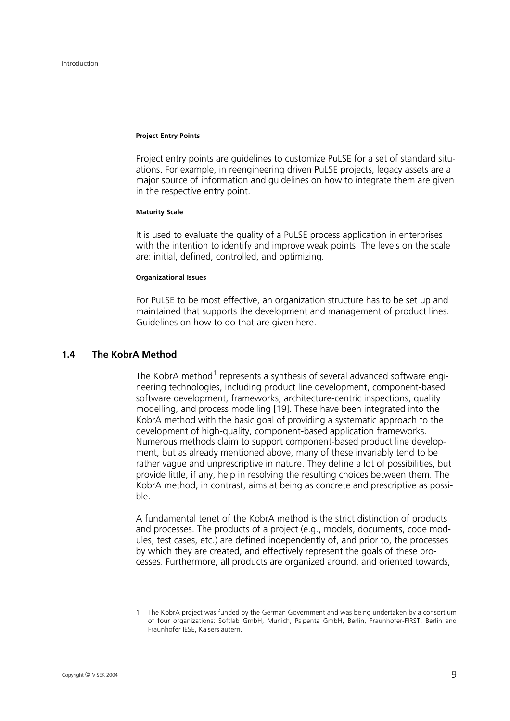#### **Project Entry Points**

Project entry points are guidelines to customize PuLSE for a set of standard situations. For example, in reengineering driven PuLSE projects, legacy assets are a major source of information and guidelines on how to integrate them are given in the respective entry point.

#### **Maturity Scale**

It is used to evaluate the quality of a PuLSE process application in enterprises with the intention to identify and improve weak points. The levels on the scale are: initial, defined, controlled, and optimizing.

#### **Organizational Issues**

For PuLSE to be most effective, an organization structure has to be set up and maintained that supports the development and management of product lines. Guidelines on how to do that are given here.

#### **1.4 The KobrA Method**

The KobrA method<sup>1</sup> represents a synthesis of several advanced software engineering technologies, including product line development, component-based software development, frameworks, architecture-centric inspections, quality modelling, and process modelling [19]. These have been integrated into the KobrA method with the basic goal of providing a systematic approach to the development of high-quality, component-based application frameworks. Numerous methods claim to support component-based product line development, but as already mentioned above, many of these invariably tend to be rather vague and unprescriptive in nature. They define a lot of possibilities, but provide little, if any, help in resolving the resulting choices between them. The KobrA method, in contrast, aims at being as concrete and prescriptive as possible.

A fundamental tenet of the KobrA method is the strict distinction of products and processes. The products of a project (e.g., models, documents, code modules, test cases, etc.) are defined independently of, and prior to, the processes by which they are created, and effectively represent the goals of these processes. Furthermore, all products are organized around, and oriented towards,

<sup>1</sup> The KobrA project was funded by the German Government and was being undertaken by a consortium of four organizations: Softlab GmbH, Munich, Psipenta GmbH, Berlin, Fraunhofer-FIRST, Berlin and Fraunhofer IESE, Kaiserslautern.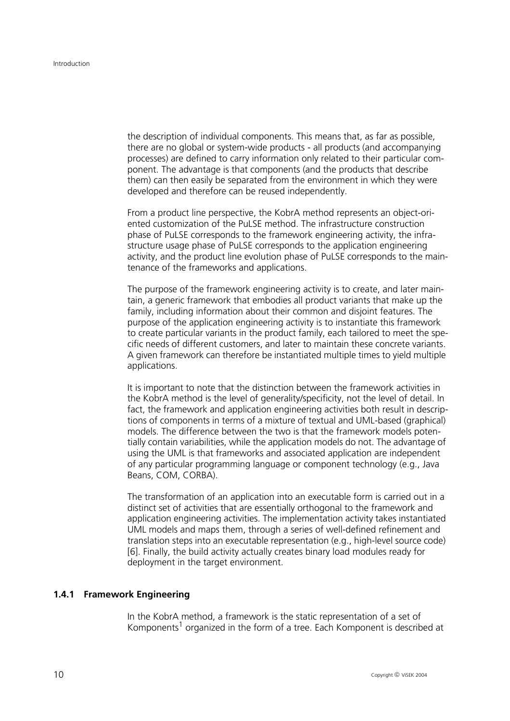the description of individual components. This means that, as far as possible, there are no global or system-wide products - all products (and accompanying processes) are defined to carry information only related to their particular component. The advantage is that components (and the products that describe them) can then easily be separated from the environment in which they were developed and therefore can be reused independently.

From a product line perspective, the KobrA method represents an object-oriented customization of the PuLSE method. The infrastructure construction phase of PuLSE corresponds to the framework engineering activity, the infrastructure usage phase of PuLSE corresponds to the application engineering activity, and the product line evolution phase of PuLSE corresponds to the maintenance of the frameworks and applications.

The purpose of the framework engineering activity is to create, and later maintain, a generic framework that embodies all product variants that make up the family, including information about their common and disjoint features. The purpose of the application engineering activity is to instantiate this framework to create particular variants in the product family, each tailored to meet the specific needs of different customers, and later to maintain these concrete variants. A given framework can therefore be instantiated multiple times to yield multiple applications.

It is important to note that the distinction between the framework activities in the KobrA method is the level of generality/specificity, not the level of detail. In fact, the framework and application engineering activities both result in descriptions of components in terms of a mixture of textual and UML-based (graphical) models. The difference between the two is that the framework models potentially contain variabilities, while the application models do not. The advantage of using the UML is that frameworks and associated application are independent of any particular programming language or component technology (e.g., Java Beans, COM, CORBA).

The transformation of an application into an executable form is carried out in a distinct set of activities that are essentially orthogonal to the framework and application engineering activities. The implementation activity takes instantiated UML models and maps them, through a series of well-defined refinement and translation steps into an executable representation (e.g., high-level source code) [6]. Finally, the build activity actually creates binary load modules ready for deployment in the target environment.

# **1.4.1 Framework Engineering**

In the KobrA method, a framework is the static representation of a set of Komponents<sup>1</sup> organized in the form of a tree. Each Komponent is described at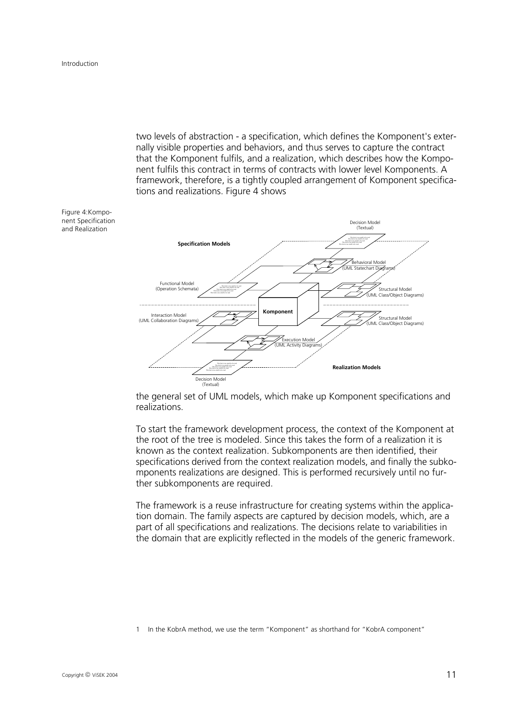two levels of abstraction - a specification, which defines the Komponent's externally visible properties and behaviors, and thus serves to capture the contract that the Komponent fulfils, and a realization, which describes how the Komponent fulfils this contract in terms of contracts with lower level Komponents. A framework, therefore, is a tightly coupled arrangement of Komponent specifications and realizations. Figure 4 shows



the general set of UML models, which make up Komponent specifications and realizations.

To start the framework development process, the context of the Komponent at the root of the tree is modeled. Since this takes the form of a realization it is known as the context realization. Subkomponents are then identified, their specifications derived from the context realization models, and finally the subkomponents realizations are designed. This is performed recursively until no further subkomponents are required.

The framework is a reuse infrastructure for creating systems within the application domain. The family aspects are captured by decision models, which, are a part of all specifications and realizations. The decisions relate to variabilities in the domain that are explicitly reflected in the models of the generic framework.

Figure 4:Komponent Specification and Realization

<sup>1</sup> In the KobrA method, we use the term "Komponent" as shorthand for "KobrA component"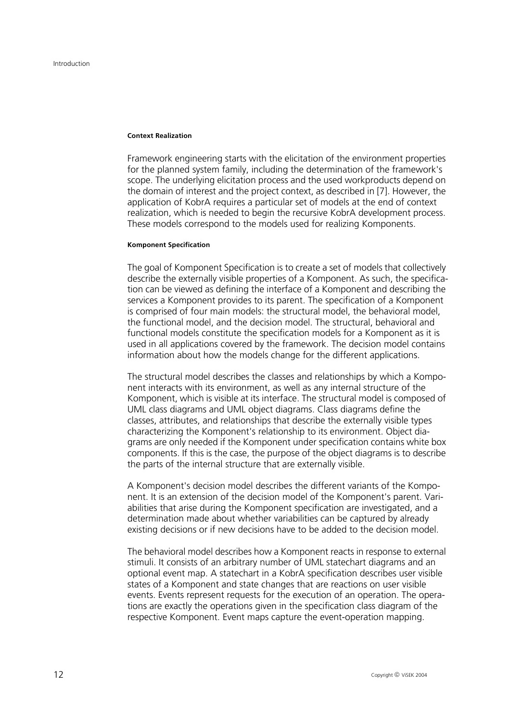#### **Context Realization**

Framework engineering starts with the elicitation of the environment properties for the planned system family, including the determination of the framework's scope. The underlying elicitation process and the used workproducts depend on the domain of interest and the project context, as described in [7]. However, the application of KobrA requires a particular set of models at the end of context realization, which is needed to begin the recursive KobrA development process. These models correspond to the models used for realizing Komponents.

#### **Komponent Specification**

The goal of Komponent Specification is to create a set of models that collectively describe the externally visible properties of a Komponent. As such, the specification can be viewed as defining the interface of a Komponent and describing the services a Komponent provides to its parent. The specification of a Komponent is comprised of four main models: the structural model, the behavioral model, the functional model, and the decision model. The structural, behavioral and functional models constitute the specification models for a Komponent as it is used in all applications covered by the framework. The decision model contains information about how the models change for the different applications.

The structural model describes the classes and relationships by which a Komponent interacts with its environment, as well as any internal structure of the Komponent, which is visible at its interface. The structural model is composed of UML class diagrams and UML object diagrams. Class diagrams define the classes, attributes, and relationships that describe the externally visible types characterizing the Komponent's relationship to its environment. Object diagrams are only needed if the Komponent under specification contains white box components. If this is the case, the purpose of the object diagrams is to describe the parts of the internal structure that are externally visible.

A Komponent's decision model describes the different variants of the Komponent. It is an extension of the decision model of the Komponent's parent. Variabilities that arise during the Komponent specification are investigated, and a determination made about whether variabilities can be captured by already existing decisions or if new decisions have to be added to the decision model.

The behavioral model describes how a Komponent reacts in response to external stimuli. It consists of an arbitrary number of UML statechart diagrams and an optional event map. A statechart in a KobrA specification describes user visible states of a Komponent and state changes that are reactions on user visible events. Events represent requests for the execution of an operation. The operations are exactly the operations given in the specification class diagram of the respective Komponent. Event maps capture the event-operation mapping.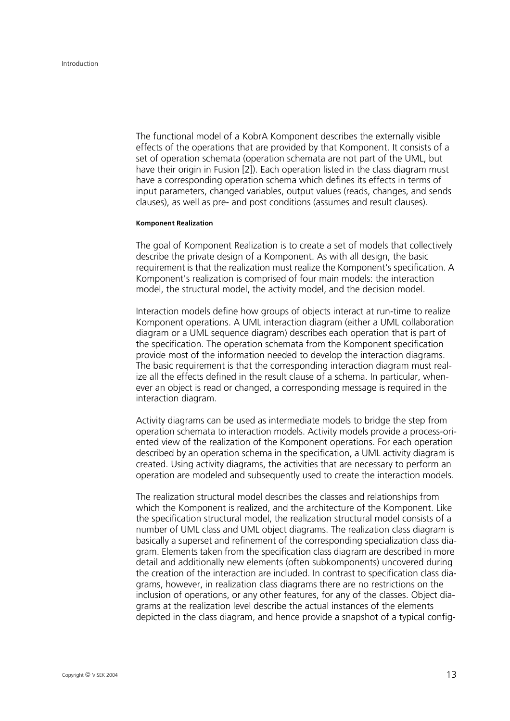The functional model of a KobrA Komponent describes the externally visible effects of the operations that are provided by that Komponent. It consists of a set of operation schemata (operation schemata are not part of the UML, but have their origin in Fusion [2]). Each operation listed in the class diagram must have a corresponding operation schema which defines its effects in terms of input parameters, changed variables, output values (reads, changes, and sends clauses), as well as pre- and post conditions (assumes and result clauses).

#### **Komponent Realization**

The goal of Komponent Realization is to create a set of models that collectively describe the private design of a Komponent. As with all design, the basic requirement is that the realization must realize the Komponent's specification. A Komponent's realization is comprised of four main models: the interaction model, the structural model, the activity model, and the decision model.

Interaction models define how groups of objects interact at run-time to realize Komponent operations. A UML interaction diagram (either a UML collaboration diagram or a UML sequence diagram) describes each operation that is part of the specification. The operation schemata from the Komponent specification provide most of the information needed to develop the interaction diagrams. The basic requirement is that the corresponding interaction diagram must realize all the effects defined in the result clause of a schema. In particular, whenever an object is read or changed, a corresponding message is required in the interaction diagram.

Activity diagrams can be used as intermediate models to bridge the step from operation schemata to interaction models. Activity models provide a process-oriented view of the realization of the Komponent operations. For each operation described by an operation schema in the specification, a UML activity diagram is created. Using activity diagrams, the activities that are necessary to perform an operation are modeled and subsequently used to create the interaction models.

The realization structural model describes the classes and relationships from which the Komponent is realized, and the architecture of the Komponent. Like the specification structural model, the realization structural model consists of a number of UML class and UML object diagrams. The realization class diagram is basically a superset and refinement of the corresponding specialization class diagram. Elements taken from the specification class diagram are described in more detail and additionally new elements (often subkomponents) uncovered during the creation of the interaction are included. In contrast to specification class diagrams, however, in realization class diagrams there are no restrictions on the inclusion of operations, or any other features, for any of the classes. Object diagrams at the realization level describe the actual instances of the elements depicted in the class diagram, and hence provide a snapshot of a typical config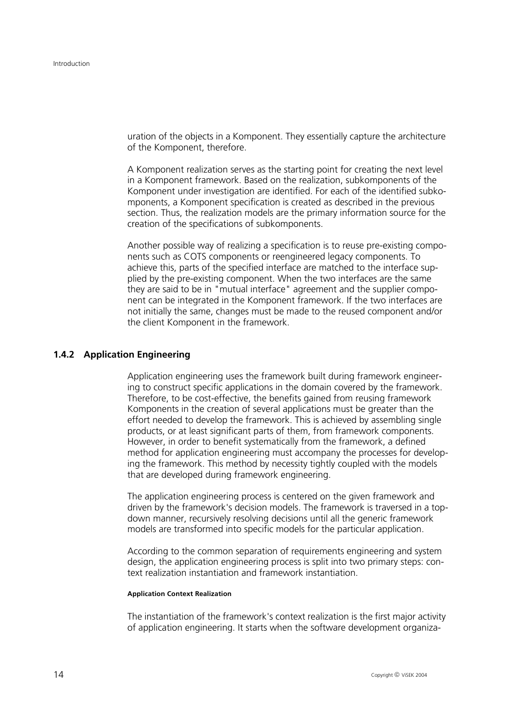uration of the objects in a Komponent. They essentially capture the architecture of the Komponent, therefore.

A Komponent realization serves as the starting point for creating the next level in a Komponent framework. Based on the realization, subkomponents of the Komponent under investigation are identified. For each of the identified subkomponents, a Komponent specification is created as described in the previous section. Thus, the realization models are the primary information source for the creation of the specifications of subkomponents.

Another possible way of realizing a specification is to reuse pre-existing components such as COTS components or reengineered legacy components. To achieve this, parts of the specified interface are matched to the interface supplied by the pre-existing component. When the two interfaces are the same they are said to be in "mutual interface" agreement and the supplier component can be integrated in the Komponent framework. If the two interfaces are not initially the same, changes must be made to the reused component and/or the client Komponent in the framework.

#### **1.4.2 Application Engineering**

Application engineering uses the framework built during framework engineering to construct specific applications in the domain covered by the framework. Therefore, to be cost-effective, the benefits gained from reusing framework Komponents in the creation of several applications must be greater than the effort needed to develop the framework. This is achieved by assembling single products, or at least significant parts of them, from framework components. However, in order to benefit systematically from the framework, a defined method for application engineering must accompany the processes for developing the framework. This method by necessity tightly coupled with the models that are developed during framework engineering.

The application engineering process is centered on the given framework and driven by the framework's decision models. The framework is traversed in a topdown manner, recursively resolving decisions until all the generic framework models are transformed into specific models for the particular application.

According to the common separation of requirements engineering and system design, the application engineering process is split into two primary steps: context realization instantiation and framework instantiation.

#### **Application Context Realization**

The instantiation of the framework's context realization is the first major activity of application engineering. It starts when the software development organiza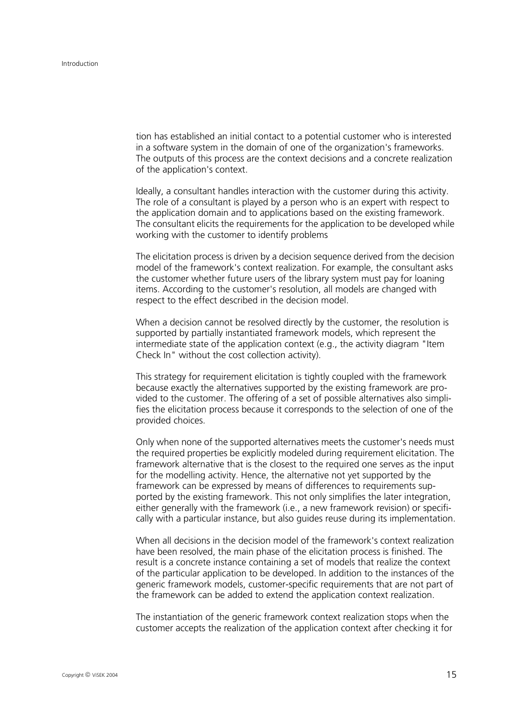tion has established an initial contact to a potential customer who is interested in a software system in the domain of one of the organization's frameworks. The outputs of this process are the context decisions and a concrete realization of the application's context.

Ideally, a consultant handles interaction with the customer during this activity. The role of a consultant is played by a person who is an expert with respect to the application domain and to applications based on the existing framework. The consultant elicits the requirements for the application to be developed while working with the customer to identify problems

The elicitation process is driven by a decision sequence derived from the decision model of the framework's context realization. For example, the consultant asks the customer whether future users of the library system must pay for loaning items. According to the customer's resolution, all models are changed with respect to the effect described in the decision model.

When a decision cannot be resolved directly by the customer, the resolution is supported by partially instantiated framework models, which represent the intermediate state of the application context (e.g., the activity diagram "Item Check In" without the cost collection activity).

This strategy for requirement elicitation is tightly coupled with the framework because exactly the alternatives supported by the existing framework are provided to the customer. The offering of a set of possible alternatives also simplifies the elicitation process because it corresponds to the selection of one of the provided choices.

Only when none of the supported alternatives meets the customer's needs must the required properties be explicitly modeled during requirement elicitation. The framework alternative that is the closest to the required one serves as the input for the modelling activity. Hence, the alternative not yet supported by the framework can be expressed by means of differences to requirements supported by the existing framework. This not only simplifies the later integration, either generally with the framework (i.e., a new framework revision) or specifically with a particular instance, but also guides reuse during its implementation.

When all decisions in the decision model of the framework's context realization have been resolved, the main phase of the elicitation process is finished. The result is a concrete instance containing a set of models that realize the context of the particular application to be developed. In addition to the instances of the generic framework models, customer-specific requirements that are not part of the framework can be added to extend the application context realization.

The instantiation of the generic framework context realization stops when the customer accepts the realization of the application context after checking it for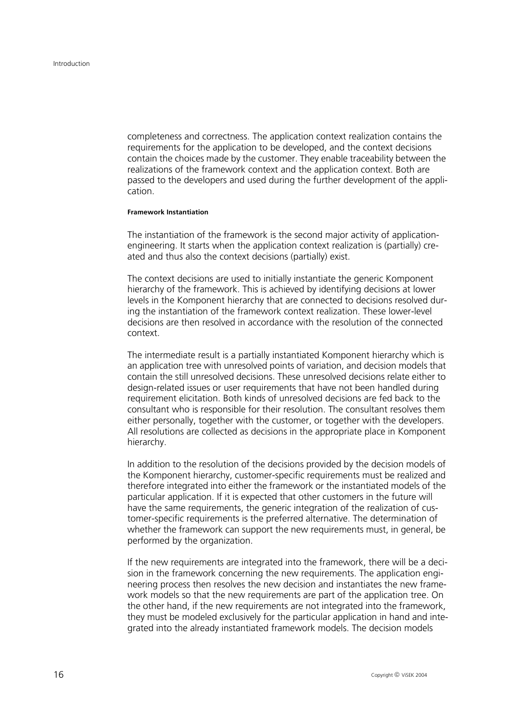completeness and correctness. The application context realization contains the requirements for the application to be developed, and the context decisions contain the choices made by the customer. They enable traceability between the realizations of the framework context and the application context. Both are passed to the developers and used during the further development of the application.

#### **Framework Instantiation**

The instantiation of the framework is the second major activity of applicationengineering. It starts when the application context realization is (partially) created and thus also the context decisions (partially) exist.

The context decisions are used to initially instantiate the generic Komponent hierarchy of the framework. This is achieved by identifying decisions at lower levels in the Komponent hierarchy that are connected to decisions resolved during the instantiation of the framework context realization. These lower-level decisions are then resolved in accordance with the resolution of the connected context.

The intermediate result is a partially instantiated Komponent hierarchy which is an application tree with unresolved points of variation, and decision models that contain the still unresolved decisions. These unresolved decisions relate either to design-related issues or user requirements that have not been handled during requirement elicitation. Both kinds of unresolved decisions are fed back to the consultant who is responsible for their resolution. The consultant resolves them either personally, together with the customer, or together with the developers. All resolutions are collected as decisions in the appropriate place in Komponent hierarchy.

In addition to the resolution of the decisions provided by the decision models of the Komponent hierarchy, customer-specific requirements must be realized and therefore integrated into either the framework or the instantiated models of the particular application. If it is expected that other customers in the future will have the same requirements, the generic integration of the realization of customer-specific requirements is the preferred alternative. The determination of whether the framework can support the new requirements must, in general, be performed by the organization.

If the new requirements are integrated into the framework, there will be a decision in the framework concerning the new requirements. The application engineering process then resolves the new decision and instantiates the new framework models so that the new requirements are part of the application tree. On the other hand, if the new requirements are not integrated into the framework, they must be modeled exclusively for the particular application in hand and integrated into the already instantiated framework models. The decision models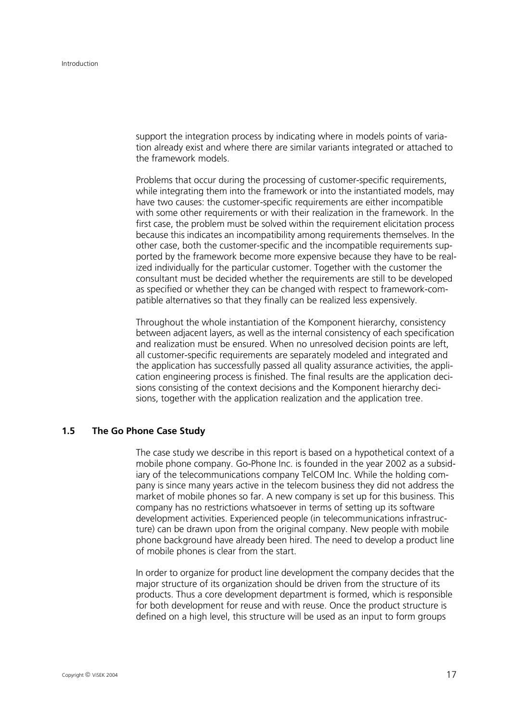support the integration process by indicating where in models points of variation already exist and where there are similar variants integrated or attached to the framework models.

Problems that occur during the processing of customer-specific requirements, while integrating them into the framework or into the instantiated models, may have two causes: the customer-specific requirements are either incompatible with some other requirements or with their realization in the framework. In the first case, the problem must be solved within the requirement elicitation process because this indicates an incompatibility among requirements themselves. In the other case, both the customer-specific and the incompatible requirements supported by the framework become more expensive because they have to be realized individually for the particular customer. Together with the customer the consultant must be decided whether the requirements are still to be developed as specified or whether they can be changed with respect to framework-compatible alternatives so that they finally can be realized less expensively.

Throughout the whole instantiation of the Komponent hierarchy, consistency between adjacent layers, as well as the internal consistency of each specification and realization must be ensured. When no unresolved decision points are left, all customer-specific requirements are separately modeled and integrated and the application has successfully passed all quality assurance activities, the application engineering process is finished. The final results are the application decisions consisting of the context decisions and the Komponent hierarchy decisions, together with the application realization and the application tree.

#### **1.5 The Go Phone Case Study**

The case study we describe in this report is based on a hypothetical context of a mobile phone company. Go-Phone Inc. is founded in the year 2002 as a subsidiary of the telecommunications company TelCOM Inc. While the holding company is since many years active in the telecom business they did not address the market of mobile phones so far. A new company is set up for this business. This company has no restrictions whatsoever in terms of setting up its software development activities. Experienced people (in telecommunications infrastructure) can be drawn upon from the original company. New people with mobile phone background have already been hired. The need to develop a product line of mobile phones is clear from the start.

In order to organize for product line development the company decides that the major structure of its organization should be driven from the structure of its products. Thus a core development department is formed, which is responsible for both development for reuse and with reuse. Once the product structure is defined on a high level, this structure will be used as an input to form groups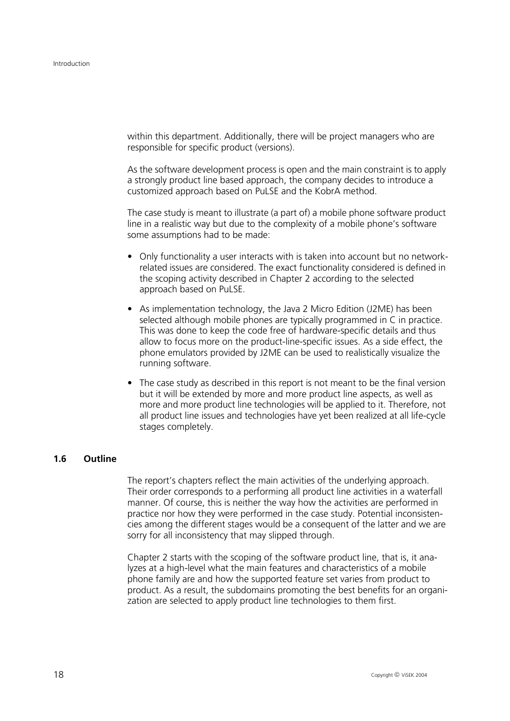within this department. Additionally, there will be project managers who are responsible for specific product (versions).

As the software development process is open and the main constraint is to apply a strongly product line based approach, the company decides to introduce a customized approach based on PuLSE and the KobrA method.

The case study is meant to illustrate (a part of) a mobile phone software product line in a realistic way but due to the complexity of a mobile phone's software some assumptions had to be made:

- Only functionality a user interacts with is taken into account but no networkrelated issues are considered. The exact functionality considered is defined in the scoping activity described in Chapter 2 according to the selected approach based on PuLSE.
- As implementation technology, the Java 2 Micro Edition (J2ME) has been selected although mobile phones are typically programmed in C in practice. This was done to keep the code free of hardware-specific details and thus allow to focus more on the product-line-specific issues. As a side effect, the phone emulators provided by J2ME can be used to realistically visualize the running software.
- The case study as described in this report is not meant to be the final version but it will be extended by more and more product line aspects, as well as more and more product line technologies will be applied to it. Therefore, not all product line issues and technologies have yet been realized at all life-cycle stages completely.

# **1.6 Outline**

The report's chapters reflect the main activities of the underlying approach. Their order corresponds to a performing all product line activities in a waterfall manner. Of course, this is neither the way how the activities are performed in practice nor how they were performed in the case study. Potential inconsistencies among the different stages would be a consequent of the latter and we are sorry for all inconsistency that may slipped through.

Chapter 2 starts with the scoping of the software product line, that is, it analyzes at a high-level what the main features and characteristics of a mobile phone family are and how the supported feature set varies from product to product. As a result, the subdomains promoting the best benefits for an organization are selected to apply product line technologies to them first.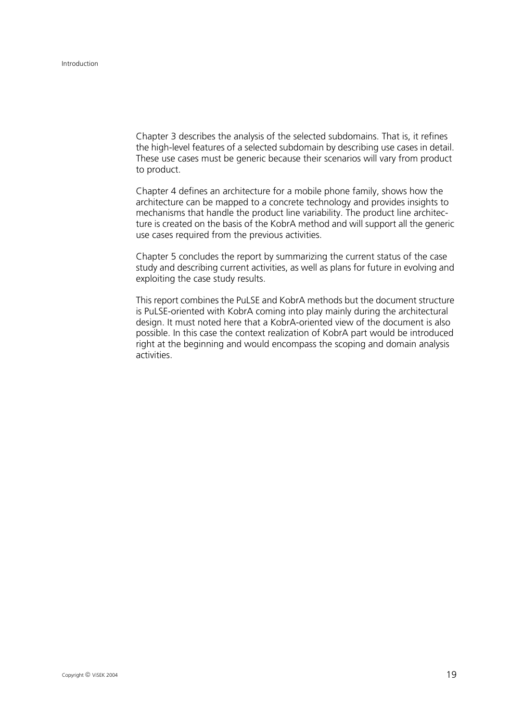Chapter 3 describes the analysis of the selected subdomains. That is, it refines the high-level features of a selected subdomain by describing use cases in detail. These use cases must be generic because their scenarios will vary from product to product.

Chapter 4 defines an architecture for a mobile phone family, shows how the architecture can be mapped to a concrete technology and provides insights to mechanisms that handle the product line variability. The product line architecture is created on the basis of the KobrA method and will support all the generic use cases required from the previous activities.

Chapter 5 concludes the report by summarizing the current status of the case study and describing current activities, as well as plans for future in evolving and exploiting the case study results.

This report combines the PuLSE and KobrA methods but the document structure is PuLSE-oriented with KobrA coming into play mainly during the architectural design. It must noted here that a KobrA-oriented view of the document is also possible. In this case the context realization of KobrA part would be introduced right at the beginning and would encompass the scoping and domain analysis activities.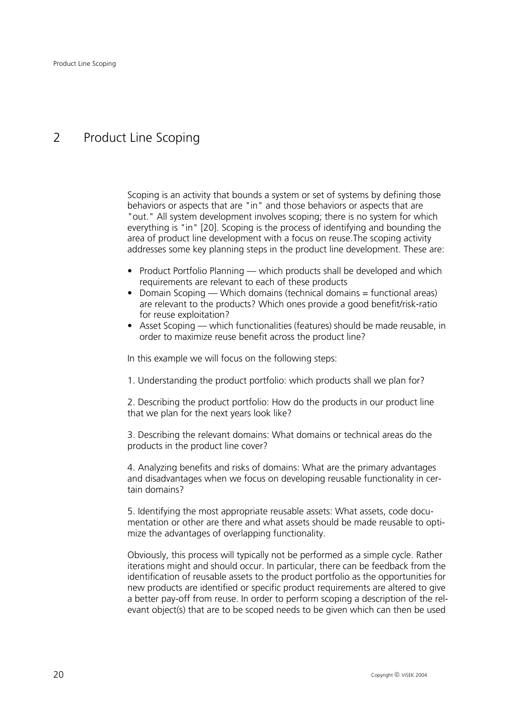# 2 Product Line Scoping

Scoping is an activity that bounds a system or set of systems by defining those behaviors or aspects that are "in" and those behaviors or aspects that are "out." All system development involves scoping; there is no system for which everything is "in" [20]. Scoping is the process of identifying and bounding the area of product line development with a focus on reuse.The scoping activity addresses some key planning steps in the product line development. These are:

- Product Portfolio Planning which products shall be developed and which requirements are relevant to each of these products
- Domain Scoping Which domains (technical domains  $=$  functional areas) are relevant to the products? Which ones provide a good benefit/risk-ratio for reuse exploitation?
- Asset Scoping which functionalities (features) should be made reusable, in order to maximize reuse benefit across the product line?

In this example we will focus on the following steps:

1. Understanding the product portfolio: which products shall we plan for?

2. Describing the product portfolio: How do the products in our product line that we plan for the next years look like?

3. Describing the relevant domains: What domains or technical areas do the products in the product line cover?

4. Analyzing benefits and risks of domains: What are the primary advantages and disadvantages when we focus on developing reusable functionality in certain domains?

5. Identifying the most appropriate reusable assets: What assets, code documentation or other are there and what assets should be made reusable to optimize the advantages of overlapping functionality.

Obviously, this process will typically not be performed as a simple cycle. Rather iterations might and should occur. In particular, there can be feedback from the identification of reusable assets to the product portfolio as the opportunities for new products are identified or specific product requirements are altered to give a better pay-off from reuse. In order to perform scoping a description of the relevant object(s) that are to be scoped needs to be given which can then be used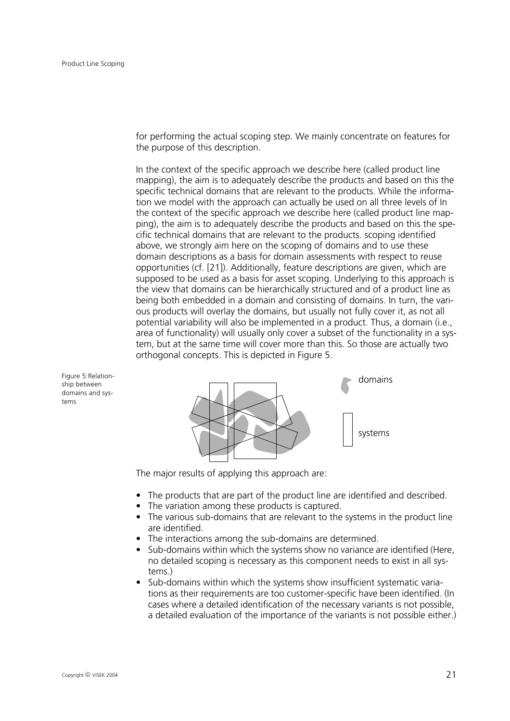for performing the actual scoping step. We mainly concentrate on features for the purpose of this description.

In the context of the specific approach we describe here (called product line mapping), the aim is to adequately describe the products and based on this the specific technical domains that are relevant to the products. While the information we model with the approach can actually be used on all three levels of In the context of the specific approach we describe here (called product line mapping), the aim is to adequately describe the products and based on this the specific technical domains that are relevant to the products. scoping identified above, we strongly aim here on the scoping of domains and to use these domain descriptions as a basis for domain assessments with respect to reuse opportunities (cf. [21]). Additionally, feature descriptions are given, which are supposed to be used as a basis for asset scoping. Underlying to this approach is the view that domains can be hierarchically structured and of a product line as being both embedded in a domain and consisting of domains. In turn, the various products will overlay the domains, but usually not fully cover it, as not all potential variability will also be implemented in a product. Thus, a domain (i.e., area of functionality) will usually only cover a subset of the functionality in a system, but at the same time will cover more than this. So those are actually two orthogonal concepts. This is depicted in Figure 5.

Figure 5:Relationship between domains and systems



The major results of applying this approach are:

- The products that are part of the product line are identified and described.
- The variation among these products is captured.
- The various sub-domains that are relevant to the systems in the product line are identified.
- The interactions among the sub-domains are determined.
- Sub-domains within which the systems show no variance are identified (Here, no detailed scoping is necessary as this component needs to exist in all systems.)
- Sub-domains within which the systems show insufficient systematic variations as their requirements are too customer-specific have been identified. (In cases where a detailed identification of the necessary variants is not possible, a detailed evaluation of the importance of the variants is not possible either.)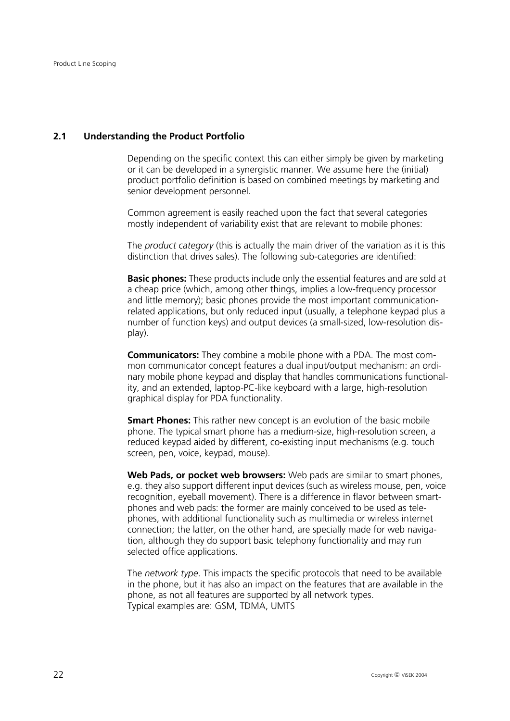# **2.1 Understanding the Product Portfolio**

Depending on the specific context this can either simply be given by marketing or it can be developed in a synergistic manner. We assume here the (initial) product portfolio definition is based on combined meetings by marketing and senior development personnel.

Common agreement is easily reached upon the fact that several categories mostly independent of variability exist that are relevant to mobile phones:

The *product category* (this is actually the main driver of the variation as it is this distinction that drives sales). The following sub-categories are identified:

**Basic phones:** These products include only the essential features and are sold at a cheap price (which, among other things, implies a low-frequency processor and little memory); basic phones provide the most important communicationrelated applications, but only reduced input (usually, a telephone keypad plus a number of function keys) and output devices (a small-sized, low-resolution display).

**Communicators:** They combine a mobile phone with a PDA. The most common communicator concept features a dual input/output mechanism: an ordinary mobile phone keypad and display that handles communications functionality, and an extended, laptop-PC-like keyboard with a large, high-resolution graphical display for PDA functionality.

**Smart Phones:** This rather new concept is an evolution of the basic mobile phone. The typical smart phone has a medium-size, high-resolution screen, a reduced keypad aided by different, co-existing input mechanisms (e.g. touch screen, pen, voice, keypad, mouse).

**Web Pads, or pocket web browsers:** Web pads are similar to smart phones, e.g. they also support different input devices (such as wireless mouse, pen, voice recognition, eyeball movement). There is a difference in flavor between smartphones and web pads: the former are mainly conceived to be used as telephones, with additional functionality such as multimedia or wireless internet connection; the latter, on the other hand, are specially made for web navigation, although they do support basic telephony functionality and may run selected office applications.

The *network type*. This impacts the specific protocols that need to be available in the phone, but it has also an impact on the features that are available in the phone, as not all features are supported by all network types. Typical examples are: GSM, TDMA, UMTS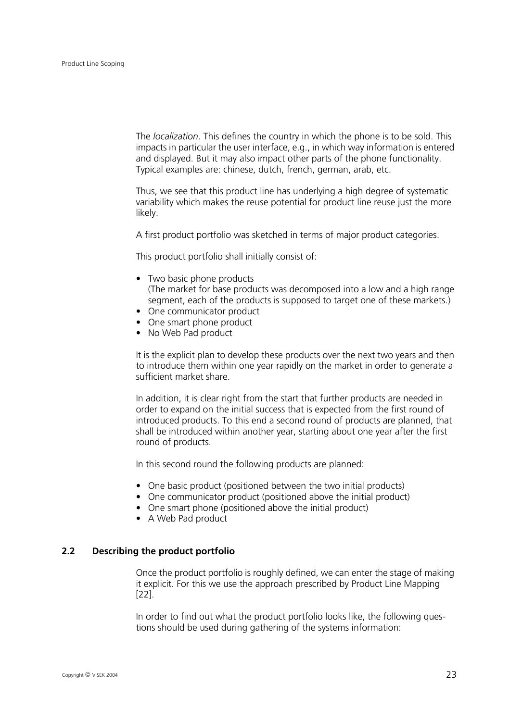The *localization*. This defines the country in which the phone is to be sold. This impacts in particular the user interface, e.g., in which way information is entered and displayed. But it may also impact other parts of the phone functionality. Typical examples are: chinese, dutch, french, german, arab, etc.

Thus, we see that this product line has underlying a high degree of systematic variability which makes the reuse potential for product line reuse just the more likely.

A first product portfolio was sketched in terms of major product categories.

This product portfolio shall initially consist of:

- Two basic phone products (The market for base products was decomposed into a low and a high range segment, each of the products is supposed to target one of these markets.)
- One communicator product
- One smart phone product
- No Web Pad product

It is the explicit plan to develop these products over the next two years and then to introduce them within one year rapidly on the market in order to generate a sufficient market share.

In addition, it is clear right from the start that further products are needed in order to expand on the initial success that is expected from the first round of introduced products. To this end a second round of products are planned, that shall be introduced within another year, starting about one year after the first round of products.

In this second round the following products are planned:

- One basic product (positioned between the two initial products)
- One communicator product (positioned above the initial product)
- One smart phone (positioned above the initial product)
- A Web Pad product

#### **2.2 Describing the product portfolio**

Once the product portfolio is roughly defined, we can enter the stage of making it explicit. For this we use the approach prescribed by Product Line Mapping [22].

In order to find out what the product portfolio looks like, the following questions should be used during gathering of the systems information: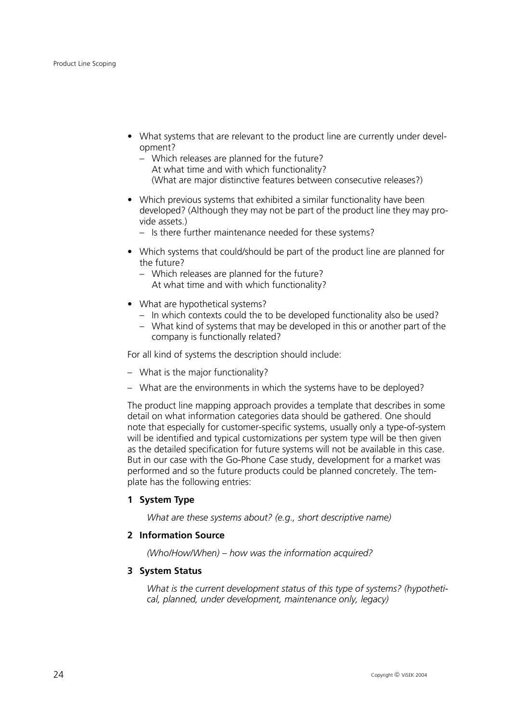- What systems that are relevant to the product line are currently under development?
	- Which releases are planned for the future? At what time and with which functionality? (What are major distinctive features between consecutive releases?)
- Which previous systems that exhibited a similar functionality have been developed? (Although they may not be part of the product line they may provide assets.)
	- Is there further maintenance needed for these systems?
- Which systems that could/should be part of the product line are planned for the future?
	- Which releases are planned for the future?
		- At what time and with which functionality?
- What are hypothetical systems?
	- In which contexts could the to be developed functionality also be used?
	- What kind of systems that may be developed in this or another part of the company is functionally related?

For all kind of systems the description should include:

- What is the major functionality?
- What are the environments in which the systems have to be deployed?

The product line mapping approach provides a template that describes in some detail on what information categories data should be gathered. One should note that especially for customer-specific systems, usually only a type-of-system will be identified and typical customizations per system type will be then given as the detailed specification for future systems will not be available in this case. But in our case with the Go-Phone Case study, development for a market was performed and so the future products could be planned concretely. The template has the following entries:

#### **1 System Type**

*What are these systems about? (e.g., short descriptive name)*

### **2 Information Source**

*(Who/How/When) – how was the information acquired?*

#### **3 System Status**

*What is the current development status of this type of systems? (hypothetical, planned, under development, maintenance only, legacy)*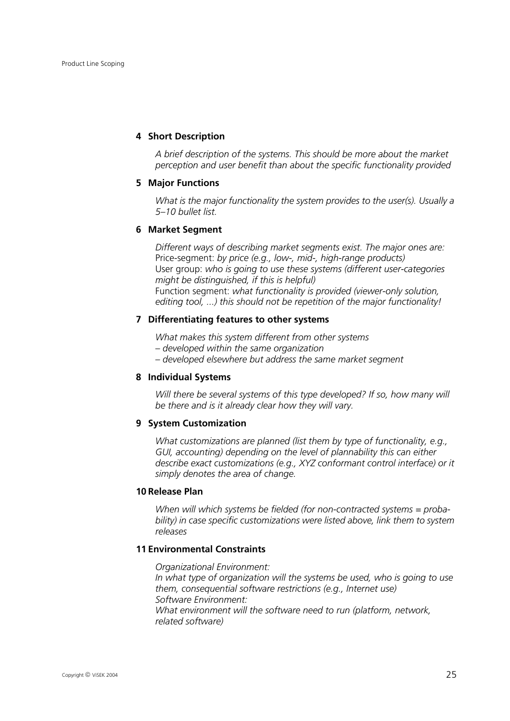#### **4 Short Description**

*A brief description of the systems. This should be more about the market perception and user benefit than about the specific functionality provided*

#### **5 Major Functions**

*What is the major functionality the system provides to the user(s). Usually a 5–10 bullet list.*

#### **6 Market Segment**

*Different ways of describing market segments exist. The major ones are:* Price-segment: *by price (e.g., low-, mid-, high-range products)* User group: *who is going to use these systems (different user-categories might be distinguished, if this is helpful)* Function segment: *what functionality is provided (viewer-only solution, editing tool, ...) this should not be repetition of the major functionality!*

#### **7 Differentiating features to other systems**

*What makes this system different from other systems*

- *developed within the same organization*
- *developed elsewhere but address the same market segment*

# **8 Individual Systems**

Will there be several systems of this type developed? If so, how many will *be there and is it already clear how they will vary.*

#### **9 System Customization**

*What customizations are planned (list them by type of functionality, e.g., GUI, accounting) depending on the level of plannability this can either describe exact customizations (e.g., XYZ conformant control interface) or it simply denotes the area of change.* 

# **10 Release Plan**

*When will which systems be fielded (for non-contracted systems = probability) in case specific customizations were listed above, link them to system releases*

# **11 Environmental Constraints**

*Organizational Environment: In what type of organization will the systems be used, who is going to use them, consequential software restrictions (e.g., Internet use) Software Environment: What environment will the software need to run (platform, network, related software)*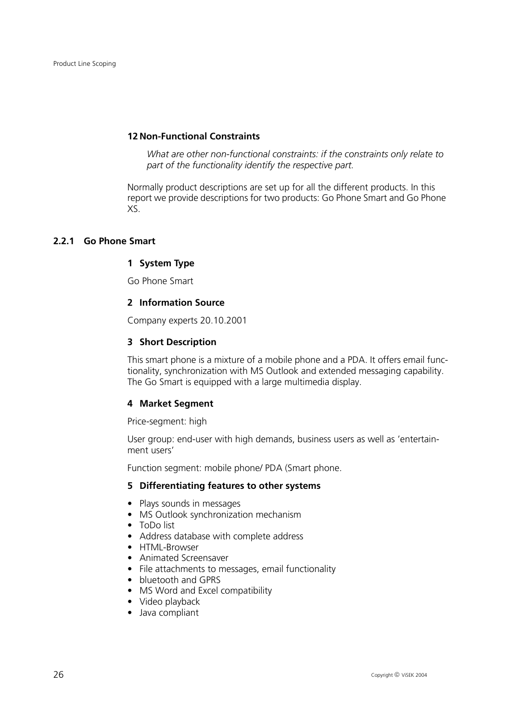# **12 Non-Functional Constraints**

*What are other non-functional constraints: if the constraints only relate to part of the functionality identify the respective part.* 

Normally product descriptions are set up for all the different products. In this report we provide descriptions for two products: Go Phone Smart and Go Phone XS.

# **2.2.1 Go Phone Smart**

#### **1 System Type**

Go Phone Smart

# **2 Information Source**

Company experts 20.10.2001

# **3 Short Description**

This smart phone is a mixture of a mobile phone and a PDA. It offers email functionality, synchronization with MS Outlook and extended messaging capability. The Go Smart is equipped with a large multimedia display.

#### **4 Market Segment**

Price-segment: high

User group: end-user with high demands, business users as well as 'entertainment users'

Function segment: mobile phone/ PDA (Smart phone.

#### **5 Differentiating features to other systems**

- Plays sounds in messages
- MS Outlook synchronization mechanism
- ToDo list
- Address database with complete address
- HTML-Browser
- Animated Screensaver
- File attachments to messages, email functionality
- bluetooth and GPRS
- MS Word and Excel compatibility
- Video playback
- Java compliant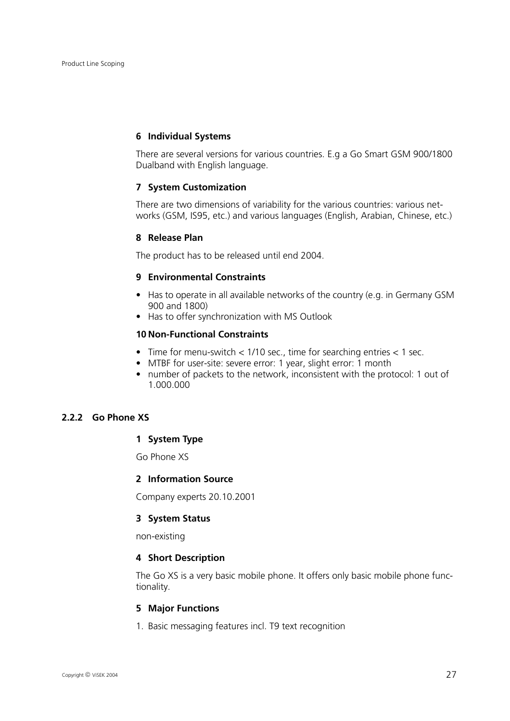#### **6 Individual Systems**

There are several versions for various countries. E.g a Go Smart GSM 900/1800 Dualband with English language.

#### **7 System Customization**

There are two dimensions of variability for the various countries: various networks (GSM, IS95, etc.) and various languages (English, Arabian, Chinese, etc.)

#### **8 Release Plan**

The product has to be released until end 2004.

# **9 Environmental Constraints**

- Has to operate in all available networks of the country (e.g. in Germany GSM 900 and 1800)
- Has to offer synchronization with MS Outlook

#### **10 Non-Functional Constraints**

- Time for menu-switch < 1/10 sec., time for searching entries < 1 sec.
- MTBF for user-site: severe error: 1 year, slight error: 1 month
- number of packets to the network, inconsistent with the protocol: 1 out of 1.000.000

# **2.2.2 Go Phone XS**

#### **1 System Type**

Go Phone XS

#### **2 Information Source**

Company experts 20.10.2001

#### **3 System Status**

non-existing

# **4 Short Description**

The Go XS is a very basic mobile phone. It offers only basic mobile phone functionality.

#### **5 Major Functions**

1. Basic messaging features incl. T9 text recognition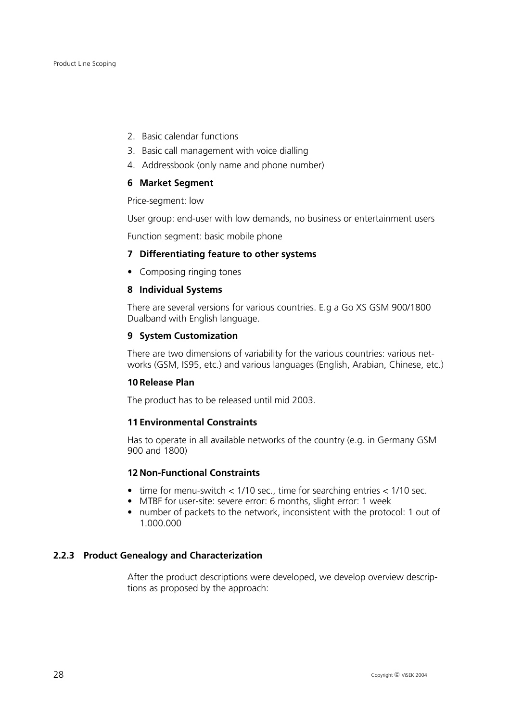- 2. Basic calendar functions
- 3. Basic call management with voice dialling
- 4. Addressbook (only name and phone number)

# **6 Market Segment**

#### Price-segment: low

User group: end-user with low demands, no business or entertainment users

Function segment: basic mobile phone

# **7 Differentiating feature to other systems**

• Composing ringing tones

# **8 Individual Systems**

There are several versions for various countries. E.g a Go XS GSM 900/1800 Dualband with English language.

# **9 System Customization**

There are two dimensions of variability for the various countries: various networks (GSM, IS95, etc.) and various languages (English, Arabian, Chinese, etc.)

### **10 Release Plan**

The product has to be released until mid 2003.

#### **11 Environmental Constraints**

Has to operate in all available networks of the country (e.g. in Germany GSM 900 and 1800)

# **12 Non-Functional Constraints**

- time for menu-switch < 1/10 sec., time for searching entries < 1/10 sec.
- MTBF for user-site: severe error: 6 months, slight error: 1 week
- number of packets to the network, inconsistent with the protocol: 1 out of 1.000.000

# **2.2.3 Product Genealogy and Characterization**

After the product descriptions were developed, we develop overview descriptions as proposed by the approach: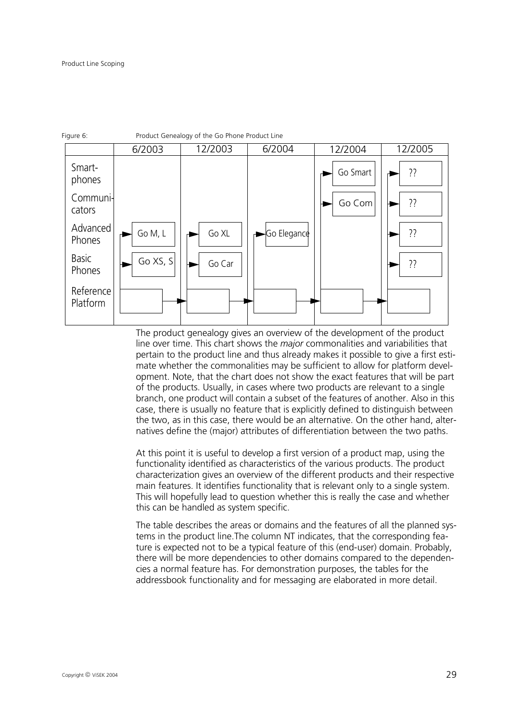

The product genealogy gives an overview of the development of the product line over time. This chart shows the *major* commonalities and variabilities that pertain to the product line and thus already makes it possible to give a first estimate whether the commonalities may be sufficient to allow for platform development. Note, that the chart does not show the exact features that will be part of the products. Usually, in cases where two products are relevant to a single branch, one product will contain a subset of the features of another. Also in this case, there is usually no feature that is explicitly defined to distinguish between the two, as in this case, there would be an alternative. On the other hand, alternatives define the (major) attributes of differentiation between the two paths.

At this point it is useful to develop a first version of a product map, using the functionality identified as characteristics of the various products. The product characterization gives an overview of the different products and their respective main features. It identifies functionality that is relevant only to a single system. This will hopefully lead to question whether this is really the case and whether this can be handled as system specific.

The table describes the areas or domains and the features of all the planned systems in the product line.The column NT indicates, that the corresponding feature is expected not to be a typical feature of this (end-user) domain. Probably, there will be more dependencies to other domains compared to the dependencies a normal feature has. For demonstration purposes, the tables for the addressbook functionality and for messaging are elaborated in more detail.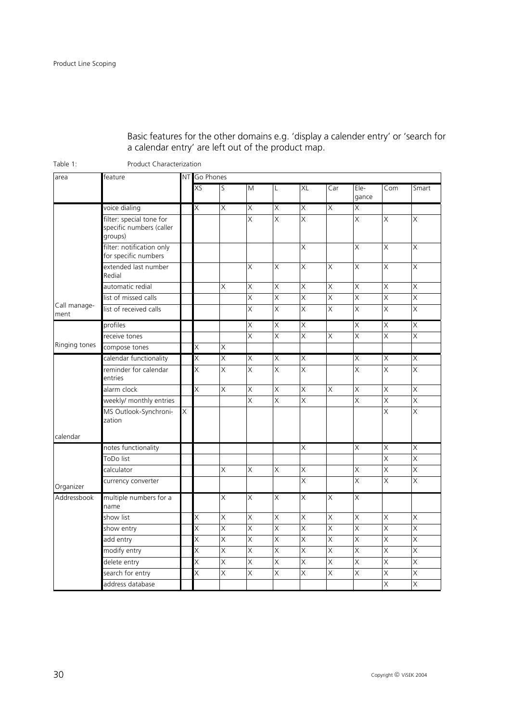Basic features for the other domains e.g. 'display a calender entry' or 'search for a calendar entry' are left out of the product map.

| area                 | feature                                                         | NT Go Phones |                |                         |                         |                         |                         |                         |                         |                         |                         |
|----------------------|-----------------------------------------------------------------|--------------|----------------|-------------------------|-------------------------|-------------------------|-------------------------|-------------------------|-------------------------|-------------------------|-------------------------|
|                      |                                                                 |              | X <sub>S</sub> | S                       | M                       | L                       | XL                      | Car                     | Ele-<br>gance           | Com                     | Smart                   |
|                      | voice dialing                                                   |              | X              | $\overline{X}$          | $\overline{\mathsf{X}}$ | $\overline{\mathsf{X}}$ | $\mathsf X$             | $\overline{X}$          | $\overline{\mathsf{X}}$ |                         |                         |
|                      | filter: special tone for<br>specific numbers (caller<br>groups) |              |                |                         | X                       | $\sf X$                 | $\mathsf{X}$            |                         | X                       | X                       | X                       |
|                      | filter: notification only<br>for specific numbers               |              |                |                         |                         |                         | $\mathsf X$             |                         | X                       | X                       | X                       |
|                      | extended last number<br>Redial                                  |              |                |                         | X                       | X                       | X                       | X                       | X                       | X                       | X                       |
|                      | automatic redial                                                |              |                | $\overline{\mathsf{X}}$ | $\overline{\mathsf{X}}$ | $\mathsf X$             | $\overline{\mathsf{X}}$ | $\overline{X}$          | $\mathsf{X}$            | $\overline{X}$          | $\overline{\mathsf{x}}$ |
|                      | list of missed calls                                            |              |                |                         | X                       | $\overline{X}$          | $\overline{X}$          | $\overline{X}$          | $\mathsf{X}$            | $\overline{X}$          | $\overline{\mathsf{x}}$ |
| Call manage-<br>ment | list of received calls                                          |              |                |                         | X                       | $\mathsf{X}% _{0}$      | $\sf X$                 | $\mathsf{X}$            | $\mathsf{X}$            | X                       | X                       |
|                      | profiles                                                        |              |                |                         | X                       | X                       | X                       |                         | Χ                       | Χ                       | $\overline{X}$          |
|                      | receive tones                                                   |              |                |                         | X                       | $\overline{\mathsf{x}}$ | X                       | X                       | X                       | X                       | $\overline{X}$          |
| Ringing tones        | compose tones                                                   |              | X              | $\mathsf{X}$            |                         |                         |                         |                         |                         |                         |                         |
|                      | calendar functionality                                          |              | Χ              | Χ                       | $\overline{\mathsf{X}}$ | $\overline{\mathsf{X}}$ | X                       |                         | Χ                       | Χ                       | $\overline{\mathsf{X}}$ |
|                      | reminder for calendar<br>entries                                |              | $\times$       | $\mathsf{X}$            | $\sf X$                 | $\sf X$                 | $\sf X$                 |                         | $\mathsf{X}$            | $\mathsf{X}$            | $\mathsf{X}% _{0}$      |
|                      | alarm clock                                                     |              | X              | X                       | Χ                       | Χ                       | $\mathsf X$             | Χ                       | Χ                       | $\mathsf X$             | $\mathsf X$             |
|                      | weekly/ monthly entries                                         |              |                |                         | $\times$                | $\overline{\mathsf{x}}$ | X                       |                         | $\mathsf{X}$            | $\overline{\mathsf{X}}$ | $\overline{\mathsf{X}}$ |
|                      | MS Outlook-Synchroni-<br>zation                                 | $\times$     |                |                         |                         |                         |                         |                         |                         | $\overline{\mathsf{X}}$ | $\mathsf{X}% _{0}$      |
| calendar             |                                                                 |              |                |                         |                         |                         |                         |                         |                         |                         |                         |
|                      | notes functionality                                             |              |                |                         |                         |                         | X                       |                         | Χ                       | Χ                       | X                       |
|                      | ToDo list                                                       |              |                |                         |                         |                         |                         |                         |                         | X                       | $\sf X$                 |
|                      | calculator                                                      |              |                | $\mathsf{X}$            | $\overline{\mathsf{X}}$ | $\mathsf{X}% _{0}$      | $\overline{\mathsf{X}}$ |                         | Χ                       | X                       | $\mathsf{X}% _{0}$      |
| Organizer            | currency converter                                              |              |                |                         |                         |                         | $\mathsf{X}$            |                         | X                       | X                       | $\overline{X}$          |
| Addressbook          | multiple numbers for a<br>name                                  |              |                | X                       | Χ                       | Χ                       | X                       | X                       | Χ                       |                         |                         |
|                      | show list                                                       |              | X              | $\mathsf{X}$            | $\mathsf{X}$            | $\overline{\mathsf{X}}$ | $\overline{\mathsf{X}}$ | $\overline{\mathsf{X}}$ | $\mathsf{X}$            | X                       | $\mathsf{X}% _{0}$      |
|                      | show entry                                                      |              | X              | $\mathsf{X}$            | $\sf X$                 | $\sf X$                 | $\sf X$                 | $\times$                | $\mathsf{X}$            | $\mathsf{X}$            | X                       |
|                      | add entry                                                       |              | Χ              | $\mathsf{X}$            | $\mathsf X$             | $\overline{\mathsf{X}}$ | $\mathsf X$             | $\overline{\mathsf{X}}$ | $\times$                | $\mathsf X$             | $\mathsf{X}% _{0}$      |
|                      | modify entry                                                    |              | X              | $\overline{\mathsf{x}}$ | $\times$                | $\overline{\mathsf{x}}$ | $\overline{\mathsf{x}}$ | $\overline{X}$          | $\mathsf{X}$            | X                       | $\overline{\mathsf{x}}$ |
|                      | delete entry                                                    |              | Χ              | $\mathsf{X}$            | $\mathsf{X}$            | $\overline{\mathsf{X}}$ | $\times$                | $\times$                | $\times$                | $\overline{\mathsf{X}}$ | $\times$                |
|                      | search for entry                                                |              | X              | $\mathsf{X}$            | X                       | $\mathsf{X}$            | $\mathsf{X}$            | $\times$                | $\times$                | $\times$                | $\overline{\mathsf{X}}$ |
|                      | address database                                                |              |                |                         |                         |                         |                         |                         |                         | $\overline{X}$          | $\overline{X}$          |

Table 1: Product Characterization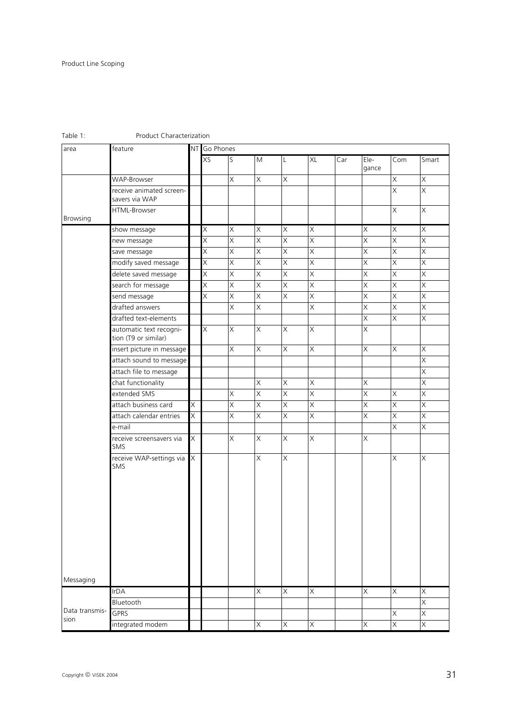| area           | feature                                         |          | NT Go Phones |                    |                |                         |                           |     |                    |                         |                           |
|----------------|-------------------------------------------------|----------|--------------|--------------------|----------------|-------------------------|---------------------------|-----|--------------------|-------------------------|---------------------------|
|                |                                                 |          | XS           | S                  | M              | L                       | XL                        | Car | Ele-<br>gance      | Com                     | Smart                     |
|                | <b>WAP-Browser</b>                              |          |              | $\mathsf X$        | X              | X                       |                           |     |                    | X                       | X                         |
|                | receive animated screen-<br>savers via WAP      |          |              |                    |                |                         |                           |     |                    | $\mathsf{X}$            | $\times$                  |
| Browsing       | HTML-Browser                                    |          |              |                    |                |                         |                           |     |                    | X                       | X                         |
|                | show message                                    |          | Χ            | X                  | X              | X                       | X                         |     | X                  | $\overline{\mathsf{X}}$ | X                         |
|                | new message                                     |          | Χ            | X                  | X              | Χ                       | X                         |     | Χ                  | Χ                       | X                         |
|                | save message                                    |          | $\times$     | $\mathsf{X}% _{0}$ | $\mathsf{X}$   | $\mathsf{X}% _{0}$      | $\mathsf X$               |     | $\mathsf{X}% _{0}$ | X                       | $\overline{X}$            |
|                | modify saved message                            |          | $\times$     | $\overline{X}$     | $\mathsf X$    | $\mathsf X$             | $\mathsf X$               |     | $\overline{X}$     | X                       | $\overline{X}$            |
|                | delete saved message                            |          | $\times$     | $\mathsf X$        | $\mathsf X$    | $\times$                | $\mathsf X$               |     | $\mathsf X$        | X                       | $\mathsf{X}$              |
|                | search for message                              |          | $\times$     | X                  | $\mathsf{X}$   | $\overline{\mathsf{x}}$ | $\mathsf{X}$              |     | $\mathsf{X}% _{0}$ | $\mathsf{X}$            | $\overline{X}$            |
|                | send message                                    |          | X            | X                  | $\mathsf X$    | $\mathsf X$             | X                         |     | $\mathsf X$        | X                       | $\mathsf X$               |
|                | drafted answers                                 |          |              | $\times$           | X              |                         | $\boldsymbol{\mathsf{X}}$ |     | X                  | X                       | $\times$                  |
|                | drafted text-elements                           |          |              |                    |                |                         |                           |     | $\overline{X}$     | $\mathsf{X}$            | $\mathsf{X}$              |
|                | automatic text recogni-<br>tion (T9 or similar) |          | X            | $\mathsf X$        | $\mathsf X$    | X                       | $\mathsf X$               |     | $\overline{X}$     |                         |                           |
|                | insert picture in message                       |          |              | X                  | $\mathsf X$    | X                       | $\times$                  |     | $\overline{X}$     | $\times$                | X                         |
|                | attach sound to message                         |          |              |                    |                |                         |                           |     |                    |                         | X                         |
|                | attach file to message                          |          |              |                    |                |                         |                           |     |                    |                         | $\mathsf{X}$              |
|                | chat functionality                              |          |              |                    | $\times$       | $\mathsf{X}$            | $\mathsf X$               |     | X                  |                         | $\boldsymbol{\mathsf{X}}$ |
|                | extended SMS                                    |          |              | $\mathsf X$        | $\mathsf X$    | $\overline{X}$          | $\mathsf X$               |     | $\overline{X}$     | X                       | $\mathsf X$               |
|                | attach business card                            | $\times$ |              | $\mathsf X$        | X              | X                       | $\mathsf X$               |     | Χ                  | X                       | $\times$                  |
|                | attach calendar entries                         | $\times$ |              | X                  | $\mathsf X$    | $\times$                | X                         |     | $\mathsf X$        | X                       | X                         |
|                | e-mail                                          |          |              |                    |                |                         |                           |     |                    | Χ                       | $\overline{X}$            |
|                | receive screensavers via<br><b>SMS</b>          | X        |              | $\mathsf{X}% _{0}$ | $\times$       | X                       | $\times$                  |     | $\overline{X}$     |                         |                           |
| Messaging      | receive WAP-settings via<br><b>SMS</b>          | $\times$ |              |                    | $\mathsf X$    | $\mathsf{X}% _{0}$      |                           |     |                    | X                       | $\mathsf X$               |
|                | <b>IrDA</b>                                     |          |              |                    | $\overline{X}$ | $\overline{X}$          | $\overline{X}$            |     | $\overline{X}$     | $\overline{X}$          | $\overline{X}$            |
|                | Bluetooth                                       |          |              |                    |                |                         |                           |     |                    |                         | $\mathsf X$               |
| Data transmis- | GPRS                                            |          |              |                    |                |                         |                           |     |                    | $\mathsf X$             | $\mathsf X$               |
| sion           | integrated modem                                |          |              |                    | $\mathsf X$    | $\mathsf X$             | Χ                         |     | $\mathsf X$        | $\mathsf X$             | $\overline{X}$            |

#### Table 1: Product Characterization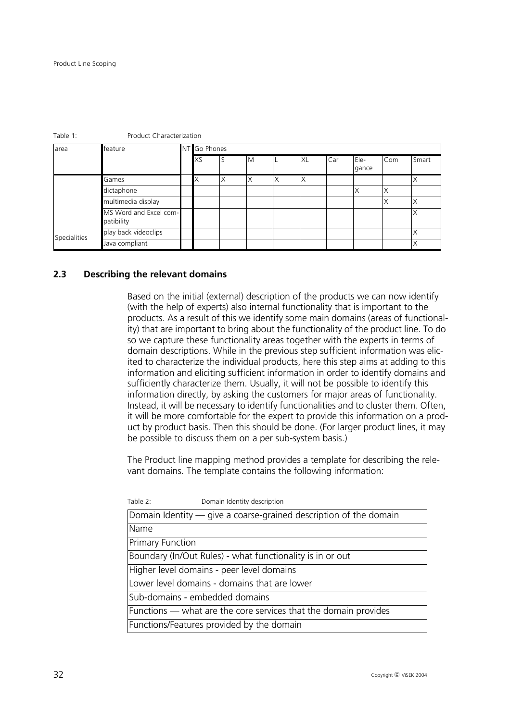| area                | feature                              | NT Go Phones |   |   |   |           |     |               |     |          |  |
|---------------------|--------------------------------------|--------------|---|---|---|-----------|-----|---------------|-----|----------|--|
|                     |                                      | XS           | S | M |   | <b>XL</b> | Car | Ele-<br>gance | Com | Smart    |  |
|                     | Games                                |              | X | X | X | Χ         |     |               |     | $\times$ |  |
|                     | dictaphone                           |              |   |   |   |           |     | X             | X   |          |  |
|                     | multimedia display                   |              |   |   |   |           |     |               | X   | X        |  |
|                     | MS Word and Excel com-<br>patibility |              |   |   |   |           |     |               |     | X        |  |
| <b>Specialities</b> | play back videoclips                 |              |   |   |   |           |     |               |     | X        |  |
|                     | Java compliant                       |              |   |   |   |           |     |               |     | X        |  |

Table 1: Product Characterization

## **2.3 Describing the relevant domains**

Based on the initial (external) description of the products we can now identify (with the help of experts) also internal functionality that is important to the products. As a result of this we identify some main domains (areas of functionality) that are important to bring about the functionality of the product line. To do so we capture these functionality areas together with the experts in terms of domain descriptions. While in the previous step sufficient information was elicited to characterize the individual products, here this step aims at adding to this information and eliciting sufficient information in order to identify domains and sufficiently characterize them. Usually, it will not be possible to identify this information directly, by asking the customers for major areas of functionality. Instead, it will be necessary to identify functionalities and to cluster them. Often, it will be more comfortable for the expert to provide this information on a product by product basis. Then this should be done. (For larger product lines, it may be possible to discuss them on a per sub-system basis.)

The Product line mapping method provides a template for describing the relevant domains. The template contains the following information:

| Table 2:                       | Domain Identity description                                       |
|--------------------------------|-------------------------------------------------------------------|
|                                | Domain Identity — give a coarse-grained description of the domain |
| Name                           |                                                                   |
| <b>Primary Function</b>        |                                                                   |
|                                | Boundary (In/Out Rules) - what functionality is in or out         |
|                                | Higher level domains - peer level domains                         |
|                                | Lower level domains - domains that are lower                      |
| Sub-domains - embedded domains |                                                                   |
|                                | Functions — what are the core services that the domain provides   |
|                                | Functions/Features provided by the domain                         |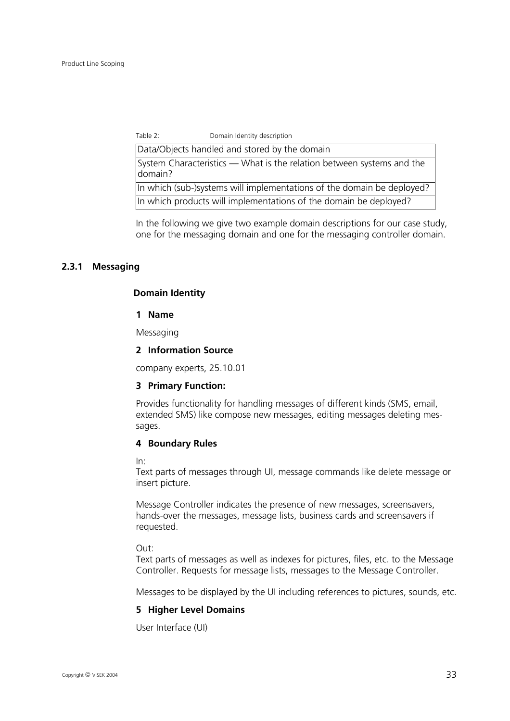Table 2: Domain Identity description

Data/Objects handled and stored by the domain

System Characteristics — What is the relation between systems and the domain? In which (sub-)systems will implementations of the domain be deployed?

In which products will implementations of the domain be deployed?

In the following we give two example domain descriptions for our case study, one for the messaging domain and one for the messaging controller domain.

## **2.3.1 Messaging**

#### **Domain Identity**

#### **1 Name**

Messaging

#### **2 Information Source**

company experts, 25.10.01

#### **3 Primary Function:**

Provides functionality for handling messages of different kinds (SMS, email, extended SMS) like compose new messages, editing messages deleting messages.

#### **4 Boundary Rules**

In:

Text parts of messages through UI, message commands like delete message or insert picture.

Message Controller indicates the presence of new messages, screensavers, hands-over the messages, message lists, business cards and screensavers if requested.

#### Out:

Text parts of messages as well as indexes for pictures, files, etc. to the Message Controller. Requests for message lists, messages to the Message Controller.

Messages to be displayed by the UI including references to pictures, sounds, etc.

#### **5 Higher Level Domains**

User Interface (UI)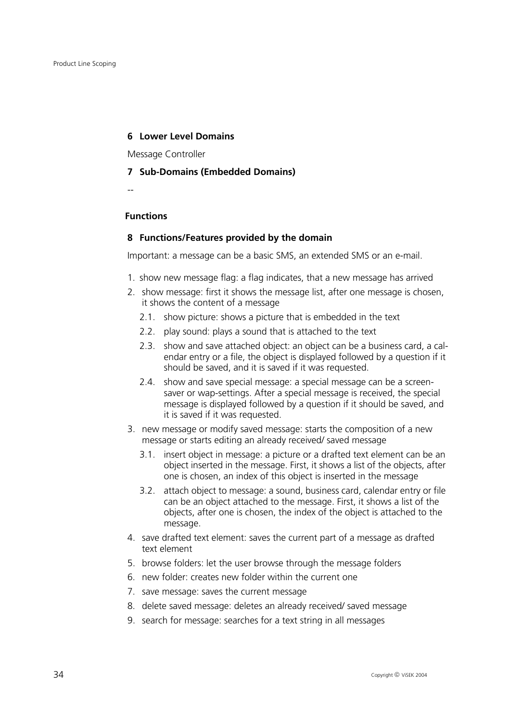## **6 Lower Level Domains**

Message Controller

# **7 Sub-Domains (Embedded Domains)**

--

## **Functions**

## **8 Functions/Features provided by the domain**

Important: a message can be a basic SMS, an extended SMS or an e-mail.

- 1. show new message flag: a flag indicates, that a new message has arrived
- 2. show message: first it shows the message list, after one message is chosen, it shows the content of a message
	- 2.1. show picture: shows a picture that is embedded in the text
	- 2.2. play sound: plays a sound that is attached to the text
	- 2.3. show and save attached object: an object can be a business card, a calendar entry or a file, the object is displayed followed by a question if it should be saved, and it is saved if it was requested.
	- 2.4. show and save special message: a special message can be a screensaver or wap-settings. After a special message is received, the special message is displayed followed by a question if it should be saved, and it is saved if it was requested.
- 3. new message or modify saved message: starts the composition of a new message or starts editing an already received/ saved message
	- 3.1. insert object in message: a picture or a drafted text element can be an object inserted in the message. First, it shows a list of the objects, after one is chosen, an index of this object is inserted in the message
	- 3.2. attach object to message: a sound, business card, calendar entry or file can be an object attached to the message. First, it shows a list of the objects, after one is chosen, the index of the object is attached to the message.
- 4. save drafted text element: saves the current part of a message as drafted text element
- 5. browse folders: let the user browse through the message folders
- 6. new folder: creates new folder within the current one
- 7. save message: saves the current message
- 8. delete saved message: deletes an already received/ saved message
- 9. search for message: searches for a text string in all messages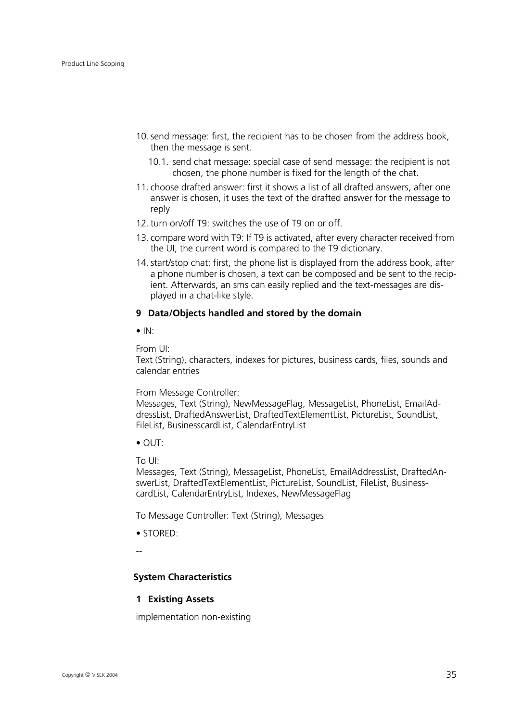- 10. send message: first, the recipient has to be chosen from the address book, then the message is sent.
	- 10.1. send chat message: special case of send message: the recipient is not chosen, the phone number is fixed for the length of the chat.
- 11. choose drafted answer: first it shows a list of all drafted answers, after one answer is chosen, it uses the text of the drafted answer for the message to reply
- 12. turn on/off T9: switches the use of T9 on or off.
- 13. compare word with T9: If T9 is activated, after every character received from the UI, the current word is compared to the T9 dictionary.
- 14. start/stop chat: first, the phone list is displayed from the address book, after a phone number is chosen, a text can be composed and be sent to the recipient. Afterwards, an sms can easily replied and the text-messages are displayed in a chat-like style.

#### **9 Data/Objects handled and stored by the domain**

• IN:

From UI:

Text (String), characters, indexes for pictures, business cards, files, sounds and calendar entries

#### From Message Controller:

Messages, Text (String), NewMessageFlag, MessageList, PhoneList, EmailAddressList, DraftedAnswerList, DraftedTextElementList, PictureList, SoundList, FileList, BusinesscardList, CalendarEntryList

 $\bullet$  OUT:

To UI:

Messages, Text (String), MessageList, PhoneList, EmailAddressList, DraftedAnswerList, DraftedTextElementList, PictureList, SoundList, FileList, BusinesscardList, CalendarEntryList, Indexes, NewMessageFlag

To Message Controller: Text (String), Messages

• STORED:

--

#### **System Characteristics**

#### **1 Existing Assets**

implementation non-existing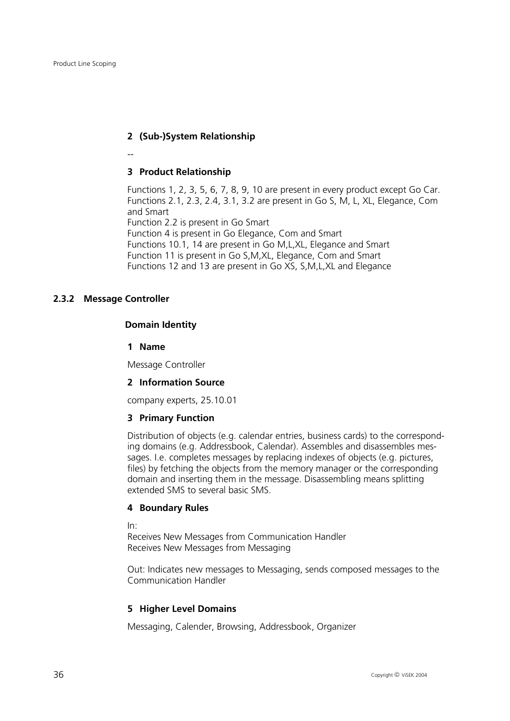# **2 (Sub-)System Relationship**

--

# **3 Product Relationship**

Functions 1, 2, 3, 5, 6, 7, 8, 9, 10 are present in every product except Go Car. Functions 2.1, 2.3, 2.4, 3.1, 3.2 are present in Go S, M, L, XL, Elegance, Com and Smart

Function 2.2 is present in Go Smart

Function 4 is present in Go Elegance, Com and Smart Functions 10.1, 14 are present in Go M,L,XL, Elegance and Smart Function 11 is present in Go S,M,XL, Elegance, Com and Smart Functions 12 and 13 are present in Go XS, S,M,L,XL and Elegance

# **2.3.2 Message Controller**

# **Domain Identity**

## **1 Name**

Message Controller

## **2 Information Source**

company experts, 25.10.01

## **3 Primary Function**

Distribution of objects (e.g. calendar entries, business cards) to the corresponding domains (e.g. Addressbook, Calendar). Assembles and disassembles messages. I.e. completes messages by replacing indexes of objects (e.g. pictures, files) by fetching the objects from the memory manager or the corresponding domain and inserting them in the message. Disassembling means splitting extended SMS to several basic SMS.

## **4 Boundary Rules**

In:

Receives New Messages from Communication Handler Receives New Messages from Messaging

Out: Indicates new messages to Messaging, sends composed messages to the Communication Handler

## **5 Higher Level Domains**

Messaging, Calender, Browsing, Addressbook, Organizer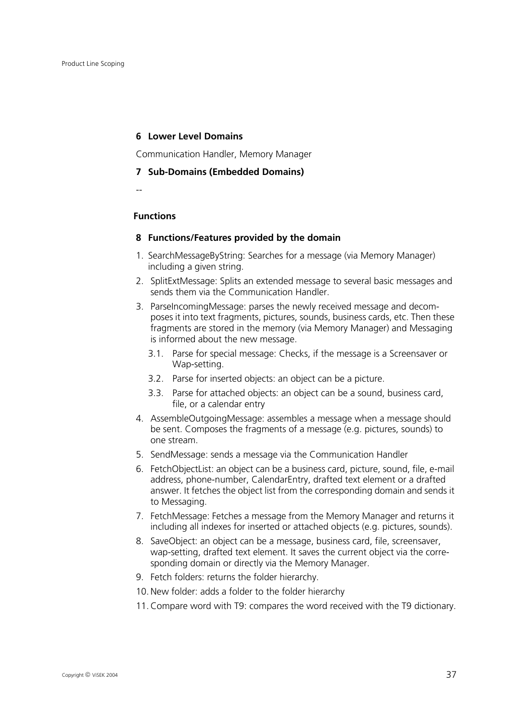#### **6 Lower Level Domains**

Communication Handler, Memory Manager

#### **7 Sub-Domains (Embedded Domains)**

--

#### **Functions**

#### **8 Functions/Features provided by the domain**

- 1. SearchMessageByString: Searches for a message (via Memory Manager) including a given string.
- 2. SplitExtMessage: Splits an extended message to several basic messages and sends them via the Communication Handler.
- 3. ParseIncomingMessage: parses the newly received message and decomposes it into text fragments, pictures, sounds, business cards, etc. Then these fragments are stored in the memory (via Memory Manager) and Messaging is informed about the new message.
	- 3.1. Parse for special message: Checks, if the message is a Screensaver or Wap-setting.
	- 3.2. Parse for inserted objects: an object can be a picture.
	- 3.3. Parse for attached objects: an object can be a sound, business card, file, or a calendar entry
- 4. AssembleOutgoingMessage: assembles a message when a message should be sent. Composes the fragments of a message (e.g. pictures, sounds) to one stream.
- 5. SendMessage: sends a message via the Communication Handler
- 6. FetchObjectList: an object can be a business card, picture, sound, file, e-mail address, phone-number, CalendarEntry, drafted text element or a drafted answer. It fetches the object list from the corresponding domain and sends it to Messaging.
- 7. FetchMessage: Fetches a message from the Memory Manager and returns it including all indexes for inserted or attached objects (e.g. pictures, sounds).
- 8. SaveObject: an object can be a message, business card, file, screensaver, wap-setting, drafted text element. It saves the current object via the corresponding domain or directly via the Memory Manager.
- 9. Fetch folders: returns the folder hierarchy.
- 10. New folder: adds a folder to the folder hierarchy
- 11. Compare word with T9: compares the word received with the T9 dictionary.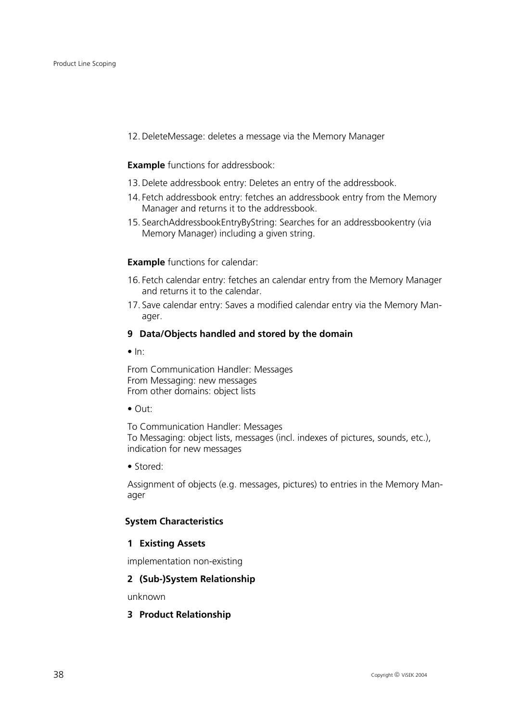12. DeleteMessage: deletes a message via the Memory Manager

**Example** functions for addressbook:

- 13. Delete addressbook entry: Deletes an entry of the addressbook.
- 14. Fetch addressbook entry: fetches an addressbook entry from the Memory Manager and returns it to the addressbook.
- 15. SearchAddressbookEntryByString: Searches for an addressbookentry (via Memory Manager) including a given string.

**Example** functions for calendar:

- 16. Fetch calendar entry: fetches an calendar entry from the Memory Manager and returns it to the calendar.
- 17. Save calendar entry: Saves a modified calendar entry via the Memory Manager.

## **9 Data/Objects handled and stored by the domain**

 $\bullet$  In:

From Communication Handler: Messages From Messaging: new messages From other domains: object lists

• Out:

To Communication Handler: Messages To Messaging: object lists, messages (incl. indexes of pictures, sounds, etc.), indication for new messages

• Stored:

Assignment of objects (e.g. messages, pictures) to entries in the Memory Manager

## **System Characteristics**

## **1 Existing Assets**

implementation non-existing

## **2 (Sub-)System Relationship**

unknown

## **3 Product Relationship**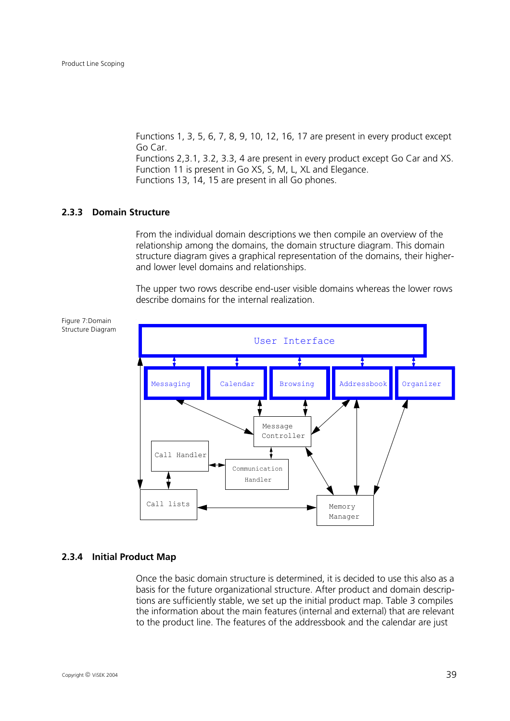Functions 1, 3, 5, 6, 7, 8, 9, 10, 12, 16, 17 are present in every product except Go Car.

Functions 2,3.1, 3.2, 3.3, 4 are present in every product except Go Car and XS. Function 11 is present in Go XS, S, M, L, XL and Elegance. Functions 13, 14, 15 are present in all Go phones.

# **2.3.3 Domain Structure**

From the individual domain descriptions we then compile an overview of the relationship among the domains, the domain structure diagram. This domain structure diagram gives a graphical representation of the domains, their higherand lower level domains and relationships.

The upper two rows describe end-user visible domains whereas the lower rows describe domains for the internal realization.



#### Figure 7:Domain Structure Diagram

## **2.3.4 Initial Product Map**

Once the basic domain structure is determined, it is decided to use this also as a basis for the future organizational structure. After product and domain descriptions are sufficiently stable, we set up the initial product map. Table 3 compiles the information about the main features (internal and external) that are relevant to the product line. The features of the addressbook and the calendar are just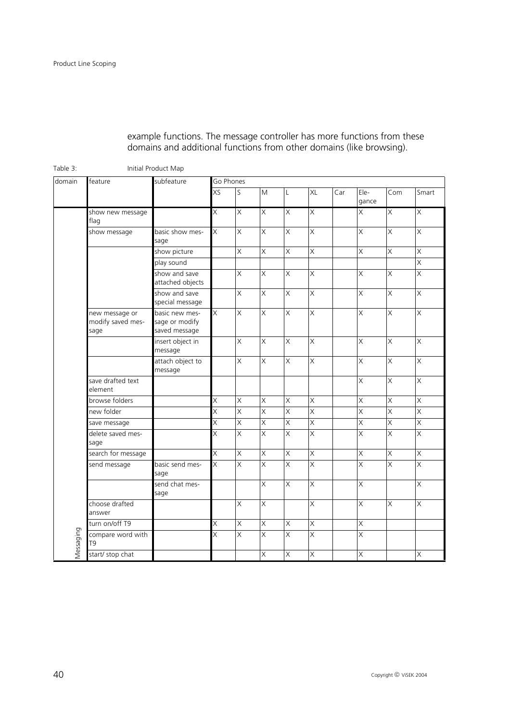# example functions. The message controller has more functions from these domains and additional functions from other domains (like browsing).

| domain    | feature                                     | subfeature                                        | Go Phones               |                         |                         |                         |                         |     |                         |                         |                         |  |
|-----------|---------------------------------------------|---------------------------------------------------|-------------------------|-------------------------|-------------------------|-------------------------|-------------------------|-----|-------------------------|-------------------------|-------------------------|--|
|           |                                             |                                                   | $\overline{\text{xs}}$  | S                       | M                       | L                       | XL                      | Car | Ele-<br>gance           | Com                     | Smart                   |  |
|           | show new message<br>flag                    |                                                   | $\overline{\mathsf{x}}$ | $\overline{X}$          | $\overline{X}$          | $\overline{X}$          | $\overline{X}$          |     | $\overline{X}$          | $\overline{X}$          | $\overline{X}$          |  |
|           | show message                                | basic show mes-<br>sage                           | X                       | $\mathsf X$             | $\mathsf X$             | $\sf X$                 | $\overline{X}$          |     | $\mathsf X$             | $\mathsf{X}$            | $\overline{X}$          |  |
|           |                                             | show picture                                      |                         | $\overline{X}$          | $\overline{X}$          | $\overline{X}$          | $\overline{X}$          |     | $\mathsf X$             | $\mathsf{X}$            | $\overline{X}$          |  |
|           |                                             | play sound                                        |                         |                         |                         |                         |                         |     |                         |                         | $\overline{X}$          |  |
|           |                                             | show and save<br>attached objects                 |                         | $\overline{X}$          | $\overline{X}$          | $\sf X$                 | $\overline{X}$          |     | $\overline{X}$          | $\mathsf{X}$            | $\mathsf{X}% _{0}$      |  |
|           |                                             | show and save<br>special message                  |                         | $\overline{X}$          | $\mathsf X$             | $\mathsf X$             | $\overline{X}$          |     | $\mathsf X$             | $\mathsf{X}% _{0}$      | $\mathsf{X}% _{0}$      |  |
|           | new message or<br>modify saved mes-<br>sage | basic new mes-<br>sage or modify<br>saved message | $\overline{X}$          | $\overline{X}$          | $\overline{X}$          | $\overline{X}$          | $\overline{X}$          |     | $\overline{X}$          | $\overline{X}$          | $\overline{X}$          |  |
|           |                                             | insert object in<br>message                       |                         | $\mathsf{X}$            | $\mathsf X$             | $\mathsf{X}$            | $\mathsf X$             |     | $\mathsf X$             | $\times$                | $\mathsf{X}$            |  |
|           |                                             | attach object to<br>message                       |                         | $\overline{X}$          | $\overline{X}$          | $\overline{X}$          | $\overline{X}$          |     | Χ                       | $\overline{X}$          | $\mathsf X$             |  |
|           | save drafted text<br>element                |                                                   |                         |                         |                         |                         |                         |     | $\overline{X}$          | $\overline{X}$          | $\overline{X}$          |  |
|           | browse folders                              |                                                   | X                       | $\mathsf{X}$            | $\overline{X}$          | $\times$                | $\overline{X}$          |     | $\overline{X}$          | $\overline{X}$          | $\overline{X}$          |  |
|           | new folder                                  |                                                   | X                       | $\overline{X}$          | $\overline{\mathsf{x}}$ | $\overline{\mathsf{x}}$ | $\overline{X}$          |     | $\times$                | $\overline{\mathsf{X}}$ | $\overline{X}$          |  |
|           | save message                                |                                                   | $\overline{\mathsf{x}}$ | $\overline{\mathsf{X}}$ | $\overline{\mathsf{X}}$ | $\overline{\mathsf{X}}$ | $\overline{\mathsf{X}}$ |     | $\overline{X}$          | $\overline{\mathsf{X}}$ | $\overline{X}$          |  |
|           | delete saved mes-<br>sage                   |                                                   | X                       | $\overline{\mathsf{x}}$ | $\overline{\mathsf{x}}$ | $\times$                | $\overline{X}$          |     | $\times$                | $\mathsf{X}$            | $\overline{\mathsf{X}}$ |  |
|           | search for message                          |                                                   | X                       | $\mathsf{X}$            | $\mathsf{X}$            | $\mathsf{X}$            | $\mathsf{X}% _{0}$      |     | $\mathsf X$             | $\mathsf{X}$            | $\mathsf{X}% _{0}$      |  |
|           | send message                                | basic send mes-<br>sage                           | $\overline{\mathsf{x}}$ | $\overline{\mathsf{x}}$ | $\overline{X}$          | $\overline{X}$          | $\overline{X}$          |     | $\overline{X}$          | $\overline{\mathsf{x}}$ | $\overline{\mathsf{x}}$ |  |
|           |                                             | send chat mes-<br>sage                            |                         |                         | $\mathsf{X}$            | $\times$                | $\overline{\mathsf{X}}$ |     | $\times$                |                         | $\mathsf{X}$            |  |
|           | choose drafted<br>answer                    |                                                   |                         | $\mathsf{X}$            | $\mathsf{X}$            |                         | $\overline{X}$          |     | $\mathsf{X}$            | $\mathsf{X}$            | $\mathsf{X}$            |  |
|           | turn on/off T9                              |                                                   | Χ                       | $\mathsf X$             | Χ                       | Χ                       | $\mathsf X$             |     | X                       |                         |                         |  |
| Messaging | compare word with<br>T9                     |                                                   | $\overline{\mathsf{x}}$ | $\overline{\mathsf{x}}$ | $\overline{X}$          | $\overline{\mathsf{x}}$ | $\overline{X}$          |     | $\overline{X}$          |                         |                         |  |
|           | start/ stop chat                            |                                                   |                         |                         | $\overline{\mathsf{X}}$ | $\mathsf X$             | $\overline{X}$          |     | $\overline{\mathsf{X}}$ |                         | $\mathsf X$             |  |

Table 3: Initial Product Map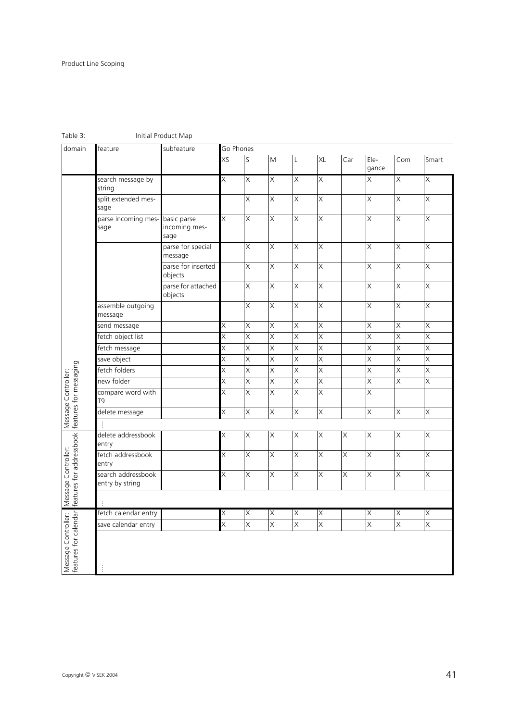| domain                                                                                         | feature                               | subfeature                           | Go Phones               |                         |                |             |                |             |                |             |                         |  |
|------------------------------------------------------------------------------------------------|---------------------------------------|--------------------------------------|-------------------------|-------------------------|----------------|-------------|----------------|-------------|----------------|-------------|-------------------------|--|
|                                                                                                |                                       |                                      | $\overline{X}$          | S                       | M              |             | XL             | Car         | Ele-<br>gance  | Com         | Smart                   |  |
|                                                                                                | search message by<br>string           |                                      | Χ                       | $\overline{X}$          | $\overline{X}$ | X           | $\overline{X}$ |             | X              | $\times$    | Χ                       |  |
|                                                                                                | split extended mes-<br>sage           |                                      |                         | $\mathsf X$             | X              | Χ           | $\mathsf X$    |             | Χ              | Χ           | Χ                       |  |
|                                                                                                | parse incoming mes-<br>sage           | basic parse<br>incoming mes-<br>sage | X                       | $\mathsf X$             | X              | Χ           | $\mathsf X$    |             | Χ              | Χ           | Χ                       |  |
|                                                                                                |                                       | parse for special<br>message         |                         | $\times$                | $\mathsf X$    | X           | $\mathsf{X}$   |             | $\mathsf X$    | $\mathsf X$ | $\overline{\mathsf{X}}$ |  |
|                                                                                                |                                       | parse for inserted<br>objects        |                         | $\overline{X}$          | $\mathsf X$    | $\mathsf X$ | $\overline{X}$ |             | $\mathsf X$    | $\times$    | $\mathsf X$             |  |
|                                                                                                |                                       | parse for attached<br>objects        |                         | $\mathsf{X}$            | X              | $\mathsf X$ | $\mathsf X$    |             | $\mathsf X$    | $\mathsf X$ | $\mathsf X$             |  |
|                                                                                                | assemble outgoing<br>message          |                                      |                         | $\mathsf X$             | $\mathsf X$    | Χ           | $\mathsf X$    |             | Χ              | Χ           | X                       |  |
|                                                                                                | send message                          |                                      | X                       | $\times$                | $\mathsf X$    | $\mathsf X$ | $\mathsf X$    |             | $\mathsf X$    | $\mathsf X$ | X                       |  |
|                                                                                                | fetch object list                     |                                      | $\times$                | $\times$                | $\mathsf X$    | X           | $\mathsf{X}$   |             | $\mathsf X$    | Χ           | $\mathsf{X}% _{0}$      |  |
|                                                                                                | fetch message                         |                                      | $\times$                | $\times$                | X              | Χ           | Χ              |             | $\mathsf X$    | Χ           | $\mathsf X$             |  |
|                                                                                                | save object                           |                                      | X                       | $\times$                | $\mathsf X$    | X           | $\mathsf X$    |             | $\mathsf X$    | Χ           | $\mathsf X$             |  |
|                                                                                                | fetch folders                         |                                      | $\times$                | $\times$                | $\mathsf X$    | X           | $\times$       |             | $\mathsf X$    | $\mathsf X$ | $\mathsf{X}$            |  |
| Message Controller:   Message Controller:<br> features for addressbook  features for messaging | new folder                            |                                      | $\times$                | $\times$                | $\mathsf X$    | X           | $\mathsf X$    |             | $\mathsf X$    | $\mathsf X$ | $\mathsf X$             |  |
|                                                                                                | compare word with<br>Т9               |                                      | X                       | $\overline{\mathsf{x}}$ | $\mathsf X$    | Χ           | $\times$       |             | $\times$       |             |                         |  |
|                                                                                                | delete message                        |                                      | $\times$                | $\mathsf X$             | Χ              | Χ           | $\mathsf X$    |             | $\mathsf X$    | $\mathsf X$ | $\mathsf X$             |  |
|                                                                                                |                                       |                                      |                         |                         |                |             |                |             |                |             |                         |  |
|                                                                                                | delete addressbook<br>entry           |                                      | Χ                       | Χ                       | $\mathsf X$    | Χ           | Χ              | Χ           | Χ              | $\mathsf X$ | Χ                       |  |
|                                                                                                | fetch addressbook<br>entry            |                                      | $\times$                | $\times$                | $\mathsf{X}$   | X           | $\times$       | $\mathsf X$ | $\mathsf X$    | Χ           | $\mathsf X$             |  |
|                                                                                                | search addressbook<br>entry by string |                                      | X                       | $\times$                | $\mathsf{X}$   | Χ           | $\times$       | $\times$    | $\mathsf X$    | X           | $\mathsf X$             |  |
|                                                                                                |                                       |                                      |                         |                         |                |             |                |             |                |             |                         |  |
|                                                                                                | fetch calendar entry                  |                                      | Χ                       | $\mathsf X$             | X              | Χ           | $\mathsf X$    |             | X              | Χ           | Χ                       |  |
| lendar                                                                                         | save calendar entry                   |                                      | $\overline{\mathsf{x}}$ | $\overline{\mathsf{x}}$ | $\overline{X}$ | X           | $\overline{X}$ |             | $\overline{X}$ | $\mathsf X$ | $\overline{X}$          |  |
| Message Controller:<br>features for ca                                                         |                                       |                                      |                         |                         |                |             |                |             |                |             |                         |  |
|                                                                                                |                                       |                                      |                         |                         |                |             |                |             |                |             | $\overline{4}$          |  |
| Copyright C ViSEK 2004                                                                         |                                       |                                      |                         |                         |                |             |                |             |                |             |                         |  |

#### Table 3: Initial Product Map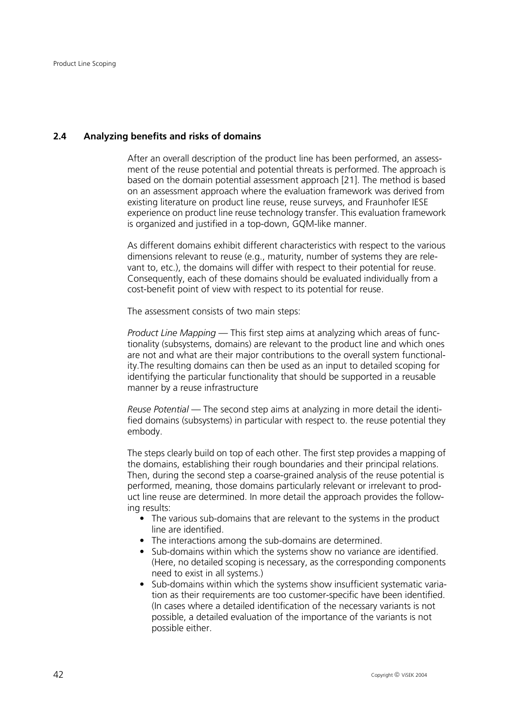# **2.4 Analyzing benefits and risks of domains**

After an overall description of the product line has been performed, an assessment of the reuse potential and potential threats is performed. The approach is based on the domain potential assessment approach [21]. The method is based on an assessment approach where the evaluation framework was derived from existing literature on product line reuse, reuse surveys, and Fraunhofer IESE experience on product line reuse technology transfer. This evaluation framework is organized and justified in a top-down, GQM-like manner.

As different domains exhibit different characteristics with respect to the various dimensions relevant to reuse (e.g., maturity, number of systems they are relevant to, etc.), the domains will differ with respect to their potential for reuse. Consequently, each of these domains should be evaluated individually from a cost-benefit point of view with respect to its potential for reuse.

The assessment consists of two main steps:

*Product Line Mapping* — This first step aims at analyzing which areas of functionality (subsystems, domains) are relevant to the product line and which ones are not and what are their major contributions to the overall system functionality.The resulting domains can then be used as an input to detailed scoping for identifying the particular functionality that should be supported in a reusable manner by a reuse infrastructure

*Reuse Potential* — The second step aims at analyzing in more detail the identified domains (subsystems) in particular with respect to. the reuse potential they embody.

The steps clearly build on top of each other. The first step provides a mapping of the domains, establishing their rough boundaries and their principal relations. Then, during the second step a coarse-grained analysis of the reuse potential is performed, meaning, those domains particularly relevant or irrelevant to product line reuse are determined. In more detail the approach provides the following results:

- The various sub-domains that are relevant to the systems in the product line are identified.
- The interactions among the sub-domains are determined.
- Sub-domains within which the systems show no variance are identified. (Here, no detailed scoping is necessary, as the corresponding components need to exist in all systems.)
- Sub-domains within which the systems show insufficient systematic variation as their requirements are too customer-specific have been identified. (In cases where a detailed identification of the necessary variants is not possible, a detailed evaluation of the importance of the variants is not possible either.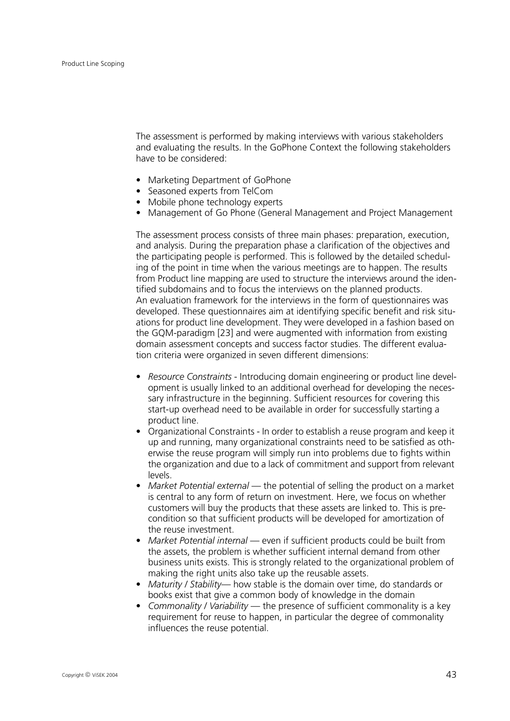The assessment is performed by making interviews with various stakeholders and evaluating the results. In the GoPhone Context the following stakeholders have to be considered:

- Marketing Department of GoPhone
- Seasoned experts from TelCom
- Mobile phone technology experts
- Management of Go Phone (General Management and Project Management

The assessment process consists of three main phases: preparation, execution, and analysis. During the preparation phase a clarification of the objectives and the participating people is performed. This is followed by the detailed scheduling of the point in time when the various meetings are to happen. The results from Product line mapping are used to structure the interviews around the identified subdomains and to focus the interviews on the planned products. An evaluation framework for the interviews in the form of questionnaires was developed. These questionnaires aim at identifying specific benefit and risk situations for product line development. They were developed in a fashion based on the GQM-paradigm [23] and were augmented with information from existing domain assessment concepts and success factor studies. The different evaluation criteria were organized in seven different dimensions:

- *Resource Constraints*  Introducing domain engineering or product line development is usually linked to an additional overhead for developing the necessary infrastructure in the beginning. Sufficient resources for covering this start-up overhead need to be available in order for successfully starting a product line.
- Organizational Constraints In order to establish a reuse program and keep it up and running, many organizational constraints need to be satisfied as otherwise the reuse program will simply run into problems due to fights within the organization and due to a lack of commitment and support from relevant levels.
- *Market Potential external* the potential of selling the product on a market is central to any form of return on investment. Here, we focus on whether customers will buy the products that these assets are linked to. This is precondition so that sufficient products will be developed for amortization of the reuse investment.
- *Market Potential internal* even if sufficient products could be built from the assets, the problem is whether sufficient internal demand from other business units exists. This is strongly related to the organizational problem of making the right units also take up the reusable assets.
- *Maturity / Stability* how stable is the domain over time, do standards or books exist that give a common body of knowledge in the domain
- *Commonality / Variability* the presence of sufficient commonality is a key requirement for reuse to happen, in particular the degree of commonality influences the reuse potential.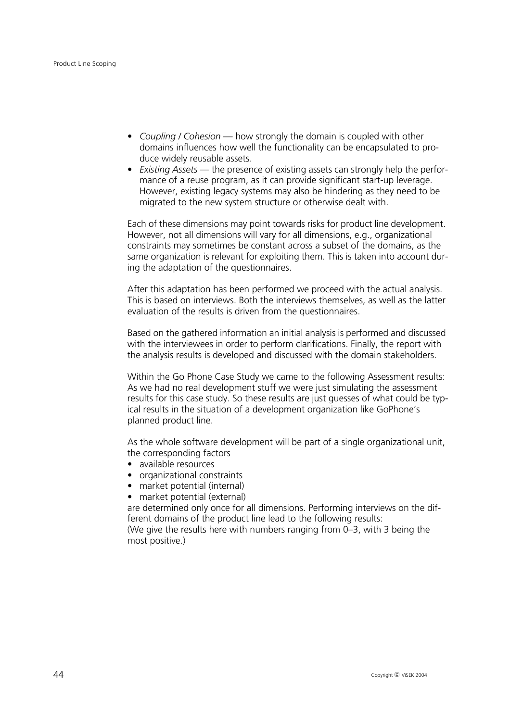- *Coupling / Cohesion* how strongly the domain is coupled with other domains influences how well the functionality can be encapsulated to produce widely reusable assets.
- *Existing Assets* the presence of existing assets can strongly help the performance of a reuse program, as it can provide significant start-up leverage. However, existing legacy systems may also be hindering as they need to be migrated to the new system structure or otherwise dealt with.

Each of these dimensions may point towards risks for product line development. However, not all dimensions will vary for all dimensions, e.g., organizational constraints may sometimes be constant across a subset of the domains, as the same organization is relevant for exploiting them. This is taken into account during the adaptation of the questionnaires.

After this adaptation has been performed we proceed with the actual analysis. This is based on interviews. Both the interviews themselves, as well as the latter evaluation of the results is driven from the questionnaires.

Based on the gathered information an initial analysis is performed and discussed with the interviewees in order to perform clarifications. Finally, the report with the analysis results is developed and discussed with the domain stakeholders.

Within the Go Phone Case Study we came to the following Assessment results: As we had no real development stuff we were just simulating the assessment results for this case study. So these results are just guesses of what could be typical results in the situation of a development organization like GoPhone's planned product line.

As the whole software development will be part of a single organizational unit, the corresponding factors

- available resources
- organizational constraints
- market potential (internal)
- market potential (external)

are determined only once for all dimensions. Performing interviews on the different domains of the product line lead to the following results: (We give the results here with numbers ranging from 0–3, with 3 being the most positive.)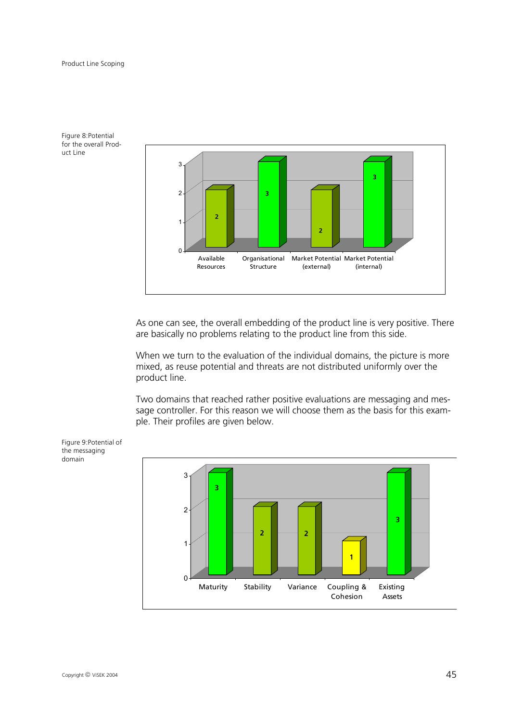Product Line Scoping

Figure 8:Potential for the overall Product Line



As one can see, the overall embedding of the product line is very positive. There are basically no problems relating to the product line from this side.

When we turn to the evaluation of the individual domains, the picture is more mixed, as reuse potential and threats are not distributed uniformly over the product line.

Two domains that reached rather positive evaluations are messaging and message controller. For this reason we will choose them as the basis for this example. Their profiles are given below.



Figure 9:Potential of the messaging domain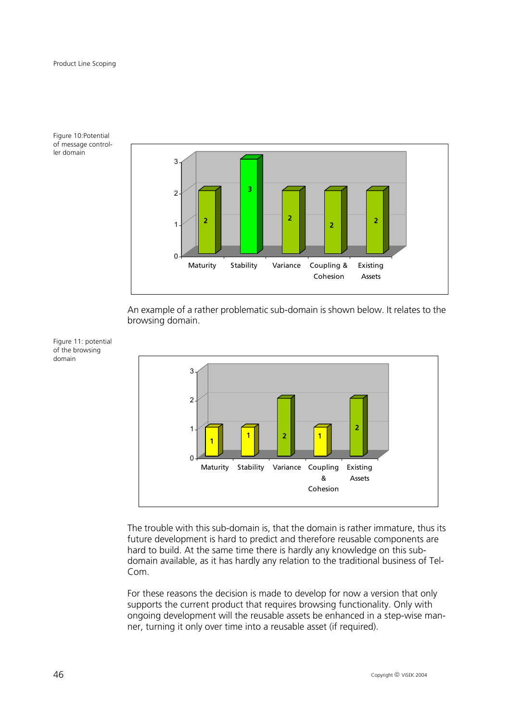Product Line Scoping

ler domain



An example of a rather problematic sub-domain is shown below. It relates to the browsing domain.



Figure 11: potential of the browsing domain

> The trouble with this sub-domain is, that the domain is rather immature, thus its future development is hard to predict and therefore reusable components are hard to build. At the same time there is hardly any knowledge on this subdomain available, as it has hardly any relation to the traditional business of Tel-Com.

> For these reasons the decision is made to develop for now a version that only supports the current product that requires browsing functionality. Only with ongoing development will the reusable assets be enhanced in a step-wise manner, turning it only over time into a reusable asset (if required).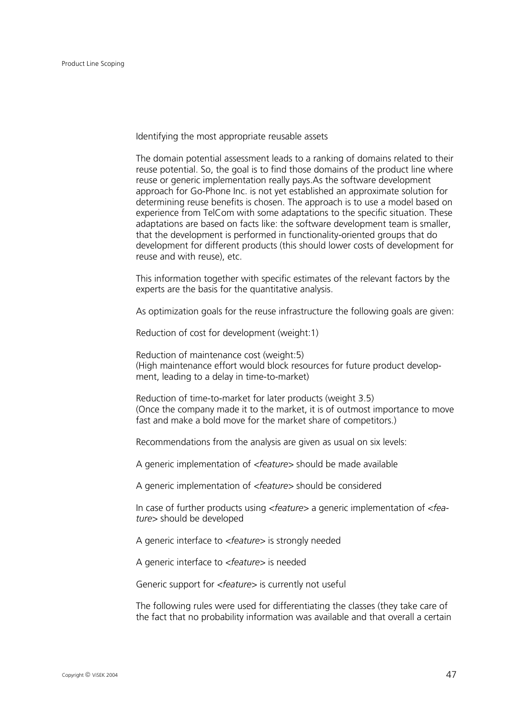Identifying the most appropriate reusable assets

The domain potential assessment leads to a ranking of domains related to their reuse potential. So, the goal is to find those domains of the product line where reuse or generic implementation really pays.As the software development approach for Go-Phone Inc. is not yet established an approximate solution for determining reuse benefits is chosen. The approach is to use a model based on experience from TelCom with some adaptations to the specific situation. These adaptations are based on facts like: the software development team is smaller, that the development is performed in functionality-oriented groups that do development for different products (this should lower costs of development for reuse and with reuse), etc.

This information together with specific estimates of the relevant factors by the experts are the basis for the quantitative analysis.

As optimization goals for the reuse infrastructure the following goals are given:

Reduction of cost for development (weight:1)

Reduction of maintenance cost (weight:5) (High maintenance effort would block resources for future product development, leading to a delay in time-to-market)

Reduction of time-to-market for later products (weight 3.5) (Once the company made it to the market, it is of outmost importance to move fast and make a bold move for the market share of competitors.)

Recommendations from the analysis are given as usual on six levels:

A generic implementation of *<feature>* should be made available

A generic implementation of *<feature>* should be considered

In case of further products using *<feature>* a generic implementation of *<feature>* should be developed

A generic interface to *<feature>* is strongly needed

A generic interface to *<feature>* is needed

Generic support for *<feature>* is currently not useful

The following rules were used for differentiating the classes (they take care of the fact that no probability information was available and that overall a certain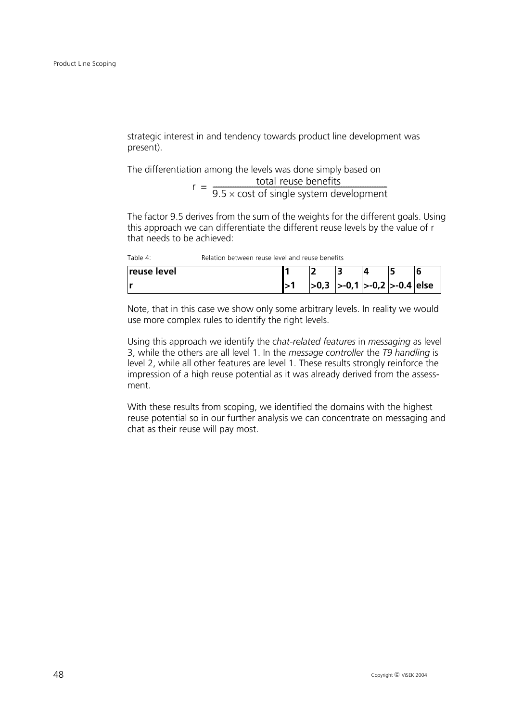strategic interest in and tendency towards product line development was present).

The differentiation among the levels was done simply based on

 $r = \frac{\text{total reuse benefits}}{9.5 \times \text{cost of single system development}}$ 

The factor 9.5 derives from the sum of the weights for the different goals. Using this approach we can differentiate the different reuse levels by the value of r that needs to be achieved:

| reuse level |                                          |  |  |
|-------------|------------------------------------------|--|--|
|             | $ >0.3$ $ >-0.1 $ $>-0.2$ $ >-0.4 $ else |  |  |

Table 4: Relation between reuse level and reuse benefits

Note, that in this case we show only some arbitrary levels. In reality we would use more complex rules to identify the right levels.

Using this approach we identify the *chat-related features* in *messaging* as level 3, while the others are all level 1. In the *message controller* the *T9 handling* is level 2, while all other features are level 1. These results strongly reinforce the impression of a high reuse potential as it was already derived from the assessment.

With these results from scoping, we identified the domains with the highest reuse potential so in our further analysis we can concentrate on messaging and chat as their reuse will pay most.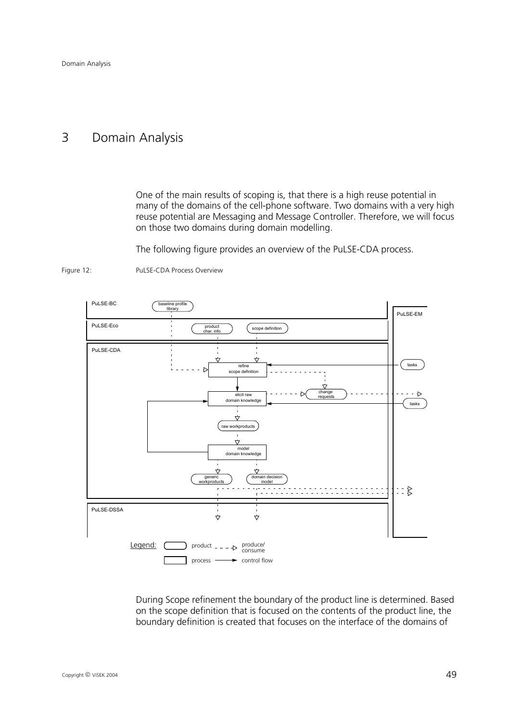# 3 Domain Analysis

One of the main results of scoping is, that there is a high reuse potential in many of the domains of the cell-phone software. Two domains with a very high reuse potential are Messaging and Message Controller. Therefore, we will focus on those two domains during domain modelling.

The following figure provides an overview of the PuLSE-CDA process.

Figure 12: PuLSE-CDA Process Overview



During Scope refinement the boundary of the product line is determined. Based on the scope definition that is focused on the contents of the product line, the boundary definition is created that focuses on the interface of the domains of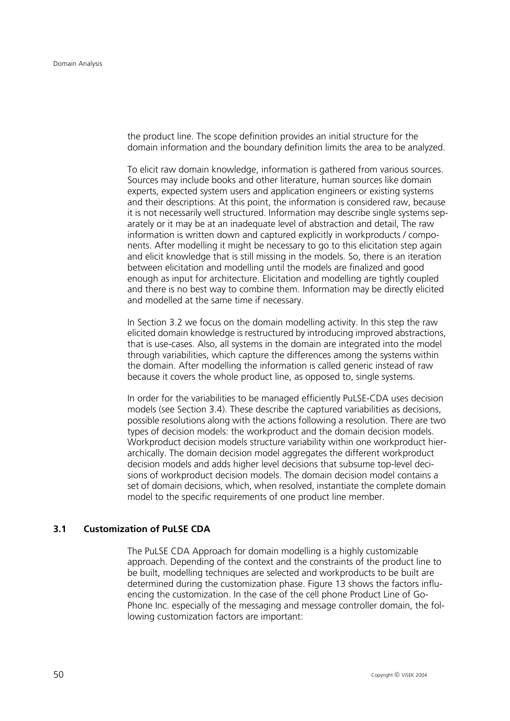the product line. The scope definition provides an initial structure for the domain information and the boundary definition limits the area to be analyzed.

To elicit raw domain knowledge, information is gathered from various sources. Sources may include books and other literature, human sources like domain experts, expected system users and application engineers or existing systems and their descriptions. At this point, the information is considered raw, because it is not necessarily well structured. Information may describe single systems separately or it may be at an inadequate level of abstraction and detail, The raw information is written down and captured explicitly in workproducts / components. After modelling it might be necessary to go to this elicitation step again and elicit knowledge that is still missing in the models. So, there is an iteration between elicitation and modelling until the models are finalized and good enough as input for architecture. Elicitation and modelling are tightly coupled and there is no best way to combine them. Information may be directly elicited and modelled at the same time if necessary.

In Section 3.2 we focus on the domain modelling activity. In this step the raw elicited domain knowledge is restructured by introducing improved abstractions, that is use-cases. Also, all systems in the domain are integrated into the model through variabilities, which capture the differences among the systems within the domain. After modelling the information is called generic instead of raw because it covers the whole product line, as opposed to, single systems.

In order for the variabilities to be managed efficiently PuLSE-CDA uses decision models (see Section 3.4). These describe the captured variabilities as decisions, possible resolutions along with the actions following a resolution. There are two types of decision models: the workproduct and the domain decision models. Workproduct decision models structure variability within one workproduct hierarchically. The domain decision model aggregates the different workproduct decision models and adds higher level decisions that subsume top-level decisions of workproduct decision models. The domain decision model contains a set of domain decisions, which, when resolved, instantiate the complete domain model to the specific requirements of one product line member.

#### **3.1 Customization of PuLSE CDA**

The PuLSE CDA Approach for domain modelling is a highly customizable approach. Depending of the context and the constraints of the product line to be built, modelling techniques are selected and workproducts to be built are determined during the customization phase. Figure 13 shows the factors influencing the customization. In the case of the cell phone Product Line of Go-Phone Inc. especially of the messaging and message controller domain, the following customization factors are important: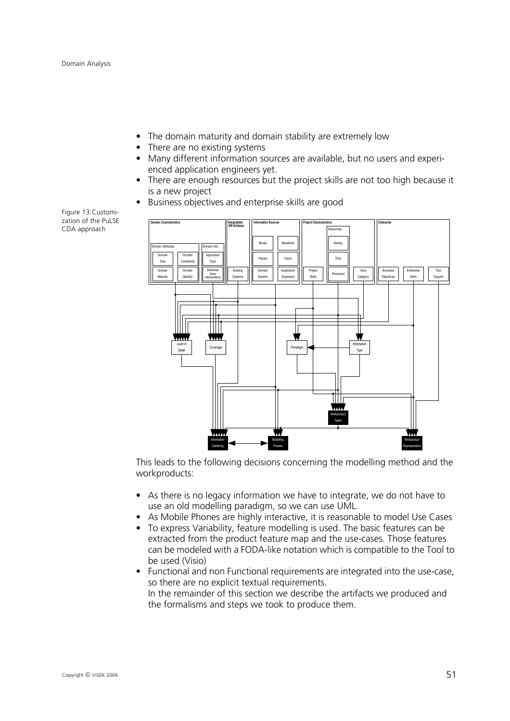- The domain maturity and domain stability are extremely low
- There are no existing systems
- Many different information sources are available, but no users and experienced application engineers yet.
- There are enough resources but the project skills are not too high because it is a new project
- Business objectives and enterprise skills are good

Figure 13:Customization of the PuLSE CDA approach



This leads to the following decisions concerning the modelling method and the workproducts:

- As there is no legacy information we have to integrate, we do not have to use an old modelling paradigm, so we can use UML.
- As Mobile Phones are highly interactive, it is reasonable to model Use Cases
- To express Variability, feature modelling is used. The basic features can be extracted from the product feature map and the use-cases. Those features can be modeled with a FODA-like notation which is compatible to the Tool to be used (Visio)
- Functional and non Functional requirements are integrated into the use-case, so there are no explicit textual requirements. In the remainder of this section we describe the artifacts we produced and the formalisms and steps we took to produce them.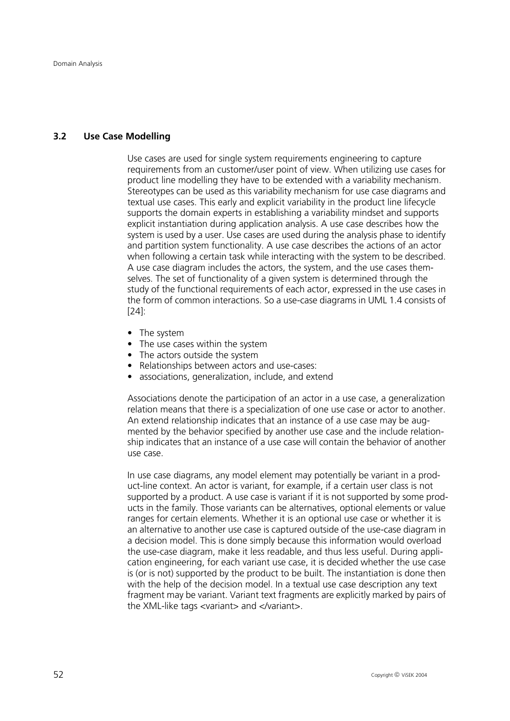## **3.2 Use Case Modelling**

Use cases are used for single system requirements engineering to capture requirements from an customer/user point of view. When utilizing use cases for product line modelling they have to be extended with a variability mechanism. Stereotypes can be used as this variability mechanism for use case diagrams and textual use cases. This early and explicit variability in the product line lifecycle supports the domain experts in establishing a variability mindset and supports explicit instantiation during application analysis. A use case describes how the system is used by a user. Use cases are used during the analysis phase to identify and partition system functionality. A use case describes the actions of an actor when following a certain task while interacting with the system to be described. A use case diagram includes the actors, the system, and the use cases themselves. The set of functionality of a given system is determined through the study of the functional requirements of each actor, expressed in the use cases in the form of common interactions. So a use-case diagrams in UML 1.4 consists of [24]:

- The system
- The use cases within the system
- The actors outside the system
- Relationships between actors and use-cases:
- associations, generalization, include, and extend

Associations denote the participation of an actor in a use case, a generalization relation means that there is a specialization of one use case or actor to another. An extend relationship indicates that an instance of a use case may be augmented by the behavior specified by another use case and the include relationship indicates that an instance of a use case will contain the behavior of another use case.

In use case diagrams, any model element may potentially be variant in a product-line context. An actor is variant, for example, if a certain user class is not supported by a product. A use case is variant if it is not supported by some products in the family. Those variants can be alternatives, optional elements or value ranges for certain elements. Whether it is an optional use case or whether it is an alternative to another use case is captured outside of the use-case diagram in a decision model. This is done simply because this information would overload the use-case diagram, make it less readable, and thus less useful. During application engineering, for each variant use case, it is decided whether the use case is (or is not) supported by the product to be built. The instantiation is done then with the help of the decision model. In a textual use case description any text fragment may be variant. Variant text fragments are explicitly marked by pairs of the XML-like tags <variant> and </variant>.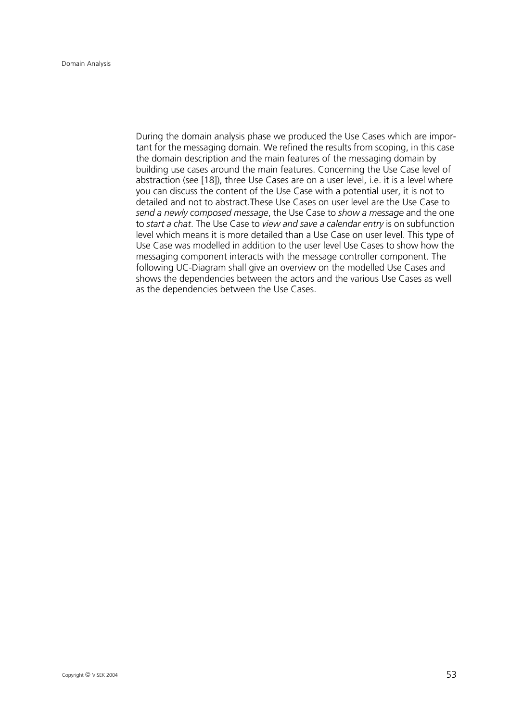During the domain analysis phase we produced the Use Cases which are important for the messaging domain. We refined the results from scoping, in this case the domain description and the main features of the messaging domain by building use cases around the main features. Concerning the Use Case level of abstraction (see [18]), three Use Cases are on a user level, i.e. it is a level where you can discuss the content of the Use Case with a potential user, it is not to detailed and not to abstract.These Use Cases on user level are the Use Case to *send a newly composed message*, the Use Case to *show a message* and the one to *start a chat*. The Use Case to *view and save a calendar entry* is on subfunction level which means it is more detailed than a Use Case on user level. This type of Use Case was modelled in addition to the user level Use Cases to show how the messaging component interacts with the message controller component. The following UC-Diagram shall give an overview on the modelled Use Cases and shows the dependencies between the actors and the various Use Cases as well as the dependencies between the Use Cases.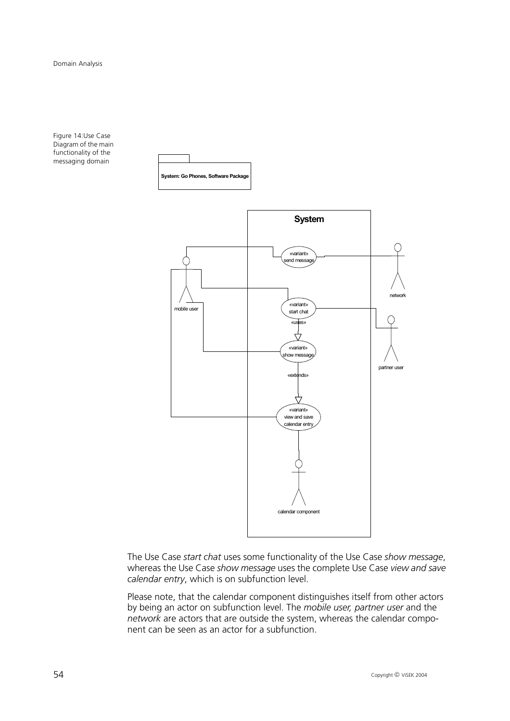Domain Analysis

Figure 14:Use Case Diagram of the main functionality of the messaging domain



The Use Case *start chat* uses some functionality of the Use Case *show message*, whereas the Use Case *show message* uses the complete Use Case *view and save calendar entry*, which is on subfunction level.

Please note, that the calendar component distinguishes itself from other actors by being an actor on subfunction level. The *mobile user, partner user* and the *network* are actors that are outside the system, whereas the calendar component can be seen as an actor for a subfunction.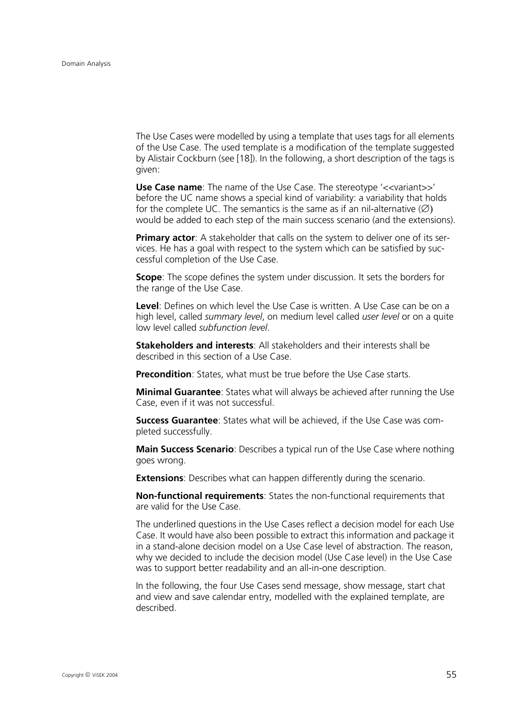The Use Cases were modelled by using a template that uses tags for all elements of the Use Case. The used template is a modification of the template suggested by Alistair Cockburn (see [18]). In the following, a short description of the tags is given:

**Use Case name**: The name of the Use Case. The stereotype '<<variant>>' before the UC name shows a special kind of variability: a variability that holds for the complete UC. The semantics is the same as if an nil-alternative  $(\varnothing)$ would be added to each step of the main success scenario (and the extensions).

**Primary actor**: A stakeholder that calls on the system to deliver one of its services. He has a goal with respect to the system which can be satisfied by successful completion of the Use Case.

**Scope**: The scope defines the system under discussion. It sets the borders for the range of the Use Case.

**Level**: Defines on which level the Use Case is written. A Use Case can be on a high level, called *summary level*, on medium level called *user level* or on a quite low level called *subfunction level*.

**Stakeholders and interests**: All stakeholders and their interests shall be described in this section of a Use Case.

**Precondition**: States, what must be true before the Use Case starts.

**Minimal Guarantee**: States what will always be achieved after running the Use Case, even if it was not successful.

**Success Guarantee**: States what will be achieved, if the Use Case was completed successfully.

**Main Success Scenario**: Describes a typical run of the Use Case where nothing goes wrong.

**Extensions**: Describes what can happen differently during the scenario.

**Non-functional requirements**: States the non-functional requirements that are valid for the Use Case.

The underlined questions in the Use Cases reflect a decision model for each Use Case. It would have also been possible to extract this information and package it in a stand-alone decision model on a Use Case level of abstraction. The reason, why we decided to include the decision model (Use Case level) in the Use Case was to support better readability and an all-in-one description.

In the following, the four Use Cases send message, show message, start chat and view and save calendar entry, modelled with the explained template, are described.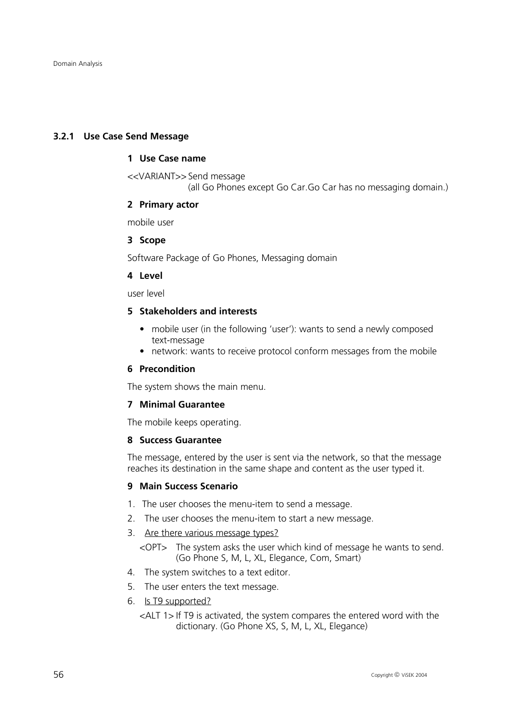## **3.2.1 Use Case Send Message**

#### **1 Use Case name**

<<VARIANT>> Send message (all Go Phones except Go Car.Go Car has no messaging domain.)

#### **2 Primary actor**

mobile user

#### **3 Scope**

Software Package of Go Phones, Messaging domain

## **4 Level**

user level

## **5 Stakeholders and interests**

- mobile user (in the following 'user'): wants to send a newly composed text-message
- network: wants to receive protocol conform messages from the mobile

# **6 Precondition**

The system shows the main menu.

#### **7 Minimal Guarantee**

The mobile keeps operating.

#### **8 Success Guarantee**

The message, entered by the user is sent via the network, so that the message reaches its destination in the same shape and content as the user typed it.

#### **9 Main Success Scenario**

- 1. The user chooses the menu-item to send a message.
- 2. The user chooses the menu-item to start a new message.
- 3. Are there various message types?
	- <OPT> The system asks the user which kind of message he wants to send. (Go Phone S, M, L, XL, Elegance, Com, Smart)
- 4. The system switches to a text editor.
- 5. The user enters the text message.
- 6. Is T9 supported?
	- <ALT 1> If T9 is activated, the system compares the entered word with the dictionary. (Go Phone XS, S, M, L, XL, Elegance)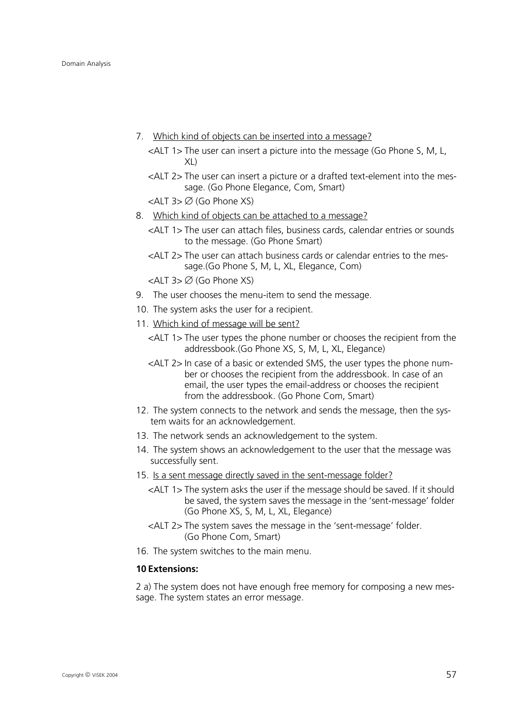- 7. Which kind of objects can be inserted into a message?
	- <ALT 1> The user can insert a picture into the message (Go Phone S, M, L, XL)
	- <ALT 2> The user can insert a picture or a drafted text-element into the message. (Go Phone Elegance, Com, Smart)
	- $\lt$ ALT 3> $\varnothing$  (Go Phone XS)
- 8. Which kind of objects can be attached to a message?
	- <ALT 1> The user can attach files, business cards, calendar entries or sounds to the message. (Go Phone Smart)
	- <ALT 2> The user can attach business cards or calendar entries to the message.(Go Phone S, M, L, XL, Elegance, Com)
	- $\lt$ ALT 3> $\varnothing$  (Go Phone XS)
- 9. The user chooses the menu-item to send the message.
- 10. The system asks the user for a recipient.
- 11. Which kind of message will be sent?
	- <ALT 1> The user types the phone number or chooses the recipient from the addressbook.(Go Phone XS, S, M, L, XL, Elegance)
	- <ALT 2> In case of a basic or extended SMS, the user types the phone number or chooses the recipient from the addressbook. In case of an email, the user types the email-address or chooses the recipient from the addressbook. (Go Phone Com, Smart)
- 12. The system connects to the network and sends the message, then the system waits for an acknowledgement.
- 13. The network sends an acknowledgement to the system.
- 14. The system shows an acknowledgement to the user that the message was successfully sent.
- 15. Is a sent message directly saved in the sent-message folder?
	- <ALT 1> The system asks the user if the message should be saved. If it should be saved, the system saves the message in the 'sent-message' folder (Go Phone XS, S, M, L, XL, Elegance)
	- <ALT 2> The system saves the message in the 'sent-message' folder. (Go Phone Com, Smart)
- 16. The system switches to the main menu.

#### **10 Extensions:**

2 a) The system does not have enough free memory for composing a new message. The system states an error message.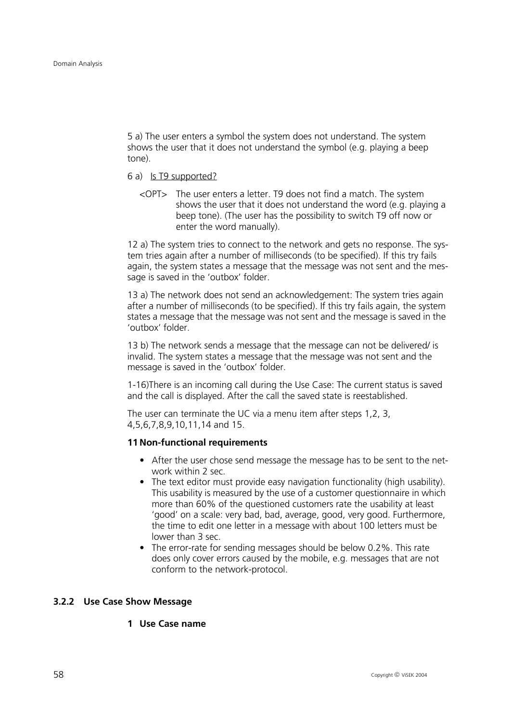5 a) The user enters a symbol the system does not understand. The system shows the user that it does not understand the symbol (e.g. playing a beep tone).

#### 6 a) Is T9 supported?

<OPT> The user enters a letter. T9 does not find a match. The system shows the user that it does not understand the word (e.g. playing a beep tone). (The user has the possibility to switch T9 off now or enter the word manually).

12 a) The system tries to connect to the network and gets no response. The system tries again after a number of milliseconds (to be specified). If this try fails again, the system states a message that the message was not sent and the message is saved in the 'outbox' folder.

13 a) The network does not send an acknowledgement: The system tries again after a number of milliseconds (to be specified). If this try fails again, the system states a message that the message was not sent and the message is saved in the 'outbox' folder.

13 b) The network sends a message that the message can not be delivered/ is invalid. The system states a message that the message was not sent and the message is saved in the 'outbox' folder.

1-16)There is an incoming call during the Use Case: The current status is saved and the call is displayed. After the call the saved state is reestablished.

The user can terminate the UC via a menu item after steps 1,2, 3, 4,5,6,7,8,9,10,11,14 and 15.

#### **11 Non-functional requirements**

- After the user chose send message the message has to be sent to the network within 2 sec.
- The text editor must provide easy navigation functionality (high usability). This usability is measured by the use of a customer questionnaire in which more than 60% of the questioned customers rate the usability at least 'good' on a scale: very bad, bad, average, good, very good. Furthermore, the time to edit one letter in a message with about 100 letters must be lower than 3 sec.
- The error-rate for sending messages should be below 0.2%. This rate does only cover errors caused by the mobile, e.g. messages that are not conform to the network-protocol.

#### **3.2.2 Use Case Show Message**

# **1 Use Case name**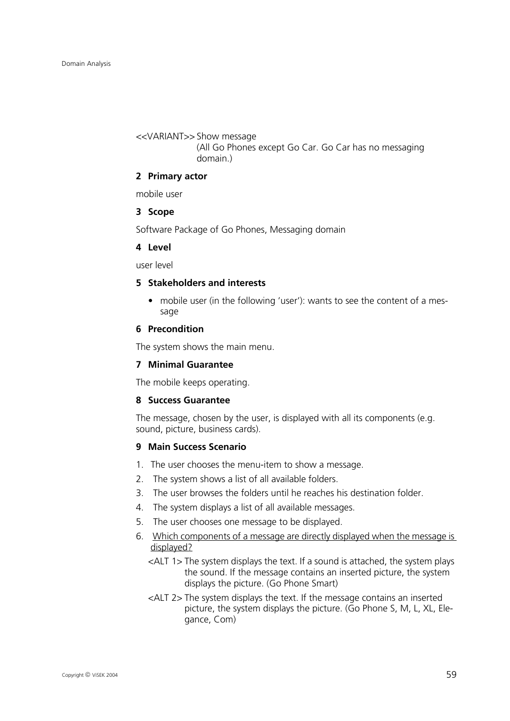<<VARIANT>> Show message (All Go Phones except Go Car. Go Car has no messaging domain.)

#### **2 Primary actor**

mobile user

#### **3 Scope**

Software Package of Go Phones, Messaging domain

#### **4 Level**

user level

## **5 Stakeholders and interests**

• mobile user (in the following 'user'): wants to see the content of a message

## **6 Precondition**

The system shows the main menu.

# **7 Minimal Guarantee**

The mobile keeps operating.

#### **8 Success Guarantee**

The message, chosen by the user, is displayed with all its components (e.g. sound, picture, business cards).

## **9 Main Success Scenario**

- 1. The user chooses the menu-item to show a message.
- 2. The system shows a list of all available folders.
- 3. The user browses the folders until he reaches his destination folder.
- 4. The system displays a list of all available messages.
- 5. The user chooses one message to be displayed.
- 6. Which components of a message are directly displayed when the message is displayed?
	- <ALT 1> The system displays the text. If a sound is attached, the system plays the sound. If the message contains an inserted picture, the system displays the picture. (Go Phone Smart)
	- <ALT 2> The system displays the text. If the message contains an inserted picture, the system displays the picture. (Go Phone S, M, L, XL, Elegance, Com)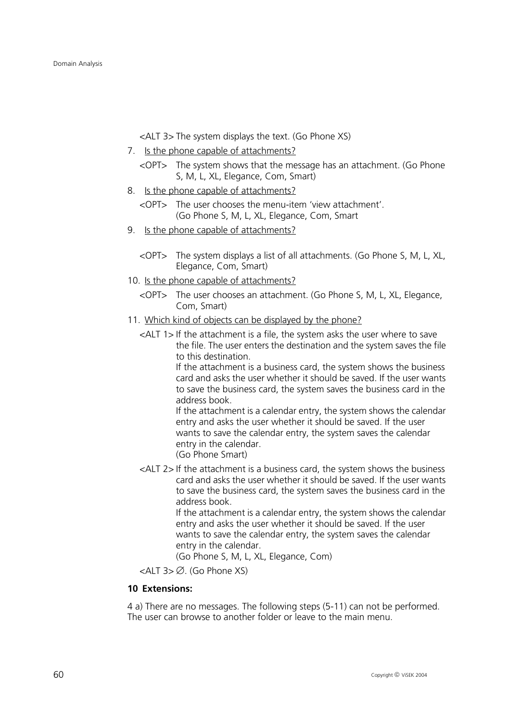<ALT 3> The system displays the text. (Go Phone XS)

- 7. Is the phone capable of attachments?
	- <OPT> The system shows that the message has an attachment. (Go Phone S, M, L, XL, Elegance, Com, Smart)
- 8. Is the phone capable of attachments?
	- <OPT> The user chooses the menu-item 'view attachment'. (Go Phone S, M, L, XL, Elegance, Com, Smart
- 9. Is the phone capable of attachments?
	- <OPT> The system displays a list of all attachments. (Go Phone S, M, L, XL, Elegance, Com, Smart)
- 10. Is the phone capable of attachments?
	- <OPT> The user chooses an attachment. (Go Phone S, M, L, XL, Elegance, Com, Smart)
- 11. Which kind of objects can be displayed by the phone?
	- <ALT 1> If the attachment is a file, the system asks the user where to save the file. The user enters the destination and the system saves the file to this destination.

If the attachment is a business card, the system shows the business card and asks the user whether it should be saved. If the user wants to save the business card, the system saves the business card in the address book.

If the attachment is a calendar entry, the system shows the calendar entry and asks the user whether it should be saved. If the user wants to save the calendar entry, the system saves the calendar entry in the calendar.

- (Go Phone Smart)
- <ALT 2> If the attachment is a business card, the system shows the business card and asks the user whether it should be saved. If the user wants to save the business card, the system saves the business card in the address book.

If the attachment is a calendar entry, the system shows the calendar entry and asks the user whether it should be saved. If the user wants to save the calendar entry, the system saves the calendar entry in the calendar.

(Go Phone S, M, L, XL, Elegance, Com)

 $\leq$ ALT 3> $\varnothing$ . (Go Phone XS)

## **10 Extensions:**

4 a) There are no messages. The following steps (5-11) can not be performed. The user can browse to another folder or leave to the main menu.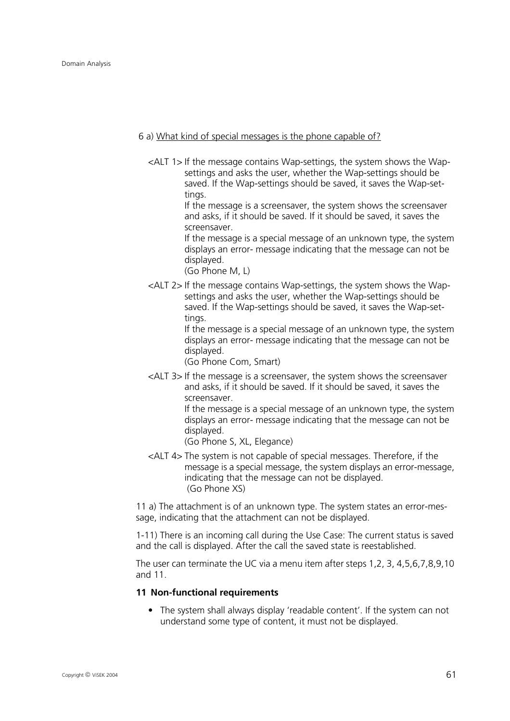#### 6 a) What kind of special messages is the phone capable of?

<ALT 1> If the message contains Wap-settings, the system shows the Wapsettings and asks the user, whether the Wap-settings should be saved. If the Wap-settings should be saved, it saves the Wap-settings.

> If the message is a screensaver, the system shows the screensaver and asks, if it should be saved. If it should be saved, it saves the screensaver.

If the message is a special message of an unknown type, the system displays an error- message indicating that the message can not be displayed.

(Go Phone M, L)

<ALT 2> If the message contains Wap-settings, the system shows the Wapsettings and asks the user, whether the Wap-settings should be saved. If the Wap-settings should be saved, it saves the Wap-settings.

> If the message is a special message of an unknown type, the system displays an error- message indicating that the message can not be displayed.

(Go Phone Com, Smart)

<ALT 3> If the message is a screensaver, the system shows the screensaver and asks, if it should be saved. If it should be saved, it saves the screensaver.

If the message is a special message of an unknown type, the system displays an error- message indicating that the message can not be displayed.

(Go Phone S, XL, Elegance)

<ALT 4> The system is not capable of special messages. Therefore, if the message is a special message, the system displays an error-message, indicating that the message can not be displayed. (Go Phone XS)

11 a) The attachment is of an unknown type. The system states an error-message, indicating that the attachment can not be displayed.

1-11) There is an incoming call during the Use Case: The current status is saved and the call is displayed. After the call the saved state is reestablished.

The user can terminate the UC via a menu item after steps 1,2, 3, 4,5,6,7,8,9,10 and 11.

#### **11 Non-functional requirements**

• The system shall always display 'readable content'. If the system can not understand some type of content, it must not be displayed.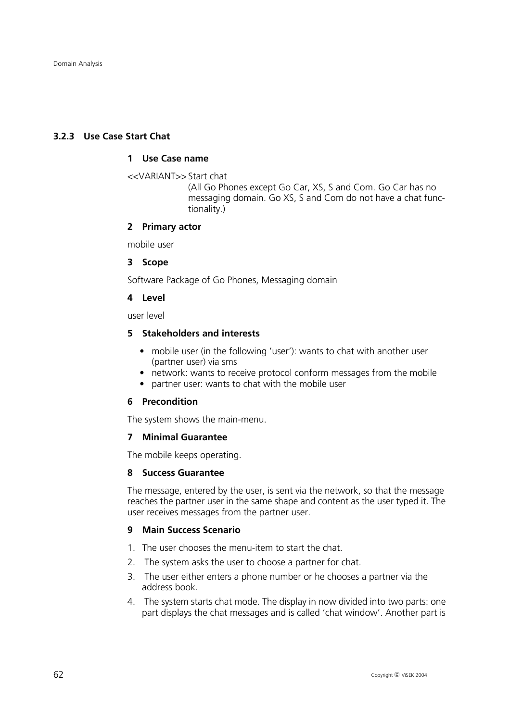# **3.2.3 Use Case Start Chat**

#### **1 Use Case name**

<<VARIANT>> Start chat

(All Go Phones except Go Car, XS, S and Com. Go Car has no messaging domain. Go XS, S and Com do not have a chat functionality.)

## **2 Primary actor**

mobile user

## **3 Scope**

Software Package of Go Phones, Messaging domain

## **4 Level**

user level

# **5 Stakeholders and interests**

- mobile user (in the following 'user'): wants to chat with another user (partner user) via sms
- network: wants to receive protocol conform messages from the mobile
- partner user: wants to chat with the mobile user

## **6 Precondition**

The system shows the main-menu.

## **7 Minimal Guarantee**

The mobile keeps operating.

#### **8 Success Guarantee**

The message, entered by the user, is sent via the network, so that the message reaches the partner user in the same shape and content as the user typed it. The user receives messages from the partner user.

## **9 Main Success Scenario**

- 1. The user chooses the menu-item to start the chat.
- 2. The system asks the user to choose a partner for chat.
- 3. The user either enters a phone number or he chooses a partner via the address book.
- 4. The system starts chat mode. The display in now divided into two parts: one part displays the chat messages and is called 'chat window'. Another part is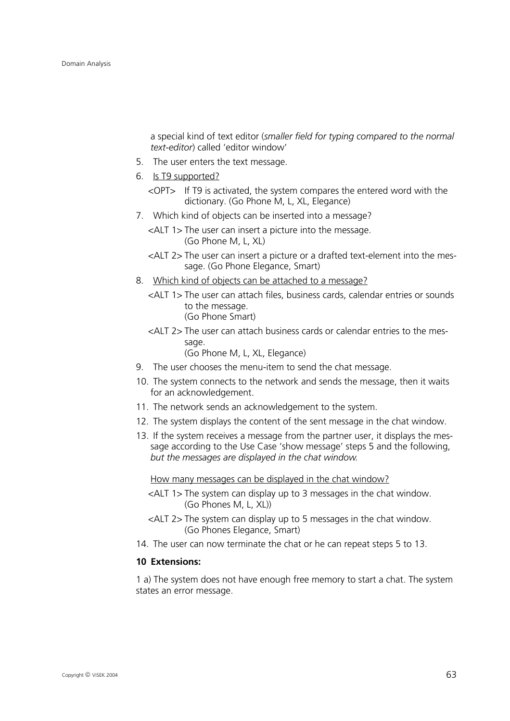a special kind of text editor (*smaller field for typing compared to the normal text-editor*) called 'editor window'

- 5. The user enters the text message.
- 6. Is T9 supported?
	- <OPT> If T9 is activated, the system compares the entered word with the dictionary. (Go Phone M, L, XL, Elegance)
- 7. Which kind of objects can be inserted into a message?
	- <ALT 1> The user can insert a picture into the message. (Go Phone M, L, XL)
	- <ALT 2> The user can insert a picture or a drafted text-element into the message. (Go Phone Elegance, Smart)
- 8. Which kind of objects can be attached to a message?
	- <ALT 1> The user can attach files, business cards, calendar entries or sounds to the message. (Go Phone Smart)
	- <ALT 2> The user can attach business cards or calendar entries to the message.
		- (Go Phone M, L, XL, Elegance)
- 9. The user chooses the menu-item to send the chat message.
- 10. The system connects to the network and sends the message, then it waits for an acknowledgement.
- 11. The network sends an acknowledgement to the system.
- 12. The system displays the content of the sent message in the chat window.
- 13. If the system receives a message from the partner user, it displays the message according to the Use Case 'show message' steps 5 and the following, *but the messages are displayed in the chat window.*

#### How many messages can be displayed in the chat window?

- <ALT 1> The system can display up to 3 messages in the chat window. (Go Phones M, L, XL))
- <ALT 2> The system can display up to 5 messages in the chat window. (Go Phones Elegance, Smart)
- 14. The user can now terminate the chat or he can repeat steps 5 to 13.

## **10 Extensions:**

1 a) The system does not have enough free memory to start a chat. The system states an error message.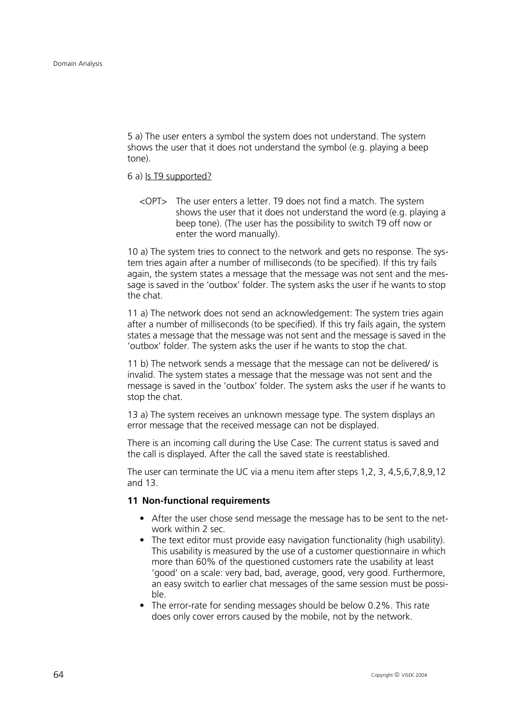5 a) The user enters a symbol the system does not understand. The system shows the user that it does not understand the symbol (e.g. playing a beep tone).

#### 6 a) Is T9 supported?

<OPT> The user enters a letter. T9 does not find a match. The system shows the user that it does not understand the word (e.g. playing a beep tone). (The user has the possibility to switch T9 off now or enter the word manually).

10 a) The system tries to connect to the network and gets no response. The system tries again after a number of milliseconds (to be specified). If this try fails again, the system states a message that the message was not sent and the message is saved in the 'outbox' folder. The system asks the user if he wants to stop the chat.

11 a) The network does not send an acknowledgement: The system tries again after a number of milliseconds (to be specified). If this try fails again, the system states a message that the message was not sent and the message is saved in the 'outbox' folder. The system asks the user if he wants to stop the chat.

11 b) The network sends a message that the message can not be delivered/ is invalid. The system states a message that the message was not sent and the message is saved in the 'outbox' folder. The system asks the user if he wants to stop the chat.

13 a) The system receives an unknown message type. The system displays an error message that the received message can not be displayed.

There is an incoming call during the Use Case: The current status is saved and the call is displayed. After the call the saved state is reestablished.

The user can terminate the UC via a menu item after steps 1,2, 3, 4,5,6,7,8,9,12 and 13.

#### **11 Non-functional requirements**

- After the user chose send message the message has to be sent to the network within 2 sec.
- The text editor must provide easy navigation functionality (high usability). This usability is measured by the use of a customer questionnaire in which more than 60% of the questioned customers rate the usability at least 'good' on a scale: very bad, bad, average, good, very good. Furthermore, an easy switch to earlier chat messages of the same session must be possible.
- The error-rate for sending messages should be below 0.2%. This rate does only cover errors caused by the mobile, not by the network.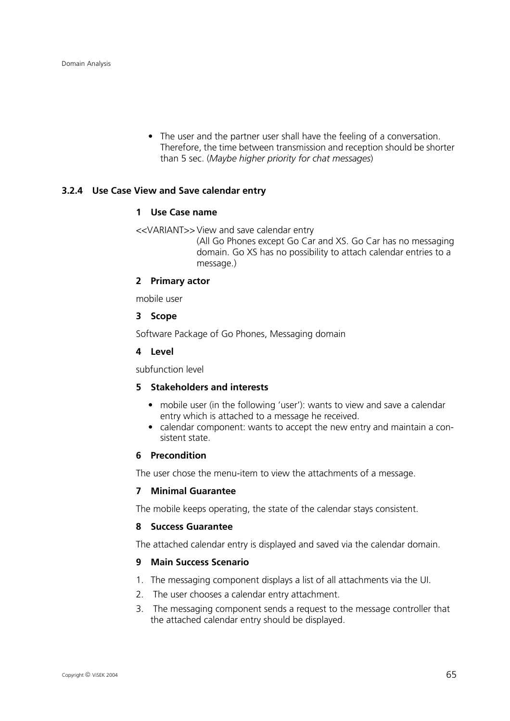• The user and the partner user shall have the feeling of a conversation. Therefore, the time between transmission and reception should be shorter than 5 sec. (*Maybe higher priority for chat messages*)

## **3.2.4 Use Case View and Save calendar entry**

#### **1 Use Case name**

<<VARIANT>> View and save calendar entry

(All Go Phones except Go Car and XS. Go Car has no messaging domain. Go XS has no possibility to attach calendar entries to a message.)

#### **2 Primary actor**

mobile user

## **3 Scope**

Software Package of Go Phones, Messaging domain

#### **4 Level**

subfunction level

#### **5 Stakeholders and interests**

- mobile user (in the following 'user'): wants to view and save a calendar entry which is attached to a message he received.
- calendar component: wants to accept the new entry and maintain a consistent state.

## **6 Precondition**

The user chose the menu-item to view the attachments of a message.

#### **7 Minimal Guarantee**

The mobile keeps operating, the state of the calendar stays consistent.

#### **8 Success Guarantee**

The attached calendar entry is displayed and saved via the calendar domain.

## **9 Main Success Scenario**

- 1. The messaging component displays a list of all attachments via the UI.
- 2. The user chooses a calendar entry attachment.
- 3. The messaging component sends a request to the message controller that the attached calendar entry should be displayed.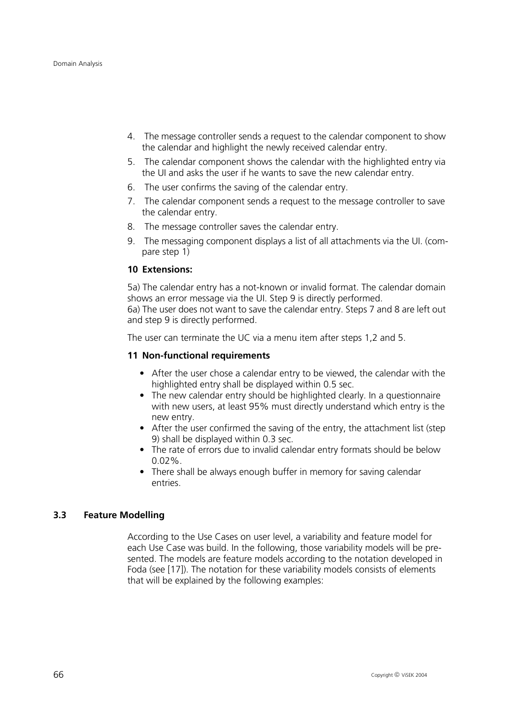- 4. The message controller sends a request to the calendar component to show the calendar and highlight the newly received calendar entry.
- 5. The calendar component shows the calendar with the highlighted entry via the UI and asks the user if he wants to save the new calendar entry.
- 6. The user confirms the saving of the calendar entry.
- 7. The calendar component sends a request to the message controller to save the calendar entry.
- 8. The message controller saves the calendar entry.
- 9. The messaging component displays a list of all attachments via the UI. (compare step 1)

#### **10 Extensions:**

5a) The calendar entry has a not-known or invalid format. The calendar domain shows an error message via the UI. Step 9 is directly performed. 6a) The user does not want to save the calendar entry. Steps 7 and 8 are left out and step 9 is directly performed.

The user can terminate the UC via a menu item after steps 1,2 and 5.

#### **11 Non-functional requirements**

- After the user chose a calendar entry to be viewed, the calendar with the highlighted entry shall be displayed within 0.5 sec.
- The new calendar entry should be highlighted clearly. In a questionnaire with new users, at least 95% must directly understand which entry is the new entry.
- After the user confirmed the saving of the entry, the attachment list (step 9) shall be displayed within 0.3 sec.
- The rate of errors due to invalid calendar entry formats should be below 0.02%.
- There shall be always enough buffer in memory for saving calendar entries.

## **3.3 Feature Modelling**

According to the Use Cases on user level, a variability and feature model for each Use Case was build. In the following, those variability models will be presented. The models are feature models according to the notation developed in Foda (see [17]). The notation for these variability models consists of elements that will be explained by the following examples: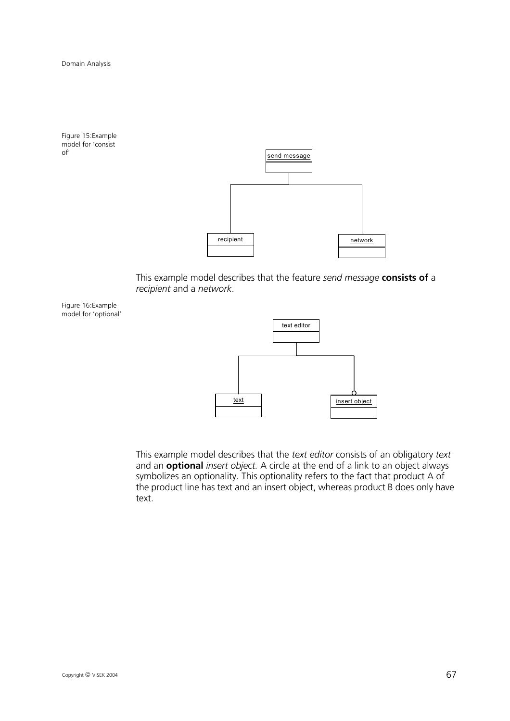Domain Analysis

Figure 15:Example model for 'consist of'



This example model describes that the feature *send message* **consists of** a *recipient* and a *network*.

Figure 16:Example model for 'optional'



This example model describes that the *text editor* consists of an obligatory *text* and an **optional** *insert object.* A circle at the end of a link to an object always symbolizes an optionality. This optionality refers to the fact that product A of the product line has text and an insert object, whereas product B does only have text.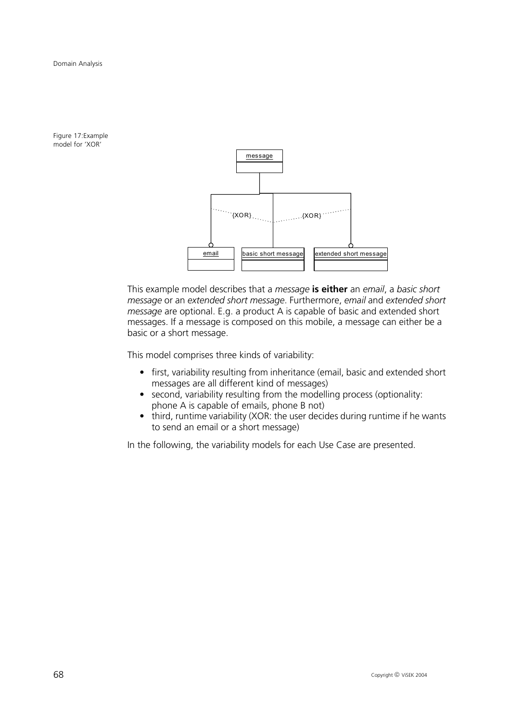Figure 17:Example model for 'XOR'



This example model describes that a *message* **is either** an *email*, a *basic short message* or an *extended short message*. Furthermore, *email* and *extended short message* are optional. E.g. a product A is capable of basic and extended short messages. If a message is composed on this mobile, a message can either be a basic or a short message.

This model comprises three kinds of variability:

- first, variability resulting from inheritance (email, basic and extended short messages are all different kind of messages)
- second, variability resulting from the modelling process (optionality: phone A is capable of emails, phone B not)
- third, runtime variability (XOR: the user decides during runtime if he wants to send an email or a short message)

In the following, the variability models for each Use Case are presented.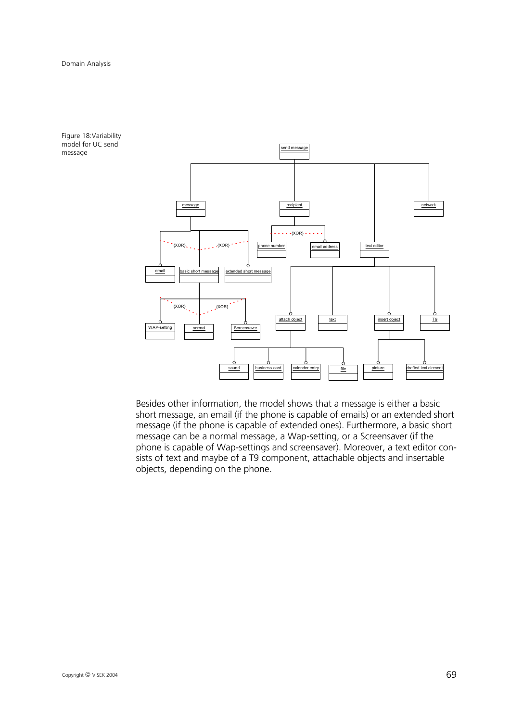Figure 18:Variability model for UC send message



Besides other information, the model shows that a message is either a basic short message, an email (if the phone is capable of emails) or an extended short message (if the phone is capable of extended ones). Furthermore, a basic short message can be a normal message, a Wap-setting, or a Screensaver (if the phone is capable of Wap-settings and screensaver). Moreover, a text editor consists of text and maybe of a T9 component, attachable objects and insertable objects, depending on the phone.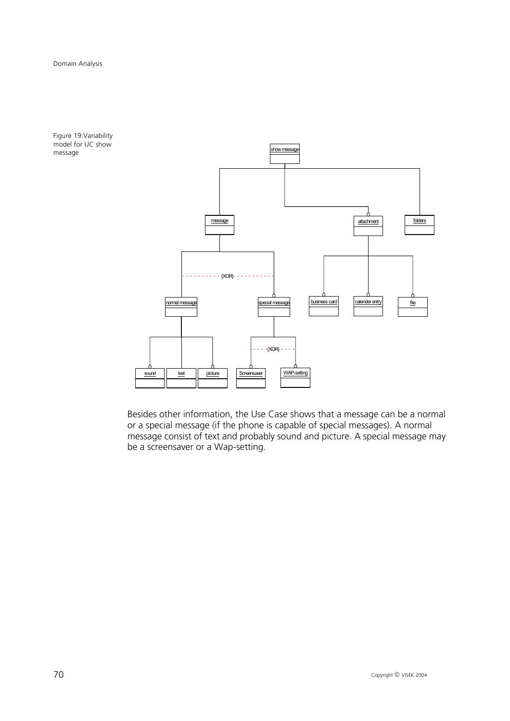Domain Analysis



Besides other information, the Use Case shows that a message can be a normal or a special message (if the phone is capable of special messages). A normal message consist of text and probably sound and picture. A special message may be a screensaver or a Wap-setting.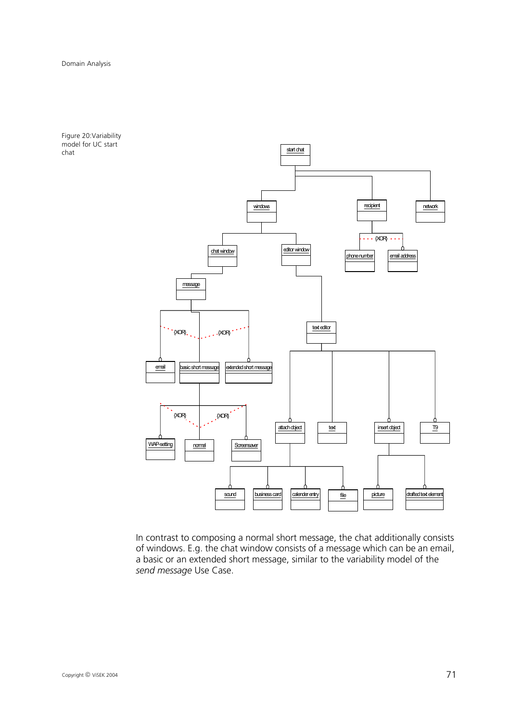Figure 20:Variability model for UC start chat



In contrast to composing a normal short message, the chat additionally consists of windows. E.g. the chat window consists of a message which can be an email, a basic or an extended short message, similar to the variability model of the *send message* Use Case.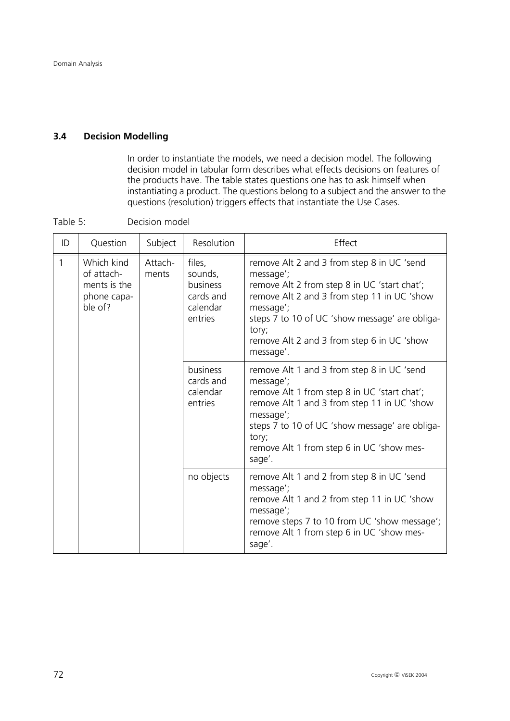# **3.4 Decision Modelling**

In order to instantiate the models, we need a decision model. The following decision model in tabular form describes what effects decisions on features of the products have. The table states questions one has to ask himself when instantiating a product. The questions belong to a subject and the answer to the questions (resolution) triggers effects that instantiate the Use Cases.

Table 5: Decision model

| ID | Question                                                           | Subject          | Resolution                                                        | Effect                                                                                                                                                                                                                                                                                    |  |
|----|--------------------------------------------------------------------|------------------|-------------------------------------------------------------------|-------------------------------------------------------------------------------------------------------------------------------------------------------------------------------------------------------------------------------------------------------------------------------------------|--|
| 1  | Which kind<br>of attach-<br>ments is the<br>phone capa-<br>ble of? | Attach-<br>ments | files,<br>sounds,<br>business<br>cards and<br>calendar<br>entries | remove Alt 2 and 3 from step 8 in UC 'send<br>message';<br>remove Alt 2 from step 8 in UC 'start chat';<br>remove Alt 2 and 3 from step 11 in UC 'show<br>message';<br>steps 7 to 10 of UC 'show message' are obliga-<br>tory;<br>remove Alt 2 and 3 from step 6 in UC 'show<br>message'. |  |
|    |                                                                    |                  | business<br>cards and<br>calendar<br>entries                      | remove Alt 1 and 3 from step 8 in UC 'send<br>message';<br>remove Alt 1 from step 8 in UC 'start chat';<br>remove Alt 1 and 3 from step 11 in UC 'show<br>message';<br>steps 7 to 10 of UC 'show message' are obliga-<br>tory;<br>remove Alt 1 from step 6 in UC 'show mes-<br>sage'.     |  |
|    |                                                                    |                  | no objects                                                        | remove Alt 1 and 2 from step 8 in UC 'send<br>message';<br>remove Alt 1 and 2 from step 11 in UC 'show<br>message';<br>remove steps 7 to 10 from UC 'show message';<br>remove Alt 1 from step 6 in UC 'show mes-<br>sage'.                                                                |  |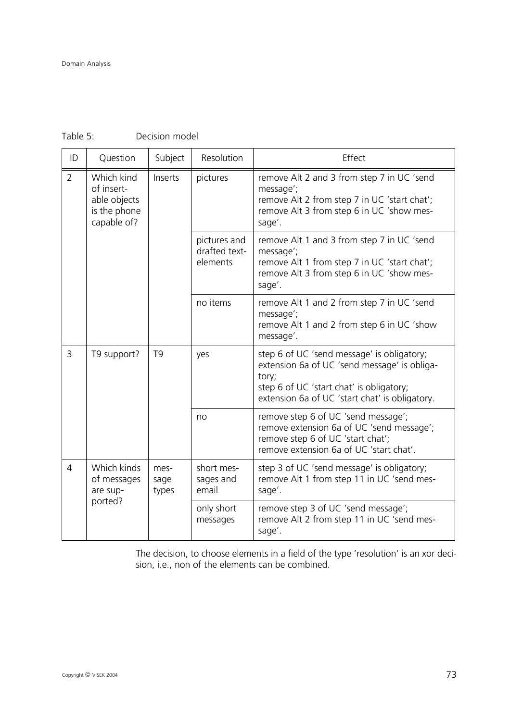| ID             | Question                                                                | Subject               | Resolution                                | Effect                                                                                                                                                                                            |  |
|----------------|-------------------------------------------------------------------------|-----------------------|-------------------------------------------|---------------------------------------------------------------------------------------------------------------------------------------------------------------------------------------------------|--|
| $\overline{2}$ | Which kind<br>of insert-<br>able objects<br>is the phone<br>capable of? | Inserts               | pictures                                  | remove Alt 2 and 3 from step 7 in UC 'send<br>message';<br>remove Alt 2 from step 7 in UC 'start chat';<br>remove Alt 3 from step 6 in UC 'show mes-<br>sage'.                                    |  |
|                |                                                                         |                       | pictures and<br>drafted text-<br>elements | remove Alt 1 and 3 from step 7 in UC 'send<br>message';<br>remove Alt 1 from step 7 in UC 'start chat';<br>remove Alt 3 from step 6 in UC 'show mes-<br>sage'.                                    |  |
|                |                                                                         |                       | no items                                  | remove Alt 1 and 2 from step 7 in UC 'send<br>message';<br>remove Alt 1 and 2 from step 6 in UC 'show<br>message'.                                                                                |  |
| $\overline{3}$ | T9 support?                                                             | T <sub>9</sub>        | yes                                       | step 6 of UC 'send message' is obligatory;<br>extension 6a of UC 'send message' is obliga-<br>tory;<br>step 6 of UC 'start chat' is obligatory;<br>extension 6a of UC 'start chat' is obligatory. |  |
|                | no                                                                      |                       |                                           | remove step 6 of UC 'send message';<br>remove extension 6a of UC 'send message';<br>remove step 6 of UC 'start chat';<br>remove extension 6a of UC 'start chat'.                                  |  |
| $\overline{4}$ | Which kinds<br>of messages<br>are sup-                                  | mes-<br>sage<br>types | short mes-<br>sages and<br>email          | step 3 of UC 'send message' is obligatory;<br>remove Alt 1 from step 11 in UC 'send mes-<br>sage'.                                                                                                |  |
|                | ported?                                                                 |                       | only short<br>messages                    | remove step 3 of UC 'send message';<br>remove Alt 2 from step 11 in UC 'send mes-<br>sage'.                                                                                                       |  |

Table 5: Decision model

The decision, to choose elements in a field of the type 'resolution' is an xor decision, i.e., non of the elements can be combined.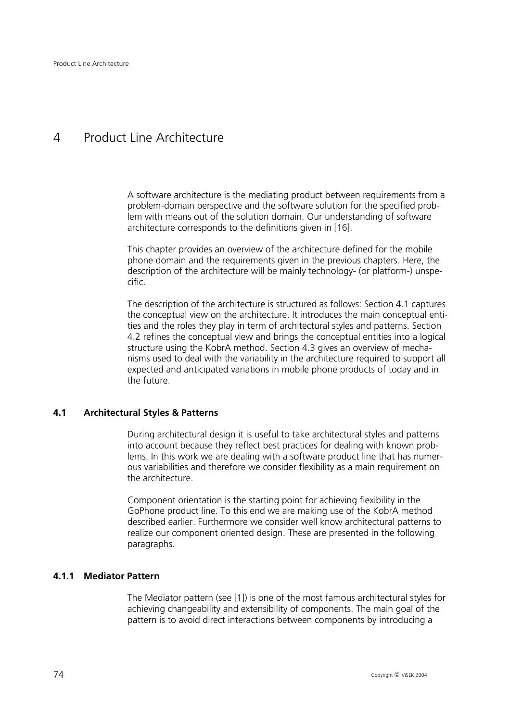# 4 Product Line Architecture

A software architecture is the mediating product between requirements from a problem-domain perspective and the software solution for the specified problem with means out of the solution domain. Our understanding of software architecture corresponds to the definitions given in [16].

This chapter provides an overview of the architecture defined for the mobile phone domain and the requirements given in the previous chapters. Here, the description of the architecture will be mainly technology- (or platform-) unspecific.

The description of the architecture is structured as follows: Section 4.1 captures the conceptual view on the architecture. It introduces the main conceptual entities and the roles they play in term of architectural styles and patterns. Section 4.2 refines the conceptual view and brings the conceptual entities into a logical structure using the KobrA method. Section 4.3 gives an overview of mechanisms used to deal with the variability in the architecture required to support all expected and anticipated variations in mobile phone products of today and in the future.

# **4.1 Architectural Styles & Patterns**

During architectural design it is useful to take architectural styles and patterns into account because they reflect best practices for dealing with known problems. In this work we are dealing with a software product line that has numerous variabilities and therefore we consider flexibility as a main requirement on the architecture.

Component orientation is the starting point for achieving flexibility in the GoPhone product line. To this end we are making use of the KobrA method described earlier. Furthermore we consider well know architectural patterns to realize our component oriented design. These are presented in the following paragraphs.

# **4.1.1 Mediator Pattern**

The Mediator pattern (see [1]) is one of the most famous architectural styles for achieving changeability and extensibility of components. The main goal of the pattern is to avoid direct interactions between components by introducing a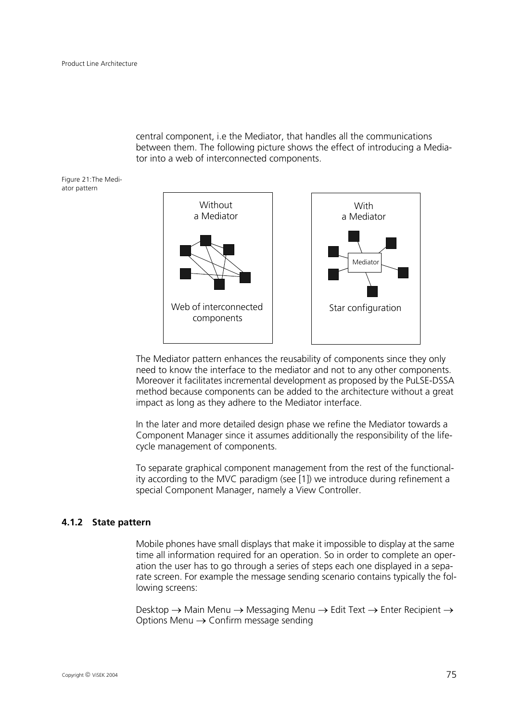central component, i.e the Mediator, that handles all the communications between them. The following picture shows the effect of introducing a Mediator into a web of interconnected components.

Figure 21:The Mediator pattern



The Mediator pattern enhances the reusability of components since they only need to know the interface to the mediator and not to any other components. Moreover it facilitates incremental development as proposed by the PuLSE-DSSA method because components can be added to the architecture without a great impact as long as they adhere to the Mediator interface.

In the later and more detailed design phase we refine the Mediator towards a Component Manager since it assumes additionally the responsibility of the lifecycle management of components.

To separate graphical component management from the rest of the functionality according to the MVC paradigm (see [1]) we introduce during refinement a special Component Manager, namely a View Controller.

# **4.1.2 State pattern**

Mobile phones have small displays that make it impossible to display at the same time all information required for an operation. So in order to complete an operation the user has to go through a series of steps each one displayed in a separate screen. For example the message sending scenario contains typically the following screens:

Desktop  $\rightarrow$  Main Menu  $\rightarrow$  Messaging Menu  $\rightarrow$  Edit Text  $\rightarrow$  Enter Recipient  $\rightarrow$ Options Menu  $\rightarrow$  Confirm message sending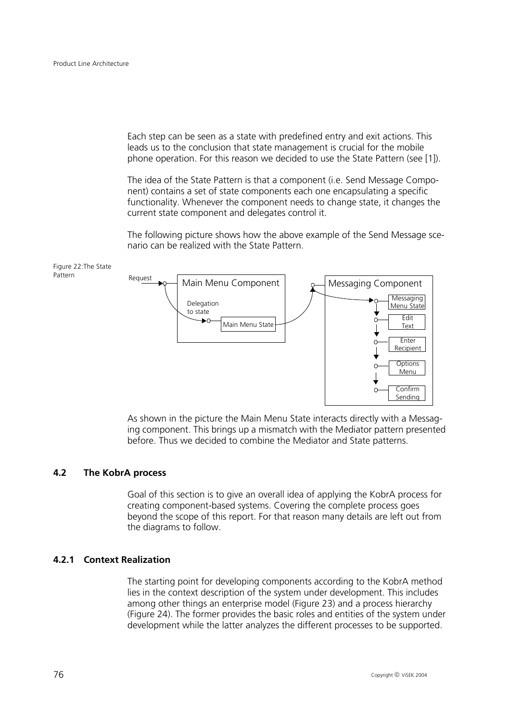Each step can be seen as a state with predefined entry and exit actions. This leads us to the conclusion that state management is crucial for the mobile phone operation. For this reason we decided to use the State Pattern (see [1]).

The idea of the State Pattern is that a component (i.e. Send Message Component) contains a set of state components each one encapsulating a specific functionality. Whenever the component needs to change state, it changes the current state component and delegates control it.

The following picture shows how the above example of the Send Message scenario can be realized with the State Pattern.



As shown in the picture the Main Menu State interacts directly with a Messaging component. This brings up a mismatch with the Mediator pattern presented before. Thus we decided to combine the Mediator and State patterns.

# **4.2 The KobrA process**

Goal of this section is to give an overall idea of applying the KobrA process for creating component-based systems. Covering the complete process goes beyond the scope of this report. For that reason many details are left out from the diagrams to follow.

# **4.2.1 Context Realization**

The starting point for developing components according to the KobrA method lies in the context description of the system under development. This includes among other things an enterprise model (Figure 23) and a process hierarchy (Figure 24). The former provides the basic roles and entities of the system under development while the latter analyzes the different processes to be supported.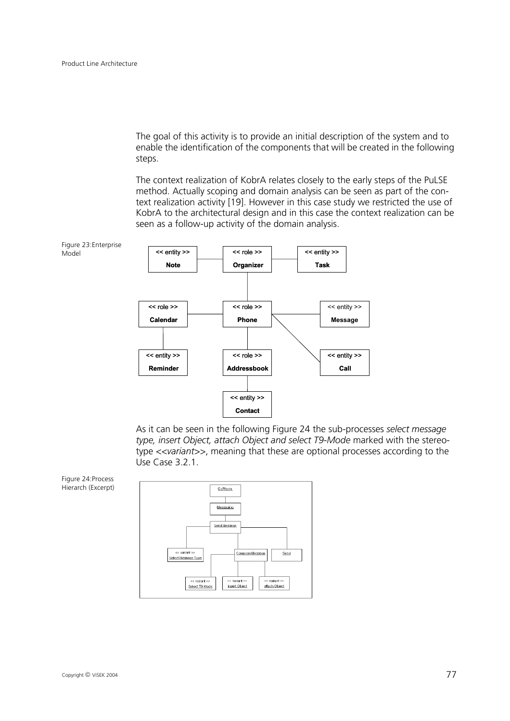Figure 23:Enterprise

Model

The goal of this activity is to provide an initial description of the system and to enable the identification of the components that will be created in the following steps.

The context realization of KobrA relates closely to the early steps of the PuLSE method. Actually scoping and domain analysis can be seen as part of the context realization activity [19]. However in this case study we restricted the use of KobrA to the architectural design and in this case the context realization can be seen as a follow-up activity of the domain analysis.



As it can be seen in the following Figure 24 the sub-processes *select message type, insert Object, attach Object and select T9-Mode* marked with the stereotype *<<variant>>*, meaning that these are optional processes according to the Use Case 3.2.1.



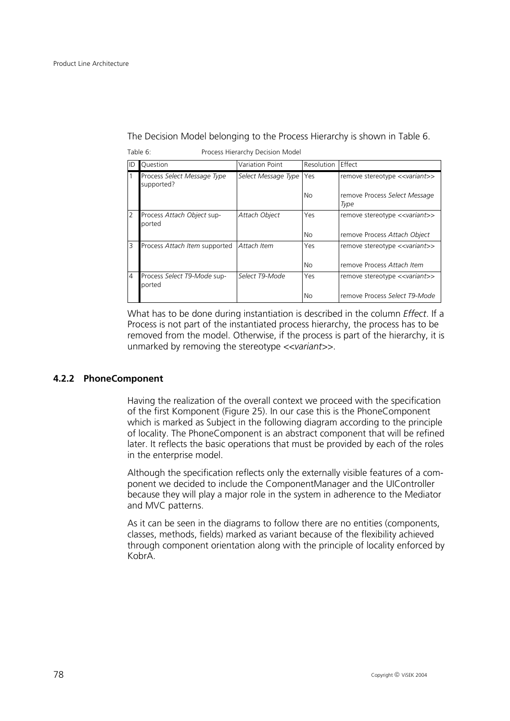| ID             | Question                                  | Variation Point     | <b>Resolution</b> | Fffect                                      |  |  |  |  |
|----------------|-------------------------------------------|---------------------|-------------------|---------------------------------------------|--|--|--|--|
|                | Process Select Message Type<br>supported? | Select Message Type | Yes               | remove stereotype < <variant>&gt;</variant> |  |  |  |  |
|                |                                           |                     | No                | remove Process Select Message<br>Type       |  |  |  |  |
| $\overline{2}$ | Process Attach Object sup-<br>ported      | Attach Object       | Yes               | remove stereotype < <variant>&gt;</variant> |  |  |  |  |
|                |                                           |                     | No                | remove Process Attach Object                |  |  |  |  |
| 3              | Process Attach Item supported             | Attach Item         | Yes               | remove stereotype < <variant>&gt;</variant> |  |  |  |  |
|                |                                           |                     | No.               | remove Process Attach Item                  |  |  |  |  |
| 4              | Process Select T9-Mode sup-<br>ported     | Select T9-Mode      | Yes               | remove stereotype < <variant>&gt;</variant> |  |  |  |  |
|                |                                           |                     | No                | remove Process Select T9-Mode               |  |  |  |  |

The Decision Model belonging to the Process Hierarchy is shown in Table 6. Table 6: Process Hierarchy Decision Model

What has to be done during instantiation is described in the column *Effect*. If a Process is not part of the instantiated process hierarchy, the process has to be removed from the model. Otherwise, if the process is part of the hierarchy, it is unmarked by removing the stereotype *<<variant>>*.

# **4.2.2 PhoneComponent**

Having the realization of the overall context we proceed with the specification of the first Komponent (Figure 25). In our case this is the PhoneComponent which is marked as Subject in the following diagram according to the principle of locality. The PhoneComponent is an abstract component that will be refined later. It reflects the basic operations that must be provided by each of the roles in the enterprise model.

Although the specification reflects only the externally visible features of a component we decided to include the ComponentManager and the UIController because they will play a major role in the system in adherence to the Mediator and MVC patterns.

As it can be seen in the diagrams to follow there are no entities (components, classes, methods, fields) marked as variant because of the flexibility achieved through component orientation along with the principle of locality enforced by KobrA.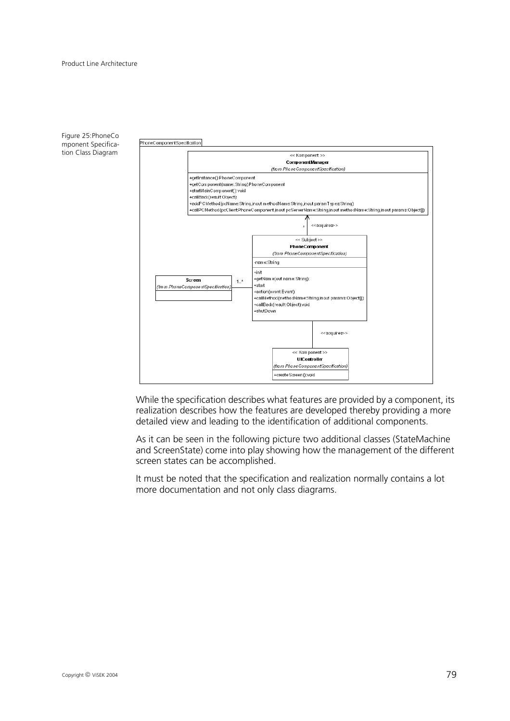

While the specification describes what features are provided by a component, its realization describes how the features are developed thereby providing a more detailed view and leading to the identification of additional components.

As it can be seen in the following picture two additional classes (StateMachine and ScreenState) come into play showing how the management of the different screen states can be accomplished.

It must be noted that the specification and realization normally contains a lot more documentation and not only class diagrams.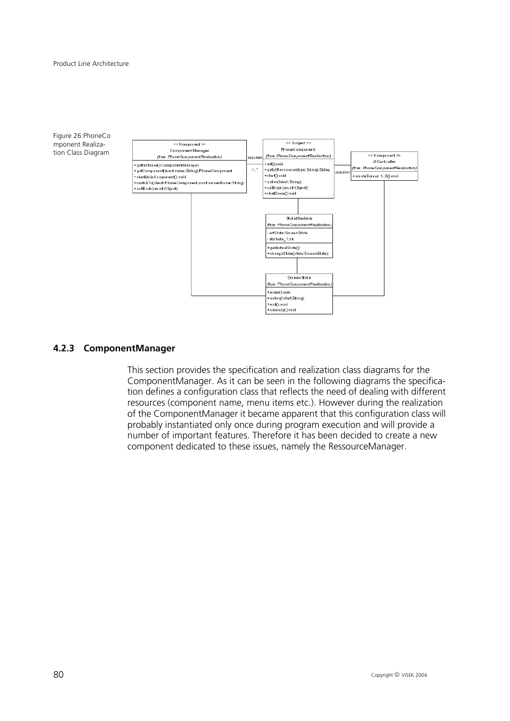Product Line Architecture

Figure 26:PhoneCo mponent Realization Class Diagram



## **4.2.3 ComponentManager**

This section provides the specification and realization class diagrams for the ComponentManager. As it can be seen in the following diagrams the specification defines a configuration class that reflects the need of dealing with different resources (component name, menu items etc.). However during the realization of the ComponentManager it became apparent that this configuration class will probably instantiated only once during program execution and will provide a number of important features. Therefore it has been decided to create a new component dedicated to these issues, namely the RessourceManager.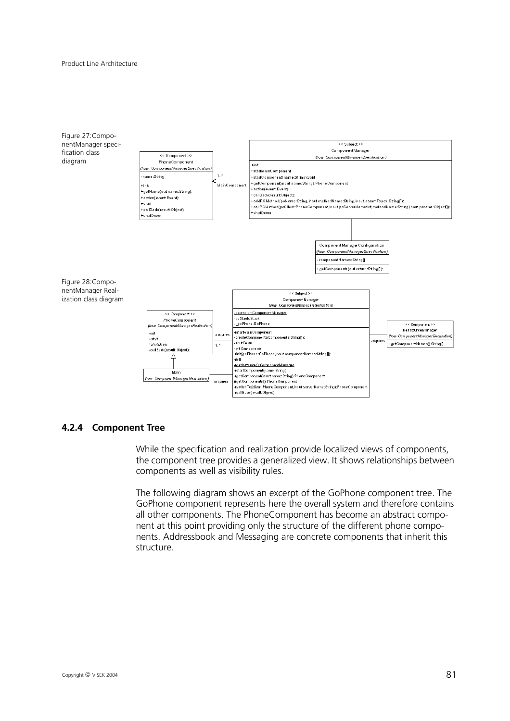Product Line Architecture



#### **4.2.4 Component Tree**

While the specification and realization provide localized views of components, the component tree provides a generalized view. It shows relationships between components as well as visibility rules.

The following diagram shows an excerpt of the GoPhone component tree. The GoPhone component represents here the overall system and therefore contains all other components. The PhoneComponent has become an abstract component at this point providing only the structure of the different phone components. Addressbook and Messaging are concrete components that inherit this structure.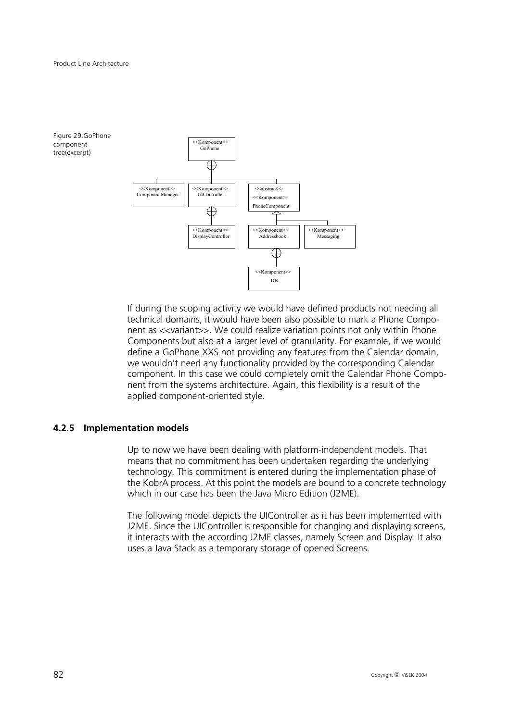Figure 29:GoPhone component tree(excerpt)

<<Komponent>> GoPhone  $\oplus$ <<ahstract>> <<Komponent>> <<Komponent>> ComponentManag UIController <<Komponent>> PhoneComponent <<Komponent>> <<Komponent>> <<Komponent>> DisplayController Addressbook Messaging Æ <<Komponent>> DB

If during the scoping activity we would have defined products not needing all technical domains, it would have been also possible to mark a Phone Component as <<variant>>. We could realize variation points not only within Phone Components but also at a larger level of granularity. For example, if we would define a GoPhone XXS not providing any features from the Calendar domain, we wouldn't need any functionality provided by the corresponding Calendar component. In this case we could completely omit the Calendar Phone Component from the systems architecture. Again, this flexibility is a result of the applied component-oriented style.

# **4.2.5 Implementation models**

Up to now we have been dealing with platform-independent models. That means that no commitment has been undertaken regarding the underlying technology. This commitment is entered during the implementation phase of the KobrA process. At this point the models are bound to a concrete technology which in our case has been the Java Micro Edition (J2ME).

The following model depicts the UIController as it has been implemented with J2ME. Since the UIController is responsible for changing and displaying screens, it interacts with the according J2ME classes, namely Screen and Display. It also uses a Java Stack as a temporary storage of opened Screens.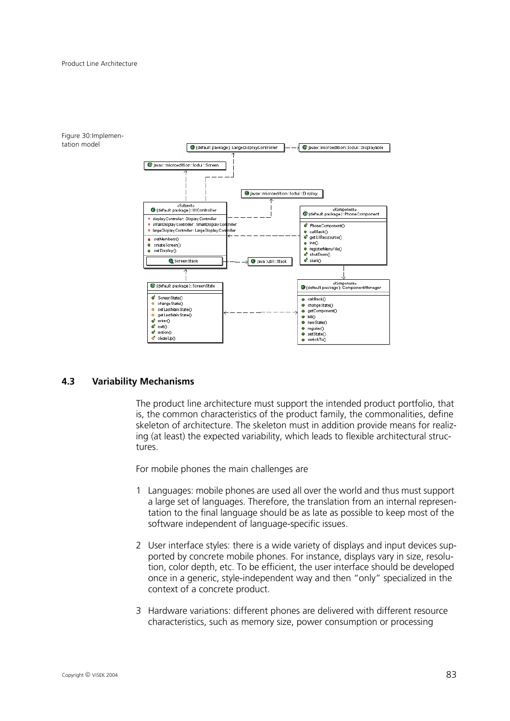

Figure 30:Implementation model

# **4.3 Variability Mechanisms**

The product line architecture must support the intended product portfolio, that is, the common characteristics of the product family, the commonalities, define skeleton of architecture. The skeleton must in addition provide means for realizing (at least) the expected variability, which leads to flexible architectural structures.

For mobile phones the main challenges are

- 1 Languages: mobile phones are used all over the world and thus must support a large set of languages. Therefore, the translation from an internal representation to the final language should be as late as possible to keep most of the software independent of language-specific issues.
- 2 User interface styles: there is a wide variety of displays and input devices supported by concrete mobile phones. For instance, displays vary in size, resolution, color depth, etc. To be efficient, the user interface should be developed once in a generic, style-independent way and then "only" specialized in the context of a concrete product.
- 3 Hardware variations: different phones are delivered with different resource characteristics, such as memory size, power consumption or processing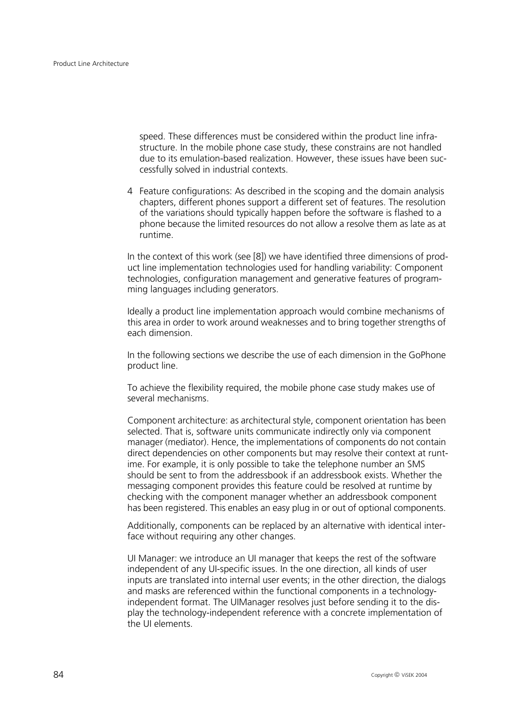speed. These differences must be considered within the product line infrastructure. In the mobile phone case study, these constrains are not handled due to its emulation-based realization. However, these issues have been successfully solved in industrial contexts.

4 Feature configurations: As described in the scoping and the domain analysis chapters, different phones support a different set of features. The resolution of the variations should typically happen before the software is flashed to a phone because the limited resources do not allow a resolve them as late as at runtime.

In the context of this work (see [8]) we have identified three dimensions of product line implementation technologies used for handling variability: Component technologies, configuration management and generative features of programming languages including generators.

Ideally a product line implementation approach would combine mechanisms of this area in order to work around weaknesses and to bring together strengths of each dimension.

In the following sections we describe the use of each dimension in the GoPhone product line.

To achieve the flexibility required, the mobile phone case study makes use of several mechanisms.

Component architecture: as architectural style, component orientation has been selected. That is, software units communicate indirectly only via component manager (mediator). Hence, the implementations of components do not contain direct dependencies on other components but may resolve their context at runtime. For example, it is only possible to take the telephone number an SMS should be sent to from the addressbook if an addressbook exists. Whether the messaging component provides this feature could be resolved at runtime by checking with the component manager whether an addressbook component has been registered. This enables an easy plug in or out of optional components.

Additionally, components can be replaced by an alternative with identical interface without requiring any other changes.

UI Manager: we introduce an UI manager that keeps the rest of the software independent of any UI-specific issues. In the one direction, all kinds of user inputs are translated into internal user events; in the other direction, the dialogs and masks are referenced within the functional components in a technologyindependent format. The UIManager resolves just before sending it to the display the technology-independent reference with a concrete implementation of the UI elements.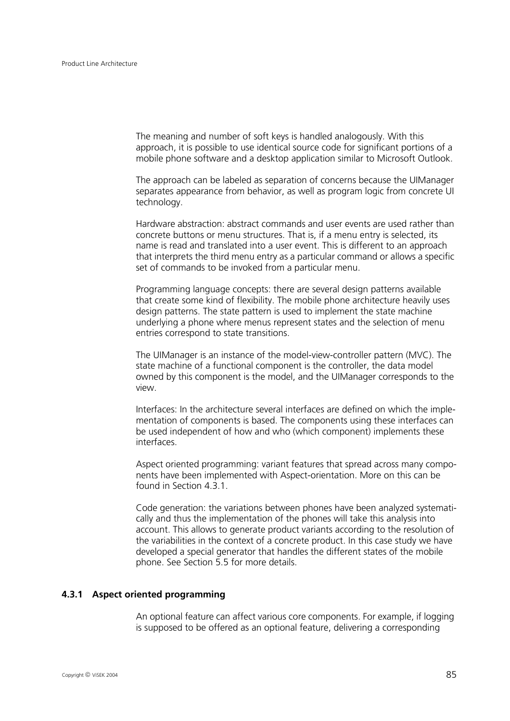The meaning and number of soft keys is handled analogously. With this approach, it is possible to use identical source code for significant portions of a mobile phone software and a desktop application similar to Microsoft Outlook.

The approach can be labeled as separation of concerns because the UIManager separates appearance from behavior, as well as program logic from concrete UI technology.

Hardware abstraction: abstract commands and user events are used rather than concrete buttons or menu structures. That is, if a menu entry is selected, its name is read and translated into a user event. This is different to an approach that interprets the third menu entry as a particular command or allows a specific set of commands to be invoked from a particular menu.

Programming language concepts: there are several design patterns available that create some kind of flexibility. The mobile phone architecture heavily uses design patterns. The state pattern is used to implement the state machine underlying a phone where menus represent states and the selection of menu entries correspond to state transitions.

The UIManager is an instance of the model-view-controller pattern (MVC). The state machine of a functional component is the controller, the data model owned by this component is the model, and the UIManager corresponds to the view.

Interfaces: In the architecture several interfaces are defined on which the implementation of components is based. The components using these interfaces can be used independent of how and who (which component) implements these interfaces.

Aspect oriented programming: variant features that spread across many components have been implemented with Aspect-orientation. More on this can be found in Section 4.3.1.

Code generation: the variations between phones have been analyzed systematically and thus the implementation of the phones will take this analysis into account. This allows to generate product variants according to the resolution of the variabilities in the context of a concrete product. In this case study we have developed a special generator that handles the different states of the mobile phone. See Section 5.5 for more details.

## **4.3.1 Aspect oriented programming**

An optional feature can affect various core components. For example, if logging is supposed to be offered as an optional feature, delivering a corresponding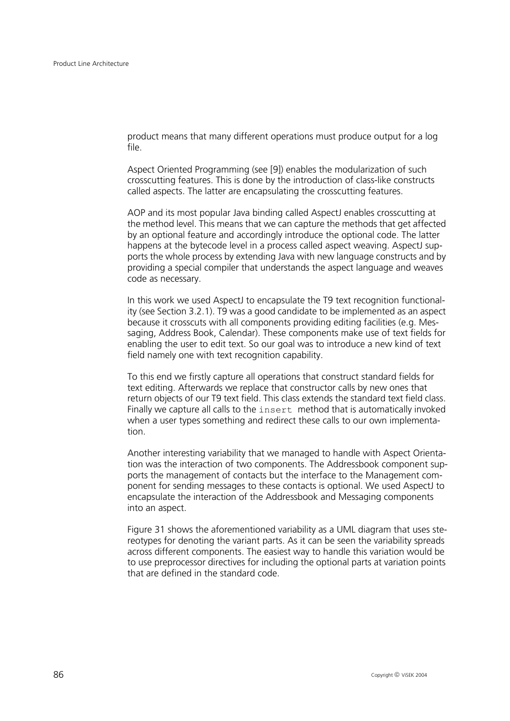product means that many different operations must produce output for a log file.

Aspect Oriented Programming (see [9]) enables the modularization of such crosscutting features. This is done by the introduction of class-like constructs called aspects. The latter are encapsulating the crosscutting features.

AOP and its most popular Java binding called AspectJ enables crosscutting at the method level. This means that we can capture the methods that get affected by an optional feature and accordingly introduce the optional code. The latter happens at the bytecode level in a process called aspect weaving. AspectJ supports the whole process by extending Java with new language constructs and by providing a special compiler that understands the aspect language and weaves code as necessary.

In this work we used AspectJ to encapsulate the T9 text recognition functionality (see Section 3.2.1). T9 was a good candidate to be implemented as an aspect because it crosscuts with all components providing editing facilities (e.g. Messaging, Address Book, Calendar). These components make use of text fields for enabling the user to edit text. So our goal was to introduce a new kind of text field namely one with text recognition capability.

To this end we firstly capture all operations that construct standard fields for text editing. Afterwards we replace that constructor calls by new ones that return objects of our T9 text field. This class extends the standard text field class. Finally we capture all calls to the insert method that is automatically invoked when a user types something and redirect these calls to our own implementation.

Another interesting variability that we managed to handle with Aspect Orientation was the interaction of two components. The Addressbook component supports the management of contacts but the interface to the Management component for sending messages to these contacts is optional. We used AspectJ to encapsulate the interaction of the Addressbook and Messaging components into an aspect.

Figure 31 shows the aforementioned variability as a UML diagram that uses stereotypes for denoting the variant parts. As it can be seen the variability spreads across different components. The easiest way to handle this variation would be to use preprocessor directives for including the optional parts at variation points that are defined in the standard code.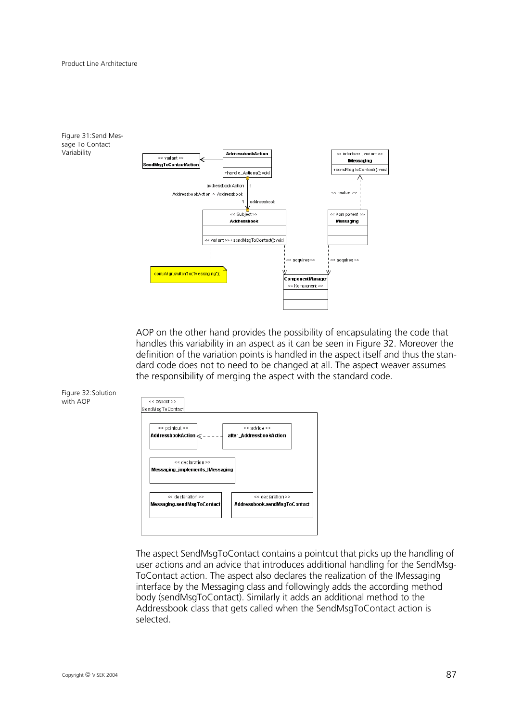

AOP on the other hand provides the possibility of encapsulating the code that handles this variability in an aspect as it can be seen in Figure 32. Moreover the definition of the variation points is handled in the aspect itself and thus the standard code does not to need to be changed at all. The aspect weaver assumes the responsibility of merging the aspect with the standard code.



The aspect SendMsgToContact contains a pointcut that picks up the handling of user actions and an advice that introduces additional handling for the SendMsg-ToContact action. The aspect also declares the realization of the IMessaging interface by the Messaging class and followingly adds the according method body (sendMsgToContact). Similarly it adds an additional method to the Addressbook class that gets called when the SendMsgToContact action is selected.

#### Figure 32:Solution with AOP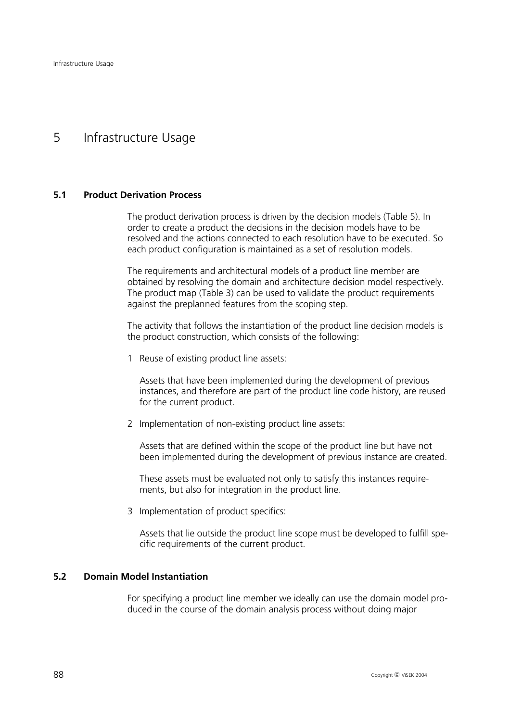# 5 Infrastructure Usage

## **5.1 Product Derivation Process**

The product derivation process is driven by the decision models (Table 5). In order to create a product the decisions in the decision models have to be resolved and the actions connected to each resolution have to be executed. So each product configuration is maintained as a set of resolution models.

The requirements and architectural models of a product line member are obtained by resolving the domain and architecture decision model respectively. The product map (Table 3) can be used to validate the product requirements against the preplanned features from the scoping step.

The activity that follows the instantiation of the product line decision models is the product construction, which consists of the following:

1 Reuse of existing product line assets:

Assets that have been implemented during the development of previous instances, and therefore are part of the product line code history, are reused for the current product.

2 Implementation of non-existing product line assets:

Assets that are defined within the scope of the product line but have not been implemented during the development of previous instance are created.

These assets must be evaluated not only to satisfy this instances requirements, but also for integration in the product line.

3 Implementation of product specifics:

Assets that lie outside the product line scope must be developed to fulfill specific requirements of the current product.

# **5.2 Domain Model Instantiation**

For specifying a product line member we ideally can use the domain model produced in the course of the domain analysis process without doing major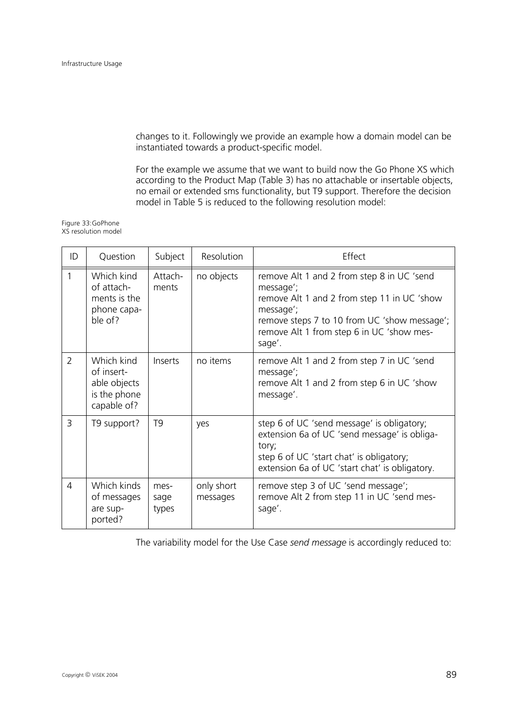changes to it. Followingly we provide an example how a domain model can be instantiated towards a product-specific model.

For the example we assume that we want to build now the Go Phone XS which according to the Product Map (Table 3) has no attachable or insertable objects, no email or extended sms functionality, but T9 support. Therefore the decision model in Table 5 is reduced to the following resolution model:

#### Figure 33:GoPhone XS resolution model

| ID             | Question                                                                | Subject               | Resolution             | Effect                                                                                                                                                                                                                     |
|----------------|-------------------------------------------------------------------------|-----------------------|------------------------|----------------------------------------------------------------------------------------------------------------------------------------------------------------------------------------------------------------------------|
| 1              | Which kind<br>of attach-<br>ments is the<br>phone capa-<br>ble of?      | Attach-<br>ments      | no objects             | remove Alt 1 and 2 from step 8 in UC 'send<br>message';<br>remove Alt 1 and 2 from step 11 in UC 'show<br>message';<br>remove steps 7 to 10 from UC 'show message';<br>remove Alt 1 from step 6 in UC 'show mes-<br>sage'. |
| $\overline{2}$ | Which kind<br>of insert-<br>able objects<br>is the phone<br>capable of? | Inserts               | no items               | remove Alt 1 and 2 from step 7 in UC 'send<br>message';<br>remove Alt 1 and 2 from step 6 in UC 'show<br>message'.                                                                                                         |
| $\overline{3}$ | T9 support?                                                             | T <sub>9</sub>        | yes                    | step 6 of UC 'send message' is obligatory;<br>extension 6a of UC 'send message' is obliga-<br>tory;<br>step 6 of UC 'start chat' is obligatory;<br>extension 6a of UC 'start chat' is obligatory.                          |
| 4              | Which kinds<br>of messages<br>are sup-<br>ported?                       | mes-<br>sage<br>types | only short<br>messages | remove step 3 of UC 'send message';<br>remove Alt 2 from step 11 in UC 'send mes-<br>sage'.                                                                                                                                |

The variability model for the Use Case *send message* is accordingly reduced to: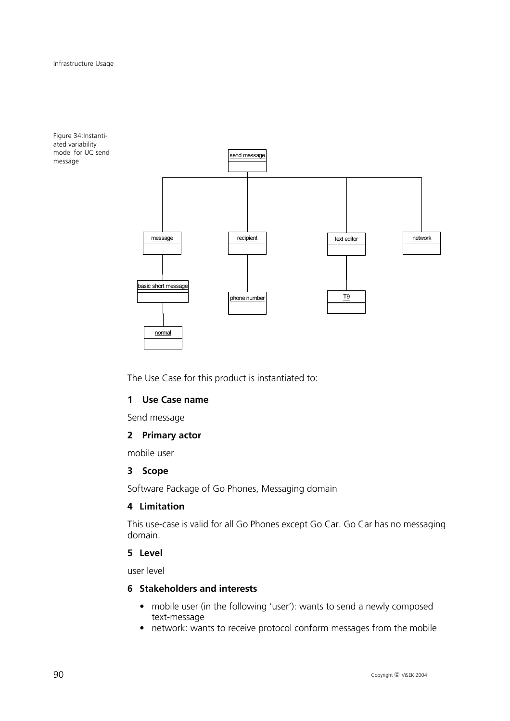Figure 34:Instantiated variability model for UC send message



The Use Case for this product is instantiated to:

# **1 Use Case name**

Send message

# **2 Primary actor**

mobile user

#### **3 Scope**

Software Package of Go Phones, Messaging domain

# **4 Limitation**

This use-case is valid for all Go Phones except Go Car. Go Car has no messaging domain.

#### **5 Level**

user level

# **6 Stakeholders and interests**

- mobile user (in the following 'user'): wants to send a newly composed text-message
- network: wants to receive protocol conform messages from the mobile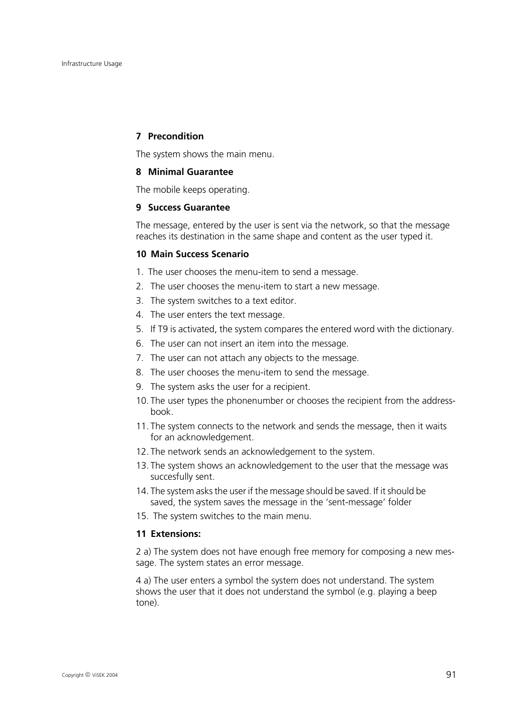# **7 Precondition**

The system shows the main menu.

#### **8 Minimal Guarantee**

The mobile keeps operating.

#### **9 Success Guarantee**

The message, entered by the user is sent via the network, so that the message reaches its destination in the same shape and content as the user typed it.

#### **10 Main Success Scenario**

- 1. The user chooses the menu-item to send a message.
- 2. The user chooses the menu-item to start a new message.
- 3. The system switches to a text editor.
- 4. The user enters the text message.
- 5. If T9 is activated, the system compares the entered word with the dictionary.
- 6. The user can not insert an item into the message.
- 7. The user can not attach any objects to the message.
- 8. The user chooses the menu-item to send the message.
- 9. The system asks the user for a recipient.
- 10. The user types the phonenumber or chooses the recipient from the addressbook.
- 11. The system connects to the network and sends the message, then it waits for an acknowledgement.
- 12. The network sends an acknowledgement to the system.
- 13. The system shows an acknowledgement to the user that the message was succesfully sent.
- 14. The system asks the user if the message should be saved. If it should be saved, the system saves the message in the 'sent-message' folder
- 15. The system switches to the main menu.

#### **11 Extensions:**

2 a) The system does not have enough free memory for composing a new message. The system states an error message.

4 a) The user enters a symbol the system does not understand. The system shows the user that it does not understand the symbol (e.g. playing a beep tone).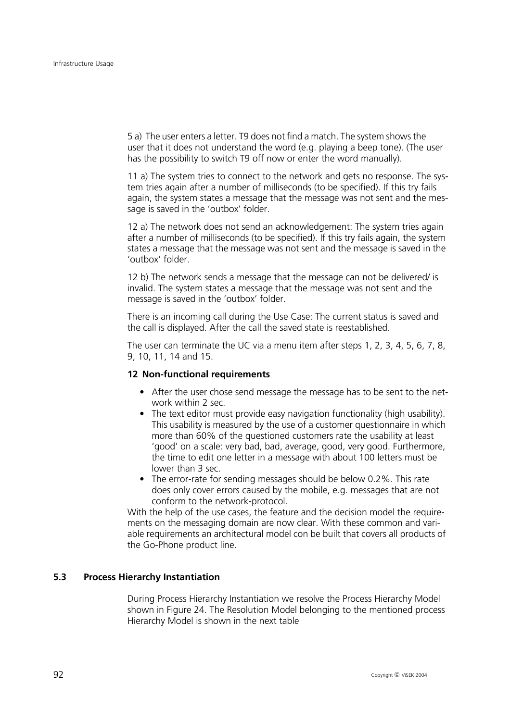5 a) The user enters a letter. T9 does not find a match. The system shows the user that it does not understand the word (e.g. playing a beep tone). (The user has the possibility to switch T9 off now or enter the word manually).

11 a) The system tries to connect to the network and gets no response. The system tries again after a number of milliseconds (to be specified). If this try fails again, the system states a message that the message was not sent and the message is saved in the 'outbox' folder.

12 a) The network does not send an acknowledgement: The system tries again after a number of milliseconds (to be specified). If this try fails again, the system states a message that the message was not sent and the message is saved in the 'outbox' folder.

12 b) The network sends a message that the message can not be delivered/ is invalid. The system states a message that the message was not sent and the message is saved in the 'outbox' folder.

There is an incoming call during the Use Case: The current status is saved and the call is displayed. After the call the saved state is reestablished.

The user can terminate the UC via a menu item after steps 1, 2, 3, 4, 5, 6, 7, 8, 9, 10, 11, 14 and 15.

#### **12 Non-functional requirements**

- After the user chose send message the message has to be sent to the network within 2 sec.
- The text editor must provide easy navigation functionality (high usability). This usability is measured by the use of a customer questionnaire in which more than 60% of the questioned customers rate the usability at least 'good' on a scale: very bad, bad, average, good, very good. Furthermore, the time to edit one letter in a message with about 100 letters must be lower than 3 sec.
- The error-rate for sending messages should be below 0.2%. This rate does only cover errors caused by the mobile, e.g. messages that are not conform to the network-protocol.

With the help of the use cases, the feature and the decision model the requirements on the messaging domain are now clear. With these common and variable requirements an architectural model con be built that covers all products of the Go-Phone product line.

# **5.3 Process Hierarchy Instantiation**

During Process Hierarchy Instantiation we resolve the Process Hierarchy Model shown in Figure 24. The Resolution Model belonging to the mentioned process Hierarchy Model is shown in the next table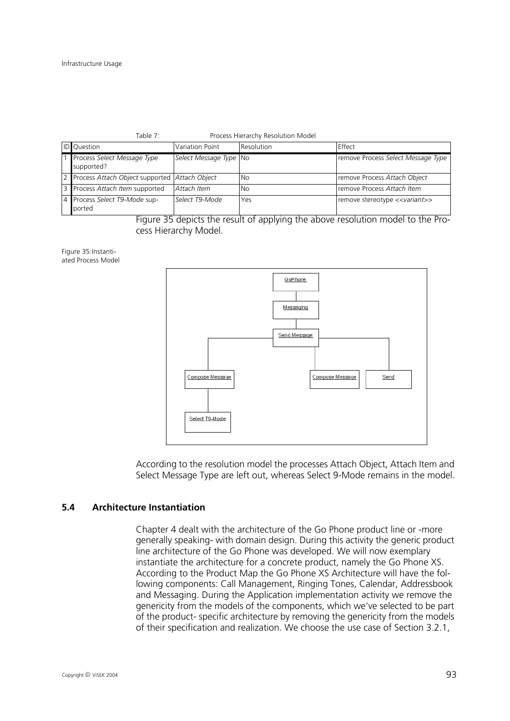Table 7:

| <b>ID</b> Question                              | Variation Point        | Resolution | Effect                                      |
|-------------------------------------------------|------------------------|------------|---------------------------------------------|
| 1 Process Select Message Type<br>supported?     | Select Message Type No |            | remove Process Select Message Type          |
| 2 Process Attach Object supported Attach Object |                        | No         | remove Process Attach Object                |
| 3 Process Attach Item supported                 | Attach Item            | Nο         | remove Process Attach Item                  |
| 4 Process Select T9-Mode sup-<br>ported         | Select T9-Mode         | Yes        | remove stereotype < <variant>&gt;</variant> |

Figure 35 depicts the result of applying the above resolution model to the Process Hierarchy Model.

Figure 35:Instantiated Process Model



According to the resolution model the processes Attach Object, Attach Item and Select Message Type are left out, whereas Select 9-Mode remains in the model.

#### **5.4 Architecture Instantiation**

Chapter 4 dealt with the architecture of the Go Phone product line or -more generally speaking- with domain design. During this activity the generic product line architecture of the Go Phone was developed. We will now exemplary instantiate the architecture for a concrete product, namely the Go Phone XS. According to the Product Map the Go Phone XS Architecture will have the following components: Call Management, Ringing Tones, Calendar, Addressbook and Messaging. During the Application implementation activity we remove the genericity from the models of the components, which we've selected to be part of the product- specific architecture by removing the genericity from the models of their specification and realization. We choose the use case of Section 3.2.1,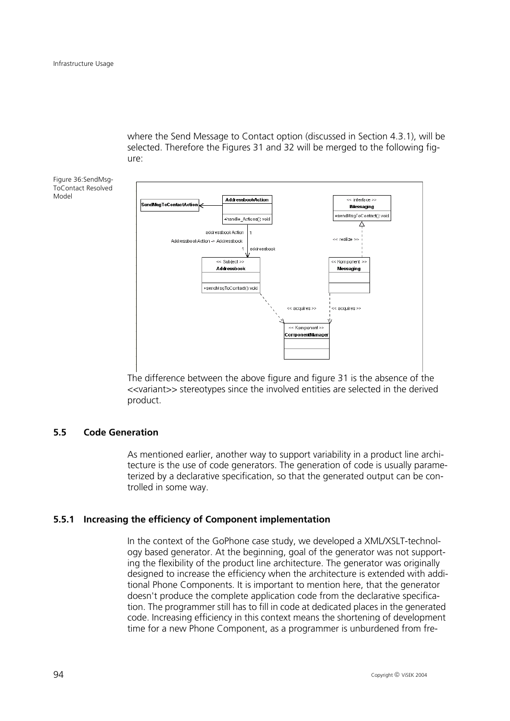where the Send Message to Contact option (discussed in Section 4.3.1), will be selected. Therefore the Figures 31 and 32 will be merged to the following figure:



The difference between the above figure and figure 31 is the absence of the <<variant>> stereotypes since the involved entities are selected in the derived product.

#### **5.5 Code Generation**

As mentioned earlier, another way to support variability in a product line architecture is the use of code generators. The generation of code is usually parameterized by a declarative specification, so that the generated output can be controlled in some way.

# **5.5.1 Increasing the efficiency of Component implementation**

In the context of the GoPhone case study, we developed a XML/XSLT-technology based generator. At the beginning, goal of the generator was not supporting the flexibility of the product line architecture. The generator was originally designed to increase the efficiency when the architecture is extended with additional Phone Components. It is important to mention here, that the generator doesn't produce the complete application code from the declarative specification. The programmer still has to fill in code at dedicated places in the generated code. Increasing efficiency in this context means the shortening of development time for a new Phone Component, as a programmer is unburdened from fre-

Figure 36:SendMsg-ToContact Resolved Model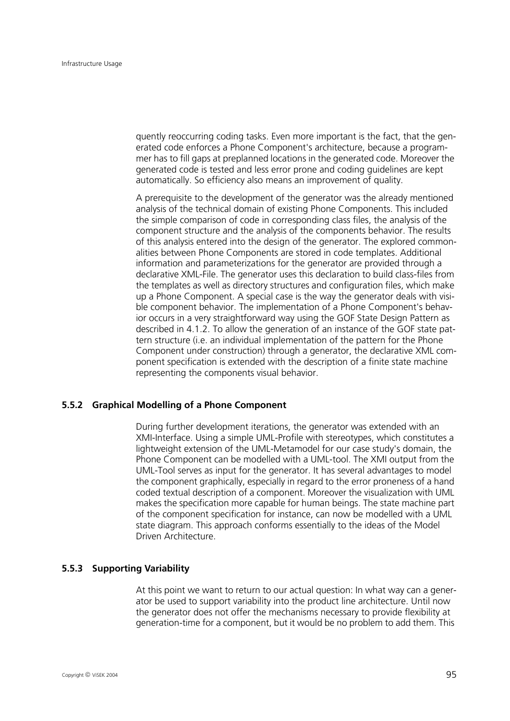quently reoccurring coding tasks. Even more important is the fact, that the generated code enforces a Phone Component's architecture, because a programmer has to fill gaps at preplanned locations in the generated code. Moreover the generated code is tested and less error prone and coding guidelines are kept automatically. So efficiency also means an improvement of quality.

A prerequisite to the development of the generator was the already mentioned analysis of the technical domain of existing Phone Components. This included the simple comparison of code in corresponding class files, the analysis of the component structure and the analysis of the components behavior. The results of this analysis entered into the design of the generator. The explored commonalities between Phone Components are stored in code templates. Additional information and parameterizations for the generator are provided through a declarative XML-File. The generator uses this declaration to build class-files from the templates as well as directory structures and configuration files, which make up a Phone Component. A special case is the way the generator deals with visible component behavior. The implementation of a Phone Component's behavior occurs in a very straightforward way using the GOF State Design Pattern as described in 4.1.2. To allow the generation of an instance of the GOF state pattern structure (i.e. an individual implementation of the pattern for the Phone Component under construction) through a generator, the declarative XML component specification is extended with the description of a finite state machine representing the components visual behavior.

#### **5.5.2 Graphical Modelling of a Phone Component**

During further development iterations, the generator was extended with an XMI-Interface. Using a simple UML-Profile with stereotypes, which constitutes a lightweight extension of the UML-Metamodel for our case study's domain, the Phone Component can be modelled with a UML-tool. The XMI output from the UML-Tool serves as input for the generator. It has several advantages to model the component graphically, especially in regard to the error proneness of a hand coded textual description of a component. Moreover the visualization with UML makes the specification more capable for human beings. The state machine part of the component specification for instance, can now be modelled with a UML state diagram. This approach conforms essentially to the ideas of the Model Driven Architecture.

#### **5.5.3 Supporting Variability**

At this point we want to return to our actual question: In what way can a generator be used to support variability into the product line architecture. Until now the generator does not offer the mechanisms necessary to provide flexibility at generation-time for a component, but it would be no problem to add them. This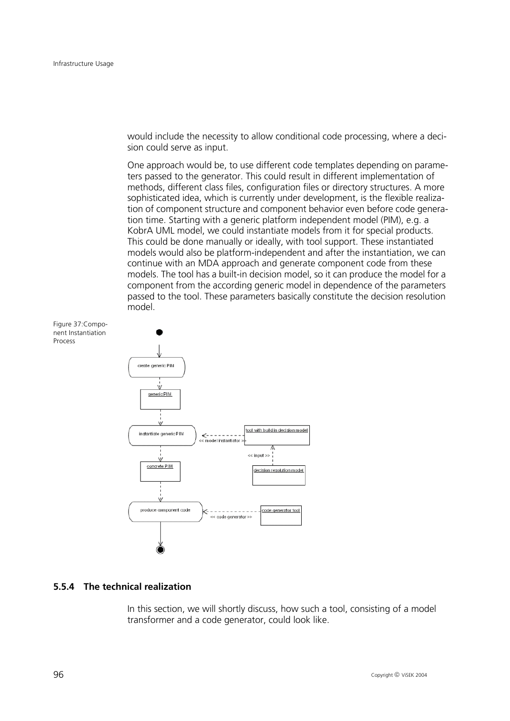would include the necessity to allow conditional code processing, where a decision could serve as input.

One approach would be, to use different code templates depending on parameters passed to the generator. This could result in different implementation of methods, different class files, configuration files or directory structures. A more sophisticated idea, which is currently under development, is the flexible realization of component structure and component behavior even before code generation time. Starting with a generic platform independent model (PIM), e.g. a KobrA UML model, we could instantiate models from it for special products. This could be done manually or ideally, with tool support. These instantiated models would also be platform-independent and after the instantiation, we can continue with an MDA approach and generate component code from these models. The tool has a built-in decision model, so it can produce the model for a component from the according generic model in dependence of the parameters passed to the tool. These parameters basically constitute the decision resolution model.



# **5.5.4 The technical realization**

In this section, we will shortly discuss, how such a tool, consisting of a model transformer and a code generator, could look like.

Process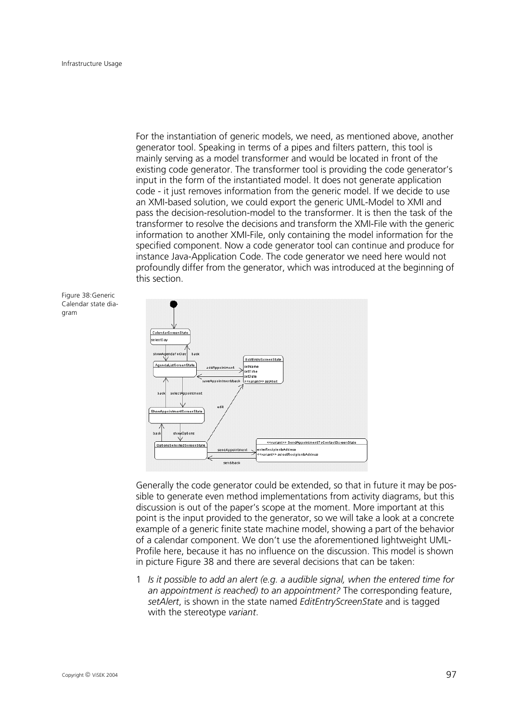For the instantiation of generic models, we need, as mentioned above, another generator tool. Speaking in terms of a pipes and filters pattern, this tool is mainly serving as a model transformer and would be located in front of the existing code generator. The transformer tool is providing the code generator's input in the form of the instantiated model. It does not generate application code - it just removes information from the generic model. If we decide to use an XMI-based solution, we could export the generic UML-Model to XMI and pass the decision-resolution-model to the transformer. It is then the task of the transformer to resolve the decisions and transform the XMI-File with the generic information to another XMI-File, only containing the model information for the specified component. Now a code generator tool can continue and produce for instance Java-Application Code. The code generator we need here would not profoundly differ from the generator, which was introduced at the beginning of this section.





Generally the code generator could be extended, so that in future it may be possible to generate even method implementations from activity diagrams, but this discussion is out of the paper's scope at the moment. More important at this point is the input provided to the generator, so we will take a look at a concrete example of a generic finite state machine model, showing a part of the behavior of a calendar component. We don't use the aforementioned lightweight UML-Profile here, because it has no influence on the discussion. This model is shown in picture Figure 38 and there are several decisions that can be taken:

1 *Is it possible to add an alert (e.g. a audible signal, when the entered time for an appointment is reached) to an appointment?* The corresponding feature, *setAlert*, is shown in the state named *EditEntryScreenState* and is tagged with the stereotype *variant*.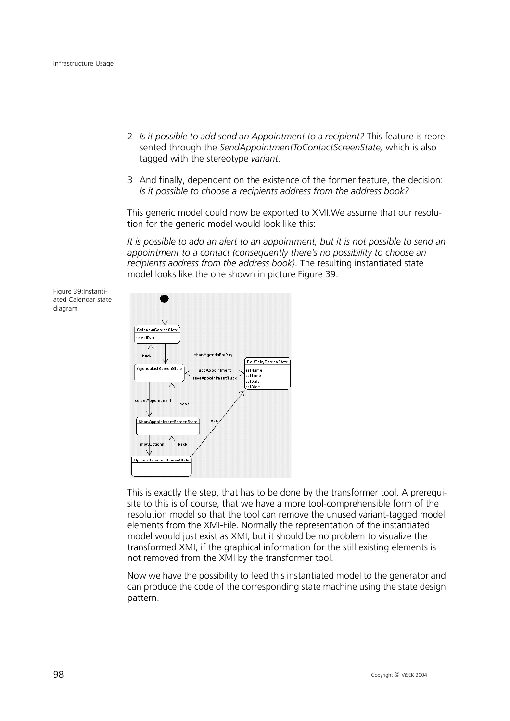- 2 *Is it possible to add send an Appointment to a recipient?* This feature is represented through the *SendAppointmentToContactScreenState,* which is also tagged with the stereotype *variant*.
- 3 And finally, dependent on the existence of the former feature, the decision: *Is it possible to choose a recipients address from the address book?*

This generic model could now be exported to XMI.We assume that our resolution for the generic model would look like this:

*It is possible to add an alert to an appointment, but it is not possible to send an appointment to a contact (consequently there's no possibility to choose an recipients address from the address book)*. The resulting instantiated state model looks like the one shown in picture Figure 39.



This is exactly the step, that has to be done by the transformer tool. A prerequisite to this is of course, that we have a more tool-comprehensible form of the resolution model so that the tool can remove the unused variant-tagged model elements from the XMI-File. Normally the representation of the instantiated model would just exist as XMI, but it should be no problem to visualize the transformed XMI, if the graphical information for the still existing elements is not removed from the XMI by the transformer tool.

Now we have the possibility to feed this instantiated model to the generator and can produce the code of the corresponding state machine using the state design pattern.

Figure 39:Instantiated Calendar state diagram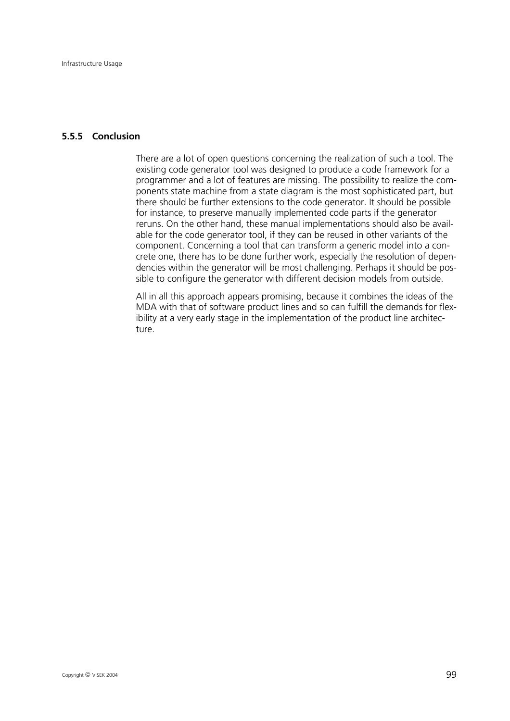#### **5.5.5 Conclusion**

There are a lot of open questions concerning the realization of such a tool. The existing code generator tool was designed to produce a code framework for a programmer and a lot of features are missing. The possibility to realize the components state machine from a state diagram is the most sophisticated part, but there should be further extensions to the code generator. It should be possible for instance, to preserve manually implemented code parts if the generator reruns. On the other hand, these manual implementations should also be available for the code generator tool, if they can be reused in other variants of the component. Concerning a tool that can transform a generic model into a concrete one, there has to be done further work, especially the resolution of dependencies within the generator will be most challenging. Perhaps it should be possible to configure the generator with different decision models from outside.

All in all this approach appears promising, because it combines the ideas of the MDA with that of software product lines and so can fulfill the demands for flexibility at a very early stage in the implementation of the product line architecture.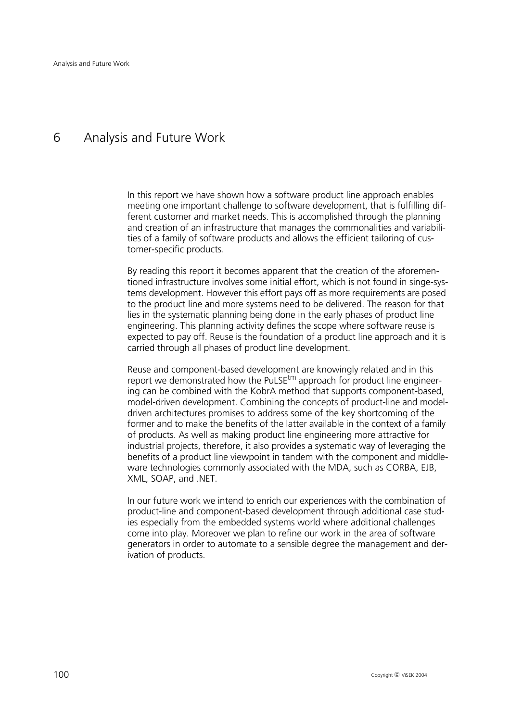# 6 Analysis and Future Work

In this report we have shown how a software product line approach enables meeting one important challenge to software development, that is fulfilling different customer and market needs. This is accomplished through the planning and creation of an infrastructure that manages the commonalities and variabilities of a family of software products and allows the efficient tailoring of customer-specific products.

By reading this report it becomes apparent that the creation of the aforementioned infrastructure involves some initial effort, which is not found in singe-systems development. However this effort pays off as more requirements are posed to the product line and more systems need to be delivered. The reason for that lies in the systematic planning being done in the early phases of product line engineering. This planning activity defines the scope where software reuse is expected to pay off. Reuse is the foundation of a product line approach and it is carried through all phases of product line development.

Reuse and component-based development are knowingly related and in this report we demonstrated how the PuLSE<sup>tm</sup> approach for product line engineering can be combined with the KobrA method that supports component-based, model-driven development. Combining the concepts of product-line and modeldriven architectures promises to address some of the key shortcoming of the former and to make the benefits of the latter available in the context of a family of products. As well as making product line engineering more attractive for industrial projects, therefore, it also provides a systematic way of leveraging the benefits of a product line viewpoint in tandem with the component and middleware technologies commonly associated with the MDA, such as CORBA, EJB, XML, SOAP, and .NET.

In our future work we intend to enrich our experiences with the combination of product-line and component-based development through additional case studies especially from the embedded systems world where additional challenges come into play. Moreover we plan to refine our work in the area of software generators in order to automate to a sensible degree the management and derivation of products.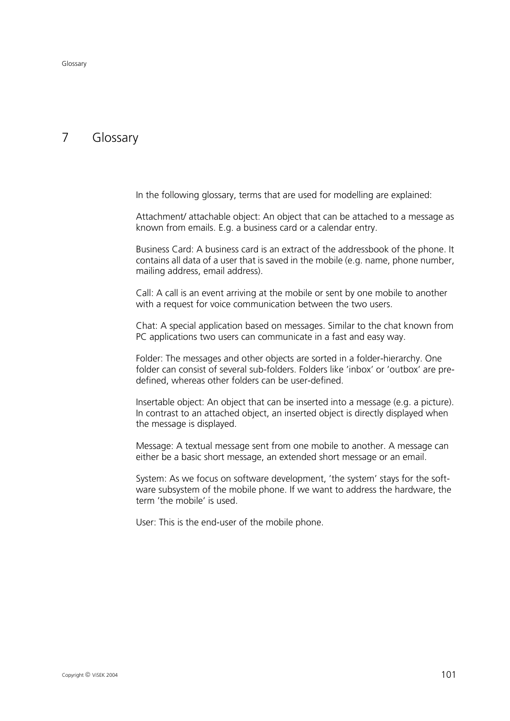## 7 Glossary

In the following glossary, terms that are used for modelling are explained:

Attachment/ attachable object: An object that can be attached to a message as known from emails. E.g. a business card or a calendar entry.

Business Card: A business card is an extract of the addressbook of the phone. It contains all data of a user that is saved in the mobile (e.g. name, phone number, mailing address, email address).

Call: A call is an event arriving at the mobile or sent by one mobile to another with a request for voice communication between the two users.

Chat: A special application based on messages. Similar to the chat known from PC applications two users can communicate in a fast and easy way.

Folder: The messages and other objects are sorted in a folder-hierarchy. One folder can consist of several sub-folders. Folders like 'inbox' or 'outbox' are predefined, whereas other folders can be user-defined.

Insertable object: An object that can be inserted into a message (e.g. a picture). In contrast to an attached object, an inserted object is directly displayed when the message is displayed.

Message: A textual message sent from one mobile to another. A message can either be a basic short message, an extended short message or an email.

System: As we focus on software development, 'the system' stays for the software subsystem of the mobile phone. If we want to address the hardware, the term 'the mobile' is used.

User: This is the end-user of the mobile phone.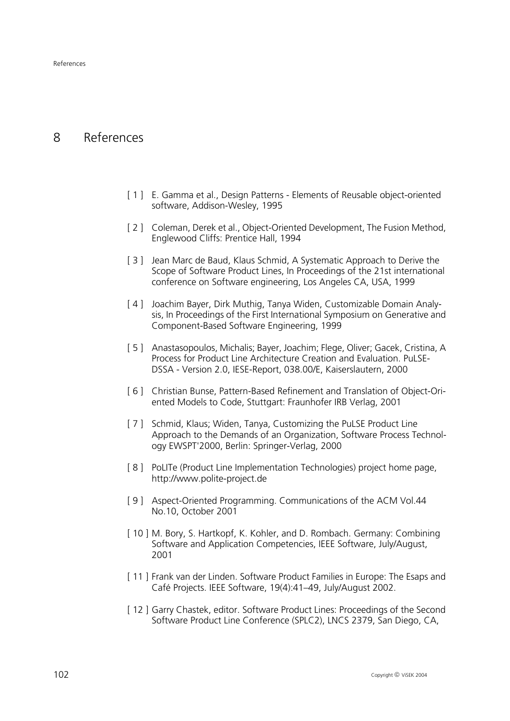## 8 References

- [1] E. Gamma et al., Design Patterns Elements of Reusable object-oriented software, Addison-Wesley, 1995
- [2] Coleman, Derek et al., Object-Oriented Development, The Fusion Method, Englewood Cliffs: Prentice Hall, 1994
- [ 3 ] Jean Marc de Baud, Klaus Schmid, A Systematic Approach to Derive the Scope of Software Product Lines, In Proceedings of the 21st international conference on Software engineering, Los Angeles CA, USA, 1999
- [4] Joachim Bayer, Dirk Muthig, Tanya Widen, Customizable Domain Analysis, In Proceedings of the First International Symposium on Generative and Component-Based Software Engineering, 1999
- [ 5 ] Anastasopoulos, Michalis; Bayer, Joachim; Flege, Oliver; Gacek, Cristina, A Process for Product Line Architecture Creation and Evaluation. PuLSE-DSSA - Version 2.0, IESE-Report, 038.00/E, Kaiserslautern, 2000
- [ 6 ] Christian Bunse, Pattern-Based Refinement and Translation of Object-Oriented Models to Code, Stuttgart: Fraunhofer IRB Verlag, 2001
- [ 7 ] Schmid, Klaus; Widen, Tanya, Customizing the PuLSE Product Line Approach to the Demands of an Organization, Software Process Technology EWSPT'2000, Berlin: Springer-Verlag, 2000
- [ 8 ] PoLITe (Product Line Implementation Technologies) project home page, http://www.polite-project.de
- [ 9 ] Aspect-Oriented Programming. Communications of the ACM Vol.44 No.10, October 2001
- [ 10 ] M. Bory, S. Hartkopf, K. Kohler, and D. Rombach. Germany: Combining Software and Application Competencies, IEEE Software, July/August, 2001
- [11] Frank van der Linden. Software Product Families in Europe: The Esaps and Café Projects. IEEE Software, 19(4):41–49, July/August 2002.
- [12] Garry Chastek, editor. Software Product Lines: Proceedings of the Second Software Product Line Conference (SPLC2), LNCS 2379, San Diego, CA,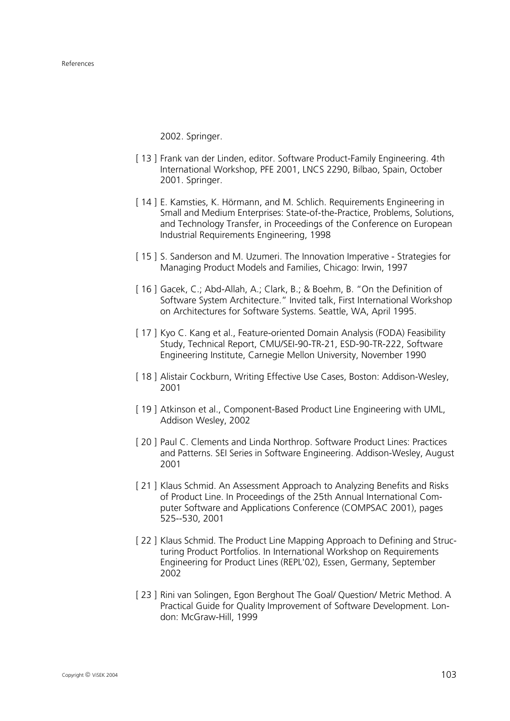2002. Springer.

- [13] Frank van der Linden, editor. Software Product-Family Engineering. 4th International Workshop, PFE 2001, LNCS 2290, Bilbao, Spain, October 2001. Springer.
- [14] E. Kamsties, K. Hörmann, and M. Schlich. Requirements Engineering in Small and Medium Enterprises: State-of-the-Practice, Problems, Solutions, and Technology Transfer, in Proceedings of the Conference on European Industrial Requirements Engineering, 1998
- [ 15 ] S. Sanderson and M. Uzumeri. The Innovation Imperative Strategies for Managing Product Models and Families, Chicago: Irwin, 1997
- [ 16 ] Gacek, C.; Abd-Allah, A.; Clark, B.; & Boehm, B. "On the Definition of Software System Architecture." Invited talk, First International Workshop on Architectures for Software Systems. Seattle, WA, April 1995.
- [ 17 ] Kyo C. Kang et al., Feature-oriented Domain Analysis (FODA) Feasibility Study, Technical Report, CMU/SEI-90-TR-21, ESD-90-TR-222, Software Engineering Institute, Carnegie Mellon University, November 1990
- [ 18 ] Alistair Cockburn, Writing Effective Use Cases, Boston: Addison-Wesley, 2001
- [19] Atkinson et al., Component-Based Product Line Engineering with UML, Addison Wesley, 2002
- [ 20 ] Paul C. Clements and Linda Northrop. Software Product Lines: Practices and Patterns. SEI Series in Software Engineering. Addison-Wesley, August 2001
- [ 21 ] Klaus Schmid. An Assessment Approach to Analyzing Benefits and Risks of Product Line. In Proceedings of the 25th Annual International Computer Software and Applications Conference (COMPSAC 2001), pages 525--530, 2001
- [22] Klaus Schmid. The Product Line Mapping Approach to Defining and Structuring Product Portfolios. In International Workshop on Requirements Engineering for Product Lines (REPL'02), Essen, Germany, September 2002
- [23] Rini van Solingen, Egon Berghout The Goal/ Question/ Metric Method. A Practical Guide for Quality Improvement of Software Development. London: McGraw-Hill, 1999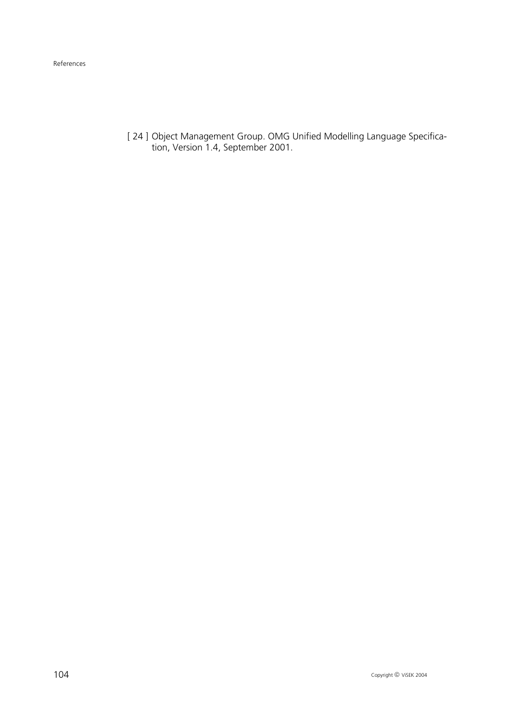References

[ 24 ] Object Management Group. OMG Unified Modelling Language Specification, Version 1.4, September 2001.